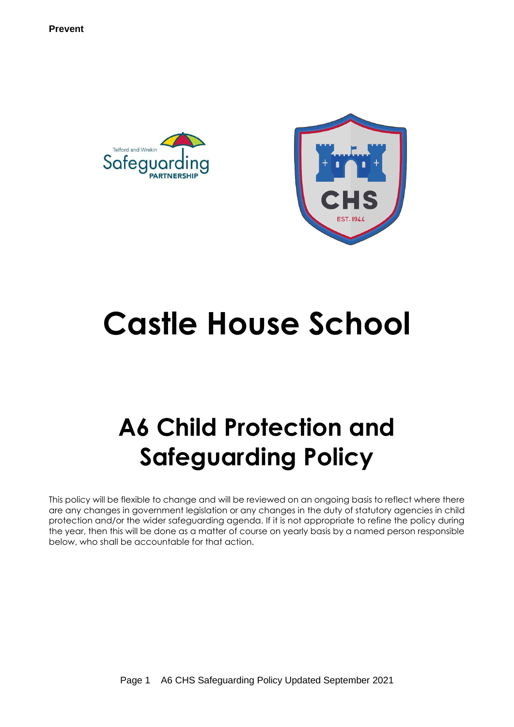



# **Castle House School**

# **A6 Child Protection and Safeguarding Policy**

This policy will be flexible to change and will be reviewed on an ongoing basis to reflect where there are any changes in government legislation or any changes in the duty of statutory agencies in child protection and/or the wider safeguarding agenda. If it is not appropriate to refine the policy during the year, then this will be done as a matter of course on yearly basis by a named person responsible below, who shall be accountable for that action.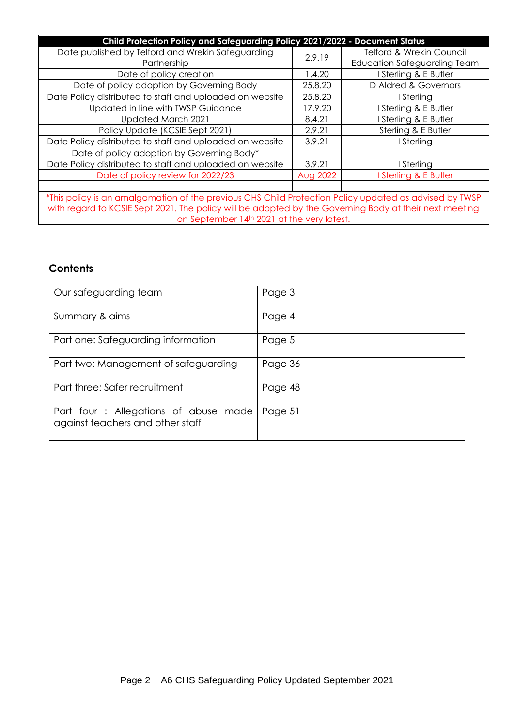| Child Protection Policy and Safeguarding Policy 2021/2022 - Document Status                                                                                                                                      |          |                                     |  |  |  |  |  |
|------------------------------------------------------------------------------------------------------------------------------------------------------------------------------------------------------------------|----------|-------------------------------------|--|--|--|--|--|
| Date published by Telford and Wrekin Safeguarding                                                                                                                                                                | 2.9.19   | <b>Telford &amp; Wrekin Council</b> |  |  |  |  |  |
| Partnership                                                                                                                                                                                                      |          | <b>Education Safeguarding Team</b>  |  |  |  |  |  |
| Date of policy creation                                                                                                                                                                                          | 1.4.20   | I Sterling & E Butler               |  |  |  |  |  |
| Date of policy adoption by Governing Body                                                                                                                                                                        | 25.8.20  | D Aldred & Governors                |  |  |  |  |  |
| Date Policy distributed to staff and uploaded on website                                                                                                                                                         | 25.8.20  | I Sterling                          |  |  |  |  |  |
| Updated in line with TWSP Guidance                                                                                                                                                                               | 17.9.20  | Sterling & E Butler                 |  |  |  |  |  |
| Updated March 2021                                                                                                                                                                                               | 8.4.21   | Sterling & E Butler                 |  |  |  |  |  |
| Policy Update (KCSIE Sept 2021)                                                                                                                                                                                  | 2.9.21   | Sterling & E Butler                 |  |  |  |  |  |
| Date Policy distributed to staff and uploaded on website                                                                                                                                                         | 3.9.21   | I Sterling                          |  |  |  |  |  |
| Date of policy adoption by Governing Body*                                                                                                                                                                       |          |                                     |  |  |  |  |  |
| Date Policy distributed to staff and uploaded on website                                                                                                                                                         | 3.9.21   | I Sterling                          |  |  |  |  |  |
| Date of policy review for 2022/23                                                                                                                                                                                | Aug 2022 | Sterling & E Butler                 |  |  |  |  |  |
|                                                                                                                                                                                                                  |          |                                     |  |  |  |  |  |
| *This policy is an amalgamation of the previous CHS Child Protection Policy updated as advised by TWSP<br>with regard to KCSIE Sept 2021. The policy will be adopted by the Governing Body at their next meeting |          |                                     |  |  |  |  |  |
| on September 14th 2021 at the very latest.                                                                                                                                                                       |          |                                     |  |  |  |  |  |

# **Contents**

| Our safeguarding team                                                     | Page 3  |
|---------------------------------------------------------------------------|---------|
| Summary & aims                                                            | Page 4  |
| Part one: Safeguarding information                                        | Page 5  |
| Part two: Management of safeguarding                                      | Page 36 |
| Part three: Safer recruitment                                             | Page 48 |
| Part four : Allegations of abuse made<br>against teachers and other staff | Page 51 |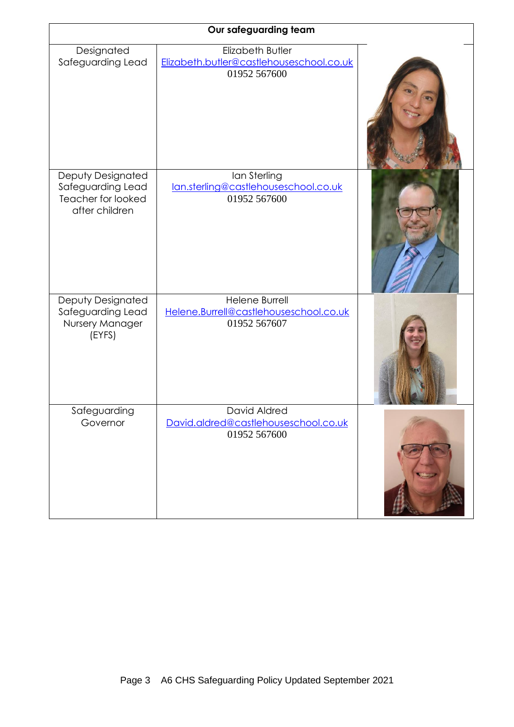| Our safeguarding team                                                          |                                                                              |  |  |  |  |
|--------------------------------------------------------------------------------|------------------------------------------------------------------------------|--|--|--|--|
| Designated<br>Safeguarding Lead                                                | Elizabeth Butler<br>Elizabeth.butler@castlehouseschool.co.uk<br>01952 567600 |  |  |  |  |
|                                                                                |                                                                              |  |  |  |  |
| Deputy Designated<br>Safeguarding Lead<br>Teacher for looked<br>after children | Ian Sterling<br>lan.sterling@castlehouseschool.co.uk<br>01952 567600         |  |  |  |  |
| Deputy Designated<br>Safeguarding Lead<br>Nursery Manager<br>(EYFS)            | Helene Burrell<br>Helene.Burrell@castlehouseschool.co.uk<br>01952 567607     |  |  |  |  |
| Safeguarding<br>Governor                                                       | David Aldred<br>David.aldred@castlehouseschool.co.uk<br>01952 567600         |  |  |  |  |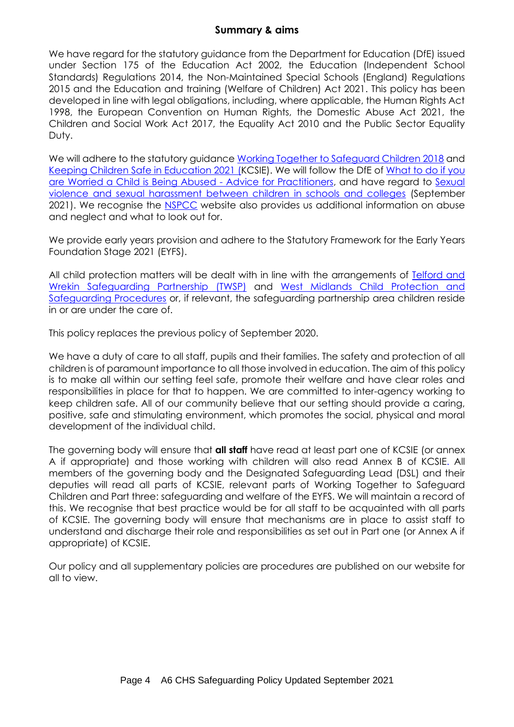# **Summary & aims**

We have regard for the statutory guidance from the Department for Education (DfE) issued under Section 175 of the Education Act 2002, the Education (Independent School Standards) Regulations 2014, the Non-Maintained Special Schools (England) Regulations 2015 and the Education and training (Welfare of Children) Act 2021. This policy has been developed in line with legal obligations, including, where applicable, the Human Rights Act 1998, the European Convention on Human Rights, the Domestic Abuse Act 2021, the Children and Social Work Act 2017, the Equality Act 2010 and the Public Sector Equality Duty.

We will adhere to the statutory guidance [Working Together to Safeguard Children 2018](https://www.gov.uk/government/publications/working-together-to-safeguard-children--2) and Keeping [Children Safe in Education 2021](https://www.gov.uk/government/publications/keeping-children-safe-in-education--2) (KCSIE). We will follow the DfE of [What to do if you](https://www.gov.uk/government/publications/what-to-do-if-youre-worried-a-child-is-being-abused--2)  [are Worried a Child is Being Abused -](https://www.gov.uk/government/publications/what-to-do-if-youre-worried-a-child-is-being-abused--2) Advice for Practitioners, and have regard to [Sexual](https://www.gov.uk/government/publications/sexual-violence-and-sexual-harassment-between-children-in-schools-and-colleges)  [violence and sexual harassment between children in schools and colleges](https://www.gov.uk/government/publications/sexual-violence-and-sexual-harassment-between-children-in-schools-and-colleges) (September 2021). We recognise the [NSPCC](https://www.nspcc.org.uk/support-us/ways-to-give/donate/?source=ppc-brand&gclsrc=aw.ds&ds_rl=1279303&ds_rl=1279303&gclid=EAIaIQobChMI1PP3q6Wi6wIVmK3tCh1x_QvxEAAYASAAEgKCLPD_BwE&gclsrc=aw.ds) website also provides us additional information on abuse and neglect and what to look out for.

We provide early years provision and adhere to the Statutory Framework for the Early Years Foundation Stage 2021 (EYFS).

All child protection matters will be dealt with in line with the arrangements of [Telford and](https://www.telfordsafeguardingboard.org.uk/info/13/i_work_with_children_young_people_and_parents/20/policies_procedures_and_guidance)  [Wrekin Safeguarding Partnership \(TWSP\)](https://www.telfordsafeguardingboard.org.uk/info/13/i_work_with_children_young_people_and_parents/20/policies_procedures_and_guidance) and [West Midlands Child Protection and](http://westmidlands.procedures.org.uk/)  [Safeguarding Procedures](http://westmidlands.procedures.org.uk/) or, if relevant, the safeguarding partnership area children reside in or are under the care of.

This policy replaces the previous policy of September 2020.

We have a duty of care to all staff, pupils and their families. The safety and protection of all children is of paramount importance to all those involved in education. The aim of this policy is to make all within our setting feel safe, promote their welfare and have clear roles and responsibilities in place for that to happen. We are committed to inter-agency working to keep children safe. All of our community believe that our setting should provide a caring, positive, safe and stimulating environment, which promotes the social, physical and moral development of the individual child.

The governing body will ensure that **all staff** have read at least part one of KCSIE (or annex A if appropriate) and those working with children will also read Annex B of KCSIE. All members of the governing body and the Designated Safeguarding Lead (DSL) and their deputies will read all parts of KCSIE, relevant parts of Working Together to Safeguard Children and Part three: safeguarding and welfare of the EYFS. We will maintain a record of this. We recognise that best practice would be for all staff to be acquainted with all parts of KCSIE. The governing body will ensure that mechanisms are in place to assist staff to understand and discharge their role and responsibilities as set out in Part one (or Annex A if appropriate) of KCSIE.

Our policy and all supplementary policies are procedures are published on our website for all to view.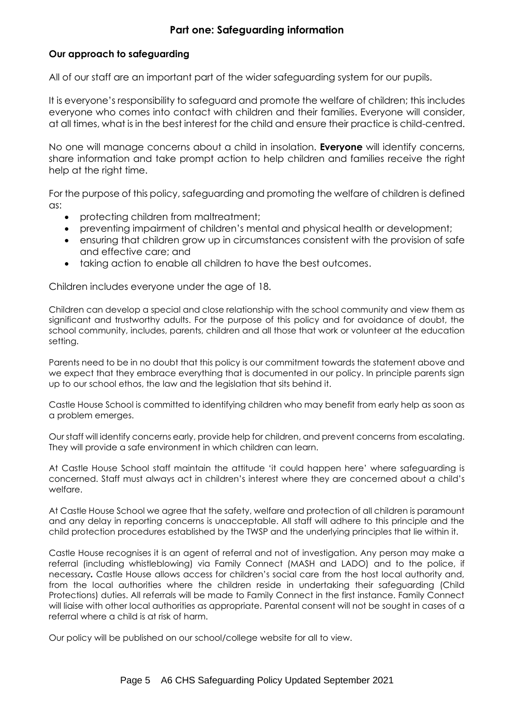# **Part one: Safeguarding information**

# **Our approach to safeguarding**

All of our staff are an important part of the wider safeguarding system for our pupils.

It is everyone's responsibility to safeguard and promote the welfare of children; this includes everyone who comes into contact with children and their families. Everyone will consider, at all times, what is in the best interest for the child and ensure their practice is child-centred.

No one will manage concerns about a child in insolation. **Everyone** will identify concerns, share information and take prompt action to help children and families receive the right help at the right time.

For the purpose of this policy, safeguarding and promoting the welfare of children is defined as:

- protecting children from maltreatment;
- preventing impairment of children's mental and physical health or development;
- ensuring that children grow up in circumstances consistent with the provision of safe and effective care; and
- taking action to enable all children to have the best outcomes.

Children includes everyone under the age of 18.

Children can develop a special and close relationship with the school community and view them as significant and trustworthy adults. For the purpose of this policy and for avoidance of doubt, the school community, includes, parents, children and all those that work or volunteer at the education setting.

Parents need to be in no doubt that this policy is our commitment towards the statement above and we expect that they embrace everything that is documented in our policy. In principle parents sign up to our school ethos, the law and the legislation that sits behind it.

Castle House School is committed to identifying children who may benefit from early help as soon as a problem emerges.

Our staff will identify concerns early, provide help for children, and prevent concerns from escalating. They will provide a safe environment in which children can learn.

At Castle House School staff maintain the attitude 'it could happen here' where safeguarding is concerned. Staff must always act in children's interest where they are concerned about a child's welfare.

At Castle House School we agree that the safety, welfare and protection of all children is paramount and any delay in reporting concerns is unacceptable. All staff will adhere to this principle and the child protection procedures established by the TWSP and the underlying principles that lie within it.

Castle House recognises it is an agent of referral and not of investigation. Any person may make a referral (including whistleblowing) via Family Connect (MASH and LADO) and to the police, if necessary*.* Castle House allows access for children's social care from the host local authority and, from the local authorities where the children reside in undertaking their safeguarding (Child Protections) duties. All referrals will be made to Family Connect in the first instance. Family Connect will liaise with other local authorities as appropriate. Parental consent will not be sought in cases of a referral where a child is at risk of harm.

Our policy will be published on our school/college website for all to view.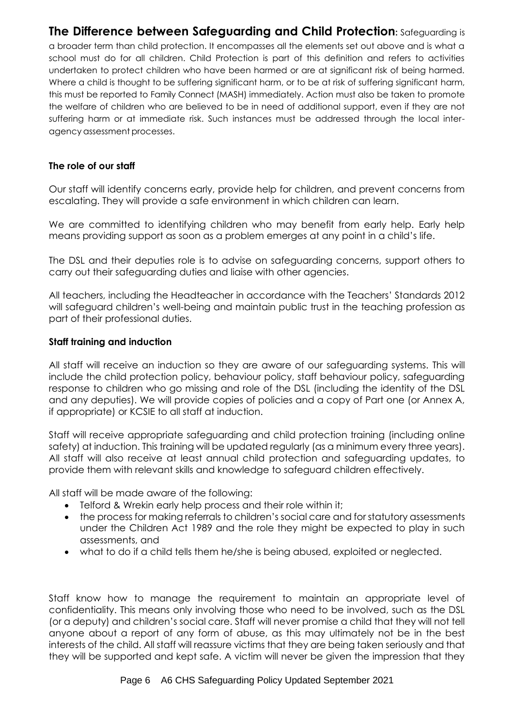# **The Difference between Safeguarding and Child Protection:** Safeguarding is

a broader term than child protection. It encompasses all the elements set out above and is what a school must do for all children. Child Protection is part of this definition and refers to activities undertaken to protect children who have been harmed or are at significant risk of being harmed. Where a child is thought to be suffering significant harm, or to be at risk of suffering significant harm, this must be reported to Family Connect (MASH) immediately. Action must also be taken to promote the welfare of children who are believed to be in need of additional support, even if they are not suffering harm or at immediate risk. Such instances must be addressed through the local interagency assessment processes.

#### **The role of our staff**

Our staff will identify concerns early, provide help for children, and prevent concerns from escalating. They will provide a safe environment in which children can learn.

We are committed to identifying children who may benefit from early help. Early help means providing support as soon as a problem emerges at any point in a child's life.

The DSL and their deputies role is to advise on safeguarding concerns, support others to carry out their safeguarding duties and liaise with other agencies.

All teachers, including the Headteacher in accordance with the Teachers' Standards 2012 will safeguard children's well-being and maintain public trust in the teaching profession as part of their professional duties.

#### **Staff training and induction**

All staff will receive an induction so they are aware of our safeguarding systems. This will include the child protection policy, behaviour policy, staff behaviour policy, safeguarding response to children who go missing and role of the DSL (including the identity of the DSL and any deputies). We will provide copies of policies and a copy of Part one (or Annex A, if appropriate) or KCSIE to all staff at induction.

Staff will receive appropriate safeguarding and child protection training (including online safety) at induction. This training will be updated regularly (as a minimum every three years). All staff will also receive at least annual child protection and safeguarding updates, to provide them with relevant skills and knowledge to safeguard children effectively.

All staff will be made aware of the following:

- Telford & Wrekin early help process and their role within it;
- the process for making referrals to children's social care and for statutory assessments under the Children Act 1989 and the role they might be expected to play in such assessments, and
- what to do if a child tells them he/she is being abused, exploited or neglected.

Staff know how to manage the requirement to maintain an appropriate level of confidentiality. This means only involving those who need to be involved, such as the DSL (or a deputy) and children's social care. Staff will never promise a child that they will not tell anyone about a report of any form of abuse, as this may ultimately not be in the best interests of the child. All staff will reassure victims that they are being taken seriously and that they will be supported and kept safe. A victim will never be given the impression that they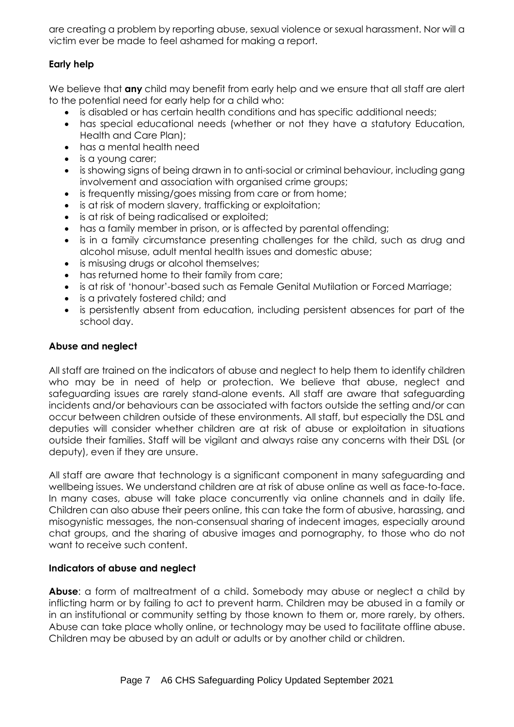are creating a problem by reporting abuse, sexual violence or sexual harassment. Nor will a victim ever be made to feel ashamed for making a report.

# **Early help**

We believe that **any** child may benefit from early help and we ensure that all staff are alert to the potential need for early help for a child who:

- is disabled or has certain health conditions and has specific additional needs;
- has special educational needs (whether or not they have a statutory Education, Health and Care Plan);
- has a mental health need
- is a young carer;
- is showing signs of being drawn in to anti-social or criminal behaviour, including gang involvement and association with organised crime groups;
- is frequently missing/goes missing from care or from home;
- is at risk of modern slavery, trafficking or exploitation;
- is at risk of being radicalised or exploited;
- has a family member in prison, or is affected by parental offending;
- is in a family circumstance presenting challenges for the child, such as drug and alcohol misuse, adult mental health issues and domestic abuse;
- is misusing drugs or alcohol themselves;
- has returned home to their family from care;
- is at risk of 'honour'-based such as Female Genital Mutilation or Forced Marriage;
- is a privately fostered child; and
- is persistently absent from education, including persistent absences for part of the school day.

# **Abuse and neglect**

All staff are trained on the indicators of abuse and neglect to help them to identify children who may be in need of help or protection. We believe that abuse, neglect and safeguarding issues are rarely stand-alone events. All staff are aware that safeguarding incidents and/or behaviours can be associated with factors outside the setting and/or can occur between children outside of these environments. All staff, but especially the DSL and deputies will consider whether children are at risk of abuse or exploitation in situations outside their families. Staff will be vigilant and always raise any concerns with their DSL (or deputy), even if they are unsure.

All staff are aware that technology is a significant component in many safeguarding and wellbeing issues. We understand children are at risk of abuse online as well as face-to-face. In many cases, abuse will take place concurrently via online channels and in daily life. Children can also abuse their peers online, this can take the form of abusive, harassing, and misogynistic messages, the non-consensual sharing of indecent images, especially around chat groups, and the sharing of abusive images and pornography, to those who do not want to receive such content.

# **Indicators of abuse and neglect**

**Abuse**: a form of maltreatment of a child. Somebody may abuse or neglect a child by inflicting harm or by failing to act to prevent harm. Children may be abused in a family or in an institutional or community setting by those known to them or, more rarely, by others. Abuse can take place wholly online, or technology may be used to facilitate offline abuse. Children may be abused by an adult or adults or by another child or children.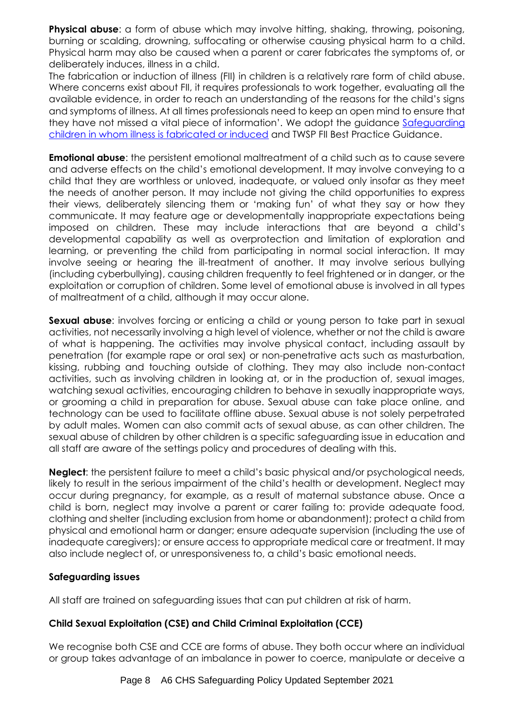**Physical abuse**: a form of abuse which may involve hitting, shaking, throwing, poisoning, burning or scalding, drowning, suffocating or otherwise causing physical harm to a child. Physical harm may also be caused when a parent or carer fabricates the symptoms of, or deliberately induces, illness in a child.

The fabrication or induction of illness (FII) in children is a relatively rare form of child abuse. Where concerns exist about FII, it requires professionals to work together, evaluating all the available evidence, in order to reach an understanding of the reasons for the child's signs and symptoms of illness. At all times professionals need to keep an open mind to ensure that they have not missed a vital piece of information'. We adopt the guidance [Safeguarding](https://www.gov.uk/government/publications/safeguarding-children-in-whom-illness-is-fabricated-or-induced)  [children in whom illness is fabricated or induced](https://www.gov.uk/government/publications/safeguarding-children-in-whom-illness-is-fabricated-or-induced) and TWSP FII Best Practice Guidance.

**Emotional abuse**: the persistent emotional maltreatment of a child such as to cause severe and adverse effects on the child's emotional development. It may involve conveying to a child that they are worthless or unloved, inadequate, or valued only insofar as they meet the needs of another person. It may include not giving the child opportunities to express their views, deliberately silencing them or 'making fun' of what they say or how they communicate. It may feature age or developmentally inappropriate expectations being imposed on children. These may include interactions that are beyond a child's developmental capability as well as overprotection and limitation of exploration and learning, or preventing the child from participating in normal social interaction. It may involve seeing or hearing the ill-treatment of another. It may involve serious bullying (including cyberbullying), causing children frequently to feel frightened or in danger, or the exploitation or corruption of children. Some level of emotional abuse is involved in all types of maltreatment of a child, although it may occur alone.

**Sexual abuse:** involves forcing or enticing a child or young person to take part in sexual activities, not necessarily involving a high level of violence, whether or not the child is aware of what is happening. The activities may involve physical contact, including assault by penetration (for example rape or oral sex) or non-penetrative acts such as masturbation, kissing, rubbing and touching outside of clothing. They may also include non-contact activities, such as involving children in looking at, or in the production of, sexual images, watching sexual activities, encouraging children to behave in sexually inappropriate ways, or grooming a child in preparation for abuse. Sexual abuse can take place online, and technology can be used to facilitate offline abuse. Sexual abuse is not solely perpetrated by adult males. Women can also commit acts of sexual abuse, as can other children. The sexual abuse of children by other children is a specific safeguarding issue in education and all staff are aware of the settings policy and procedures of dealing with this.

**Neglect**: the persistent failure to meet a child's basic physical and/or psychological needs, likely to result in the serious impairment of the child's health or development. Neglect may occur during pregnancy, for example, as a result of maternal substance abuse. Once a child is born, neglect may involve a parent or carer failing to: provide adequate food, clothing and shelter (including exclusion from home or abandonment); protect a child from physical and emotional harm or danger; ensure adequate supervision (including the use of inadequate caregivers); or ensure access to appropriate medical care or treatment. It may also include neglect of, or unresponsiveness to, a child's basic emotional needs.

# **Safeguarding issues**

All staff are trained on safeguarding issues that can put children at risk of harm.

# **Child Sexual Exploitation (CSE) and Child Criminal Exploitation (CCE)**

We recognise both CSE and CCE are forms of abuse. They both occur where an individual or group takes advantage of an imbalance in power to coerce, manipulate or deceive a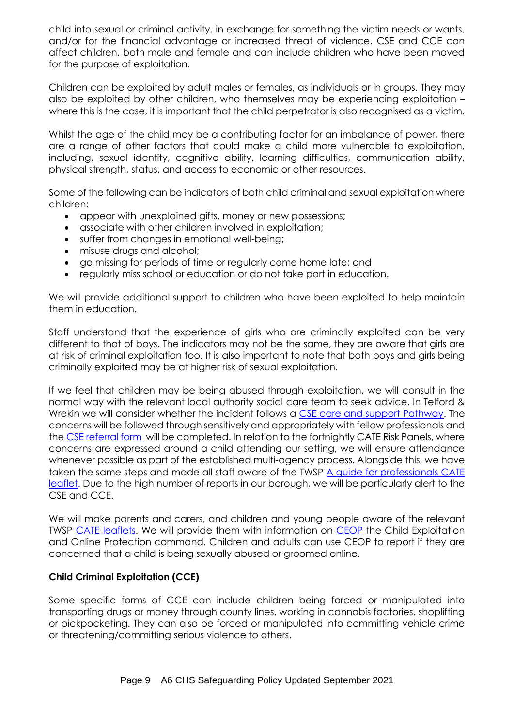child into sexual or criminal activity, in exchange for something the victim needs or wants, and/or for the financial advantage or increased threat of violence. CSE and CCE can affect children, both male and female and can include children who have been moved for the purpose of exploitation.

Children can be exploited by adult males or females, as individuals or in groups. They may also be exploited by other children, who themselves may be experiencing exploitation – where this is the case, it is important that the child perpetrator is also recognised as a victim.

Whilst the age of the child may be a contributing factor for an imbalance of power, there are a range of other factors that could make a child more vulnerable to exploitation, including, sexual identity, cognitive ability, learning difficulties, communication ability, physical strength, status, and access to economic or other resources.

Some of the following can be indicators of both child criminal and sexual exploitation where children:

- appear with unexplained gifts, money or new possessions;
- associate with other children involved in exploitation;
- suffer from changes in emotional well-being;
- misuse drugs and alcohol;
- go missing for periods of time or regularly come home late; and
- regularly miss school or education or do not take part in education.

We will provide additional support to children who have been exploited to help maintain them in education.

Staff understand that the experience of girls who are criminally exploited can be very different to that of boys. The indicators may not be the same, they are aware that girls are at risk of criminal exploitation too. It is also important to note that both boys and girls being criminally exploited may be at higher risk of sexual exploitation.

If we feel that children may be being abused through exploitation, we will consult in the normal way with the relevant local authority social care team to seek advice. In Telford & Wrekin we will consider whether the incident follows a [CSE care and support Pathway.](https://westmidlands.procedures.org.uk/local-content/4cjN/exploitation-tools-and-pathways/?b=Telford+%26+Wrekin) The concerns will be followed through sensitively and appropriately with fellow professionals and the [CSE referral form](https://westmidlands.procedures.org.uk/local-content/4cjN/exploitation-tools-and-pathways/?b=Telford+%26+Wrekin) will be completed. In relation to the fortnightly CATE Risk Panels, where concerns are expressed around a child attending our setting, we will ensure attendance whenever possible as part of the established multi-agency process. Alongside this, we have taken the same steps and made all staff aware of the TWSP [A guide for professionals CATE](https://westmidlands.procedures.org.uk/local-content/4cjN/exploitation-tools-and-pathways/?b=Telford+%26+Wrekin)  [leaflet.](https://westmidlands.procedures.org.uk/local-content/4cjN/exploitation-tools-and-pathways/?b=Telford+%26+Wrekin) Due to the high number of reports in our borough, we will be particularly alert to the CSE and CCE.

We will make parents and carers, and children and young people aware of the relevant TWSP [CATE leaflets.](https://westmidlands.procedures.org.uk/local-content/4cjN/exploitation-tools-and-pathways/?b=Telford+%26+Wrekin) We will provide them with information on [CEOP](https://www.ceop.police.uk/Safety-Centre/Should-I-make-a-report-to-CEOP-YP/) the Child Exploitation and Online Protection command. Children and adults can use CEOP to report if they are concerned that a child is being sexually abused or groomed online.

# **Child Criminal Exploitation (CCE)**

Some specific forms of CCE can include children being forced or manipulated into transporting drugs or money through county lines, working in cannabis factories, shoplifting or pickpocketing. They can also be forced or manipulated into committing vehicle crime or threatening/committing serious violence to others.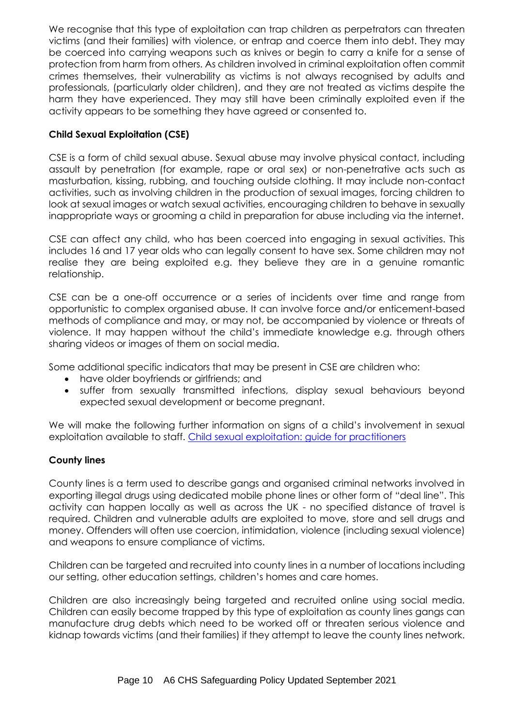We recognise that this type of exploitation can trap children as perpetrators can threaten victims (and their families) with violence, or entrap and coerce them into debt. They may be coerced into carrying weapons such as knives or begin to carry a knife for a sense of protection from harm from others. As children involved in criminal exploitation often commit crimes themselves, their vulnerability as victims is not always recognised by adults and professionals, (particularly older children), and they are not treated as victims despite the harm they have experienced. They may still have been criminally exploited even if the activity appears to be something they have agreed or consented to.

# **Child Sexual Exploitation (CSE)**

CSE is a form of child sexual abuse. Sexual abuse may involve physical contact, including assault by penetration (for example, rape or oral sex) or non-penetrative acts such as masturbation, kissing, rubbing, and touching outside clothing. It may include non-contact activities, such as involving children in the production of sexual images, forcing children to look at sexual images or watch sexual activities, encouraging children to behave in sexually inappropriate ways or grooming a child in preparation for abuse including via the internet.

CSE can affect any child, who has been coerced into engaging in sexual activities. This includes 16 and 17 year olds who can legally consent to have sex. Some children may not realise they are being exploited e.g. they believe they are in a genuine romantic relationship.

CSE can be a one-off occurrence or a series of incidents over time and range from opportunistic to complex organised abuse. It can involve force and/or enticement-based methods of compliance and may, or may not, be accompanied by violence or threats of violence. It may happen without the child's immediate knowledge e.g. through others sharing videos or images of them on social media.

Some additional specific indicators that may be present in CSE are children who:

- have older boyfriends or girlfriends; and
- suffer from sexually transmitted infections, display sexual behaviours beyond expected sexual development or become pregnant.

We will make the following further information on signs of a child's involvement in sexual exploitation available to staff. [Child sexual exploitation: guide for practitioners](https://www.gov.uk/government/publications/child-sexual-exploitation-definition-and-guide-for-practitioners)

# **County lines**

County lines is a term used to describe gangs and organised criminal networks involved in exporting illegal drugs using dedicated mobile phone lines or other form of "deal line". This activity can happen locally as well as across the UK - no specified distance of travel is required. Children and vulnerable adults are exploited to move, store and sell drugs and money. Offenders will often use coercion, intimidation, violence (including sexual violence) and weapons to ensure compliance of victims.

Children can be targeted and recruited into county lines in a number of locations including our setting, other education settings, children's homes and care homes.

Children are also increasingly being targeted and recruited online using social media. Children can easily become trapped by this type of exploitation as county lines gangs can manufacture drug debts which need to be worked off or threaten serious violence and kidnap towards victims (and their families) if they attempt to leave the county lines network.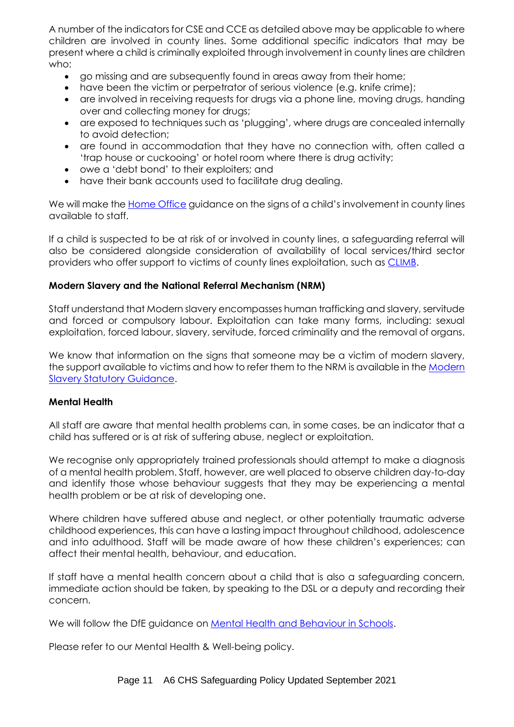A number of the indicators for CSE and CCE as detailed above may be applicable to where children are involved in county lines. Some additional specific indicators that may be present where a child is criminally exploited through involvement in county lines are children who:

- go missing and are subsequently found in areas away from their home;
- have been the victim or perpetrator of serious violence (e.g. knife crime);
- are involved in receiving requests for drugs via a phone line, moving drugs, handing over and collecting money for drugs;
- are exposed to techniques such as 'plugging', where drugs are concealed internally to avoid detection;
- are found in accommodation that they have no connection with, often called a 'trap house or cuckooing' or hotel room where there is drug activity;
- owe a 'debt bond' to their exploiters; and
- have their bank accounts used to facilitate drug dealing.

We will make the **Home Office** guidance on the signs of a child's involvement in county lines available to staff.

If a child is suspected to be at risk of or involved in county lines, a safeguarding referral will also be considered alongside consideration of availability of local services/third sector providers who offer support to victims of county lines exploitation, such as **CLIMB**.

#### **Modern Slavery and the National Referral Mechanism (NRM)**

Staff understand that Modern slavery encompasses human trafficking and slavery, servitude and forced or compulsory labour. Exploitation can take many forms, including: sexual exploitation, forced labour, slavery, servitude, forced criminality and the removal of organs.

We know that information on the signs that someone may be a victim of modern slavery, the support available to victims and how to refer them to the NRM is available in th[e Modern](https://www.gov.uk/government/collections/modern-slavery)  [Slavery Statutory Guidance.](https://www.gov.uk/government/collections/modern-slavery)

#### **Mental Health**

All staff are aware that mental health problems can, in some cases, be an indicator that a child has suffered or is at risk of suffering abuse, neglect or exploitation.

We recognise only appropriately trained professionals should attempt to make a diagnosis of a mental health problem. Staff, however, are well placed to observe children day-to-day and identify those whose behaviour suggests that they may be experiencing a mental health problem or be at risk of developing one.

Where children have suffered abuse and neglect, or other potentially traumatic adverse childhood experiences, this can have a lasting impact throughout childhood, adolescence and into adulthood. Staff will be made aware of how these children's experiences; can affect their mental health, behaviour, and education.

If staff have a mental health concern about a child that is also a safeguarding concern, immediate action should be taken, by speaking to the DSL or a deputy and recording their concern.

We will follow the DfE guidance on [Mental Health and Behaviour in Schools.](https://www.gov.uk/government/publications/mental-health-and-behaviour-in-schools--2)

Please refer to our Mental Health & Well-being policy.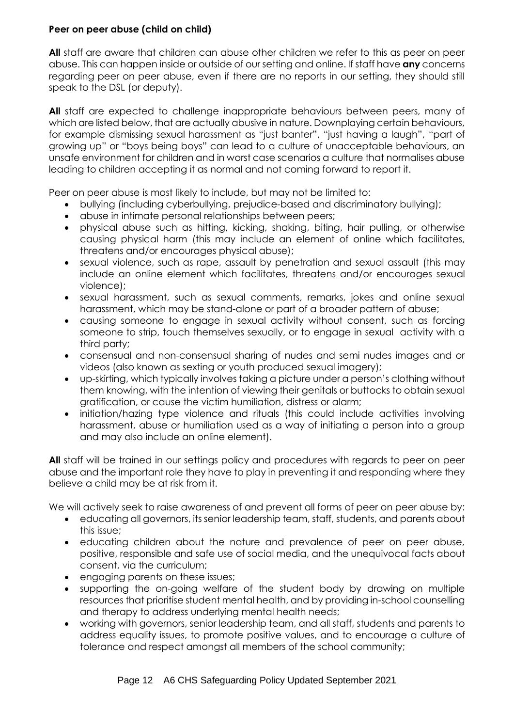# **Peer on peer abuse (child on child)**

**All** staff are aware that children can abuse other children we refer to this as peer on peer abuse. This can happen inside or outside of our setting and online. If staff have **any** concerns regarding peer on peer abuse, even if there are no reports in our setting, they should still speak to the DSL (or deputy).

**All** staff are expected to challenge inappropriate behaviours between peers, many of which are listed below, that are actually abusive in nature. Downplaying certain behaviours, for example dismissing sexual harassment as "just banter", "just having a laugh", "part of growing up" or "boys being boys" can lead to a culture of unacceptable behaviours, an unsafe environment for children and in worst case scenarios a culture that normalises abuse leading to children accepting it as normal and not coming forward to report it.

Peer on peer abuse is most likely to include, but may not be limited to:

- bullying (including cyberbullying, prejudice-based and discriminatory bullying);
- abuse in intimate personal relationships between peers;
- physical abuse such as hitting, kicking, shaking, biting, hair pulling, or otherwise causing physical harm (this may include an element of online which facilitates, threatens and/or encourages physical abuse);
- sexual violence, such as rape, assault by penetration and sexual assault (this may include an online element which facilitates, threatens and/or encourages sexual violence);
- sexual harassment, such as sexual comments, remarks, jokes and online sexual harassment, which may be stand-alone or part of a broader pattern of abuse;
- causing someone to engage in sexual activity without consent, such as forcing someone to strip, touch themselves sexually, or to engage in sexual activity with a third party;
- consensual and non-consensual sharing of nudes and semi nudes images and or videos (also known as sexting or youth produced sexual imagery);
- up-skirting, which typically involves taking a picture under a person's clothing without them knowing, with the intention of viewing their genitals or buttocks to obtain sexual gratification, or cause the victim humiliation, distress or alarm;
- initiation/hazing type violence and rituals (this could include activities involving harassment, abuse or humiliation used as a way of initiating a person into a group and may also include an online element).

**All** staff will be trained in our settings policy and procedures with regards to peer on peer abuse and the important role they have to play in preventing it and responding where they believe a child may be at risk from it.

We will actively seek to raise awareness of and prevent all forms of peer on peer abuse by:

- educating all governors, its senior leadership team, staff, students, and parents about this issue;
- educating children about the nature and prevalence of peer on peer abuse, positive, responsible and safe use of social media, and the unequivocal facts about consent, via the curriculum;
- engaging parents on these issues;
- supporting the on-going welfare of the student body by drawing on multiple resources that prioritise student mental health, and by providing in-school counselling and therapy to address underlying mental health needs;
- working with governors, senior leadership team, and all staff, students and parents to address equality issues, to promote positive values, and to encourage a culture of tolerance and respect amongst all members of the school community;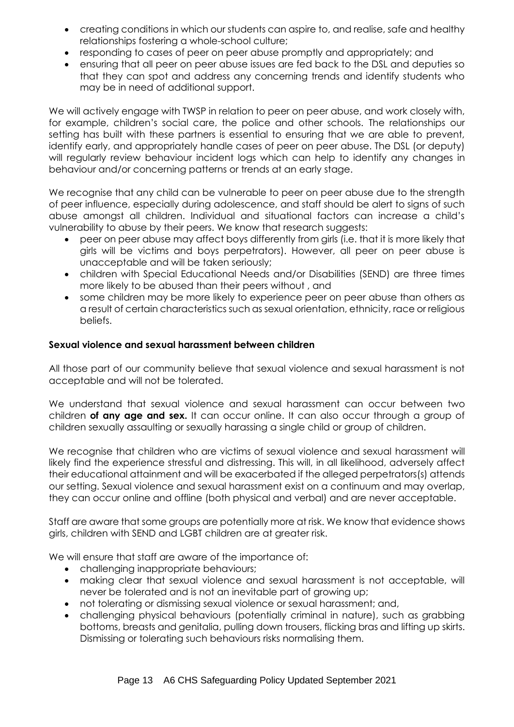- creating conditions in which our students can aspire to, and realise, safe and healthy relationships fostering a whole-school culture;
- responding to cases of peer on peer abuse promptly and appropriately; and
- ensuring that all peer on peer abuse issues are fed back to the DSL and deputies so that they can spot and address any concerning trends and identify students who may be in need of additional support.

We will actively engage with TWSP in relation to peer on peer abuse, and work closely with, for example, children's social care, the police and other schools. The relationships our setting has built with these partners is essential to ensuring that we are able to prevent, identify early, and appropriately handle cases of peer on peer abuse. The DSL (or deputy) will regularly review behaviour incident logs which can help to identify any changes in behaviour and/or concerning patterns or trends at an early stage.

We recognise that any child can be vulnerable to peer on peer abuse due to the strength of peer influence, especially during adolescence, and staff should be alert to signs of such abuse amongst all children. Individual and situational factors can increase a child's vulnerability to abuse by their peers. We know that research suggests:

- peer on peer abuse may affect boys differently from girls (i.e. that it is more likely that girls will be victims and boys perpetrators). However, all peer on peer abuse is unacceptable and will be taken seriously;
- children with Special Educational Needs and/or Disabilities (SEND) are three times more likely to be abused than their peers without , and
- some children may be more likely to experience peer on peer abuse than others as a result of certain characteristics such as sexual orientation, ethnicity, race or religious beliefs.

# **Sexual violence and sexual harassment between children**

All those part of our community believe that sexual violence and sexual harassment is not acceptable and will not be tolerated.

We understand that sexual violence and sexual harassment can occur between two children **of any age and sex.** It can occur online. It can also occur through a group of children sexually assaulting or sexually harassing a single child or group of children.

We recognise that children who are victims of sexual violence and sexual harassment will likely find the experience stressful and distressing. This will, in all likelihood, adversely affect their educational attainment and will be exacerbated if the alleged perpetrators(s) attends our setting. Sexual violence and sexual harassment exist on a continuum and may overlap, they can occur online and offline (both physical and verbal) and are never acceptable.

Staff are aware that some groups are potentially more at risk. We know that evidence shows girls, children with SEND and LGBT children are at greater risk.

We will ensure that staff are aware of the importance of:

- challenging inappropriate behaviours;
- making clear that sexual violence and sexual harassment is not acceptable, will never be tolerated and is not an inevitable part of growing up;
- not tolerating or dismissing sexual violence or sexual harassment; and,
- challenging physical behaviours (potentially criminal in nature), such as grabbing bottoms, breasts and genitalia, pulling down trousers, flicking bras and lifting up skirts. Dismissing or tolerating such behaviours risks normalising them.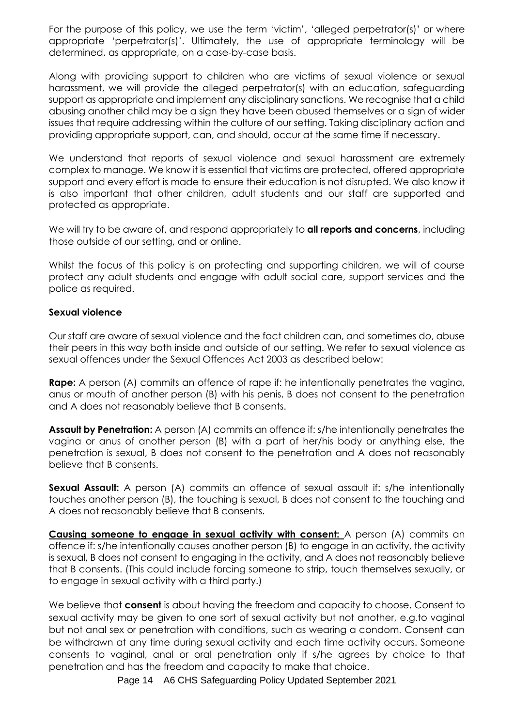For the purpose of this policy, we use the term 'victim', 'alleged perpetrator(s)' or where appropriate 'perpetrator(s)'. Ultimately, the use of appropriate terminology will be determined, as appropriate, on a case-by-case basis.

Along with providing support to children who are victims of sexual violence or sexual harassment, we will provide the alleged perpetrator(s) with an education, safeguarding support as appropriate and implement any disciplinary sanctions. We recognise that a child abusing another child may be a sign they have been abused themselves or a sign of wider issues that require addressing within the culture of our setting. Taking disciplinary action and providing appropriate support, can, and should, occur at the same time if necessary.

We understand that reports of sexual violence and sexual harassment are extremely complex to manage. We know it is essential that victims are protected, offered appropriate support and every effort is made to ensure their education is not disrupted. We also know it is also important that other children, adult students and our staff are supported and protected as appropriate.

We will try to be aware of, and respond appropriately to **all reports and concerns**, including those outside of our setting, and or online.

Whilst the focus of this policy is on protecting and supporting children, we will of course protect any adult students and engage with adult social care, support services and the police as required.

#### **Sexual violence**

Our staff are aware of sexual violence and the fact children can, and sometimes do, abuse their peers in this way both inside and outside of our setting. We refer to sexual violence as sexual offences under the Sexual Offences Act 2003 as described below:

**Rape:** A person (A) commits an offence of rape if: he intentionally penetrates the vagina, anus or mouth of another person (B) with his penis, B does not consent to the penetration and A does not reasonably believe that B consents.

**Assault by Penetration:** A person (A) commits an offence if: s/he intentionally penetrates the vagina or anus of another person (B) with a part of her/his body or anything else, the penetration is sexual, B does not consent to the penetration and A does not reasonably believe that B consents.

**Sexual Assault:** A person (A) commits an offence of sexual assault if: s/he intentionally touches another person (B), the touching is sexual, B does not consent to the touching and A does not reasonably believe that B consents.

**Causing someone to engage in sexual activity with consent:** A person (A) commits an offence if: s/he intentionally causes another person (B) to engage in an activity, the activity is sexual, B does not consent to engaging in the activity, and A does not reasonably believe that B consents. (This could include forcing someone to strip, touch themselves sexually, or to engage in sexual activity with a third party.)

We believe that **consent** is about having the freedom and capacity to choose. Consent to sexual activity may be given to one sort of sexual activity but not another, e.g.to vaginal but not anal sex or penetration with conditions, such as wearing a condom. Consent can be withdrawn at any time during sexual activity and each time activity occurs. Someone consents to vaginal, anal or oral penetration only if s/he agrees by choice to that penetration and has the freedom and capacity to make that choice.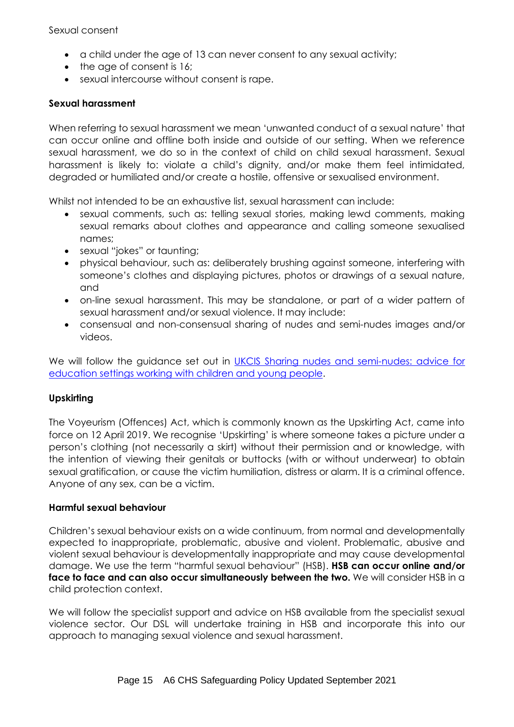Sexual consent

- a child under the age of 13 can never consent to any sexual activity;
- the age of consent is 16;
- sexual intercourse without consent is rape.

# **Sexual harassment**

When referring to sexual harassment we mean 'unwanted conduct of a sexual nature' that can occur online and offline both inside and outside of our setting. When we reference sexual harassment, we do so in the context of child on child sexual harassment. Sexual harassment is likely to: violate a child's dignity, and/or make them feel intimidated, degraded or humiliated and/or create a hostile, offensive or sexualised environment.

Whilst not intended to be an exhaustive list, sexual harassment can include:

- sexual comments, such as: telling sexual stories, making lewd comments, making sexual remarks about clothes and appearance and calling someone sexualised names;
- sexual "jokes" or taunting;
- physical behaviour, such as: deliberately brushing against someone, interfering with someone's clothes and displaying pictures, photos or drawings of a sexual nature, and
- on-line sexual harassment. This may be standalone, or part of a wider pattern of sexual harassment and/or sexual violence. It may include:
- consensual and non-consensual sharing of nudes and semi-nudes images and/or videos.

We will follow the guidance set out in [UKCIS Sharing nudes and semi-nudes: advice for](https://www.gov.uk/government/publications/sharing-nudes-and-semi-nudes-advice-for-education-settings-working-with-children-and-young-people/sharing-nudes-and-semi-nudes-advice-for-education-settings-working-with-children-and-young-people)  [education settings working with children and young people.](https://www.gov.uk/government/publications/sharing-nudes-and-semi-nudes-advice-for-education-settings-working-with-children-and-young-people/sharing-nudes-and-semi-nudes-advice-for-education-settings-working-with-children-and-young-people)

# **Upskirting**

The Voyeurism (Offences) Act, which is commonly known as the Upskirting Act, came into force on 12 April 2019. We recognise 'Upskirting' is where someone takes a picture under a person's clothing (not necessarily a skirt) without their permission and or knowledge, with the intention of viewing their genitals or buttocks (with or without underwear) to obtain sexual gratification, or cause the victim humiliation, distress or alarm. It is a criminal offence. Anyone of any sex, can be a victim.

### **Harmful sexual behaviour**

Children's sexual behaviour exists on a wide continuum, from normal and developmentally expected to inappropriate, problematic, abusive and violent. Problematic, abusive and violent sexual behaviour is developmentally inappropriate and may cause developmental damage. We use the term "harmful sexual behaviour" (HSB). **HSB can occur online and/or face to face and can also occur simultaneously between the two.** We will consider HSB in a child protection context.

We will follow the specialist support and advice on HSB available from the specialist sexual violence sector. Our DSL will undertake training in HSB and incorporate this into our approach to managing sexual violence and sexual harassment.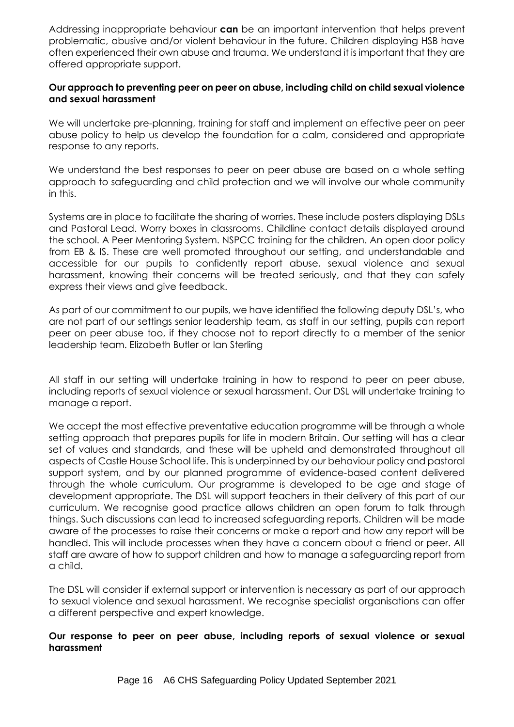Addressing inappropriate behaviour **can** be an important intervention that helps prevent problematic, abusive and/or violent behaviour in the future. Children displaying HSB have often experienced their own abuse and trauma. We understand it is important that they are offered appropriate support.

#### **Our approach to preventing peer on peer on abuse, including child on child sexual violence and sexual harassment**

We will undertake pre-planning, training for staff and implement an effective peer on peer abuse policy to help us develop the foundation for a calm, considered and appropriate response to any reports.

We understand the best responses to peer on peer abuse are based on a whole setting approach to safeguarding and child protection and we will involve our whole community in this.

Systems are in place to facilitate the sharing of worries. These include posters displaying DSLs and Pastoral Lead. Worry boxes in classrooms. Childline contact details displayed around the school. A Peer Mentoring System. NSPCC training for the children. An open door policy from EB & IS. These are well promoted throughout our setting, and understandable and accessible for our pupils to confidently report abuse, sexual violence and sexual harassment, knowing their concerns will be treated seriously, and that they can safely express their views and give feedback.

As part of our commitment to our pupils, we have identified the following deputy DSL's, who are not part of our settings senior leadership team, as staff in our setting, pupils can report peer on peer abuse too, if they choose not to report directly to a member of the senior leadership team. Elizabeth Butler or Ian Sterling

All staff in our setting will undertake training in how to respond to peer on peer abuse, including reports of sexual violence or sexual harassment. Our DSL will undertake training to manage a report.

We accept the most effective preventative education programme will be through a whole setting approach that prepares pupils for life in modern Britain. Our setting will has a clear set of values and standards, and these will be upheld and demonstrated throughout all aspects of Castle House School life. This is underpinned by our behaviour policy and pastoral support system, and by our planned programme of evidence-based content delivered through the whole curriculum. Our programme is developed to be age and stage of development appropriate. The DSL will support teachers in their delivery of this part of our curriculum. We recognise good practice allows children an open forum to talk through things. Such discussions can lead to increased safeguarding reports. Children will be made aware of the processes to raise their concerns or make a report and how any report will be handled. This will include processes when they have a concern about a friend or peer. All staff are aware of how to support children and how to manage a safeguarding report from a child.

The DSL will consider if external support or intervention is necessary as part of our approach to sexual violence and sexual harassment. We recognise specialist organisations can offer a different perspective and expert knowledge.

#### **Our response to peer on peer abuse, including reports of sexual violence or sexual harassment**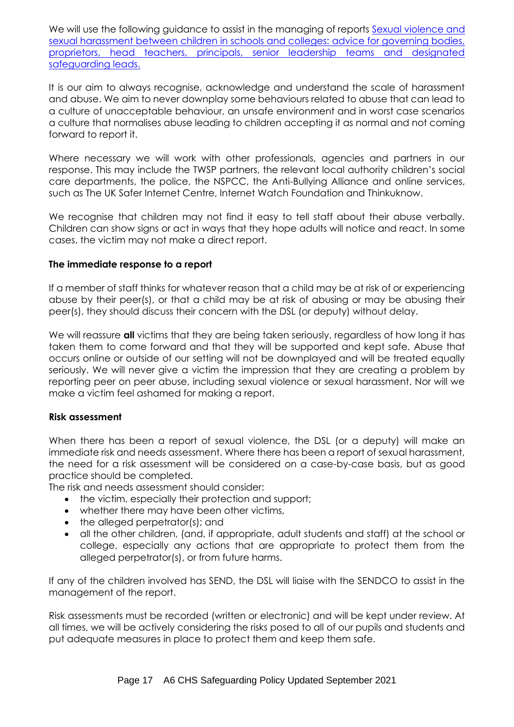We will use the following guidance to assist in the managing of reports Sexual violence and sexual harassment between [children in schools and colleges: advice for governing bodies,](https://www.gov.uk/government/publications/sexual-violence-and-sexual-harassment-between-children-in-schools-and-colleges)  [proprietors, head teachers, principals, senior leadership teams and designated](https://www.gov.uk/government/publications/sexual-violence-and-sexual-harassment-between-children-in-schools-and-colleges)  [safeguarding leads.](https://www.gov.uk/government/publications/sexual-violence-and-sexual-harassment-between-children-in-schools-and-colleges)

It is our aim to always recognise, acknowledge and understand the scale of harassment and abuse. We aim to never downplay some behaviours related to abuse that can lead to a culture of unacceptable behaviour, an unsafe environment and in worst case scenarios a culture that normalises abuse leading to children accepting it as normal and not coming forward to report it.

Where necessary we will work with other professionals, agencies and partners in our response. This may include the TWSP partners, the relevant local authority children's social care departments, the police, the NSPCC, the Anti-Bullying Alliance and online services, such as The UK Safer Internet Centre, Internet Watch Foundation and Thinkuknow.

We recognise that children may not find it easy to tell staff about their abuse verbally. Children can show signs or act in ways that they hope adults will notice and react. In some cases, the victim may not make a direct report.

#### **The immediate response to a report**

If a member of staff thinks for whatever reason that a child may be at risk of or experiencing abuse by their peer(s), or that a child may be at risk of abusing or may be abusing their peer(s), they should discuss their concern with the DSL (or deputy) without delay.

We will reassure **all** victims that they are being taken seriously, regardless of how long it has taken them to come forward and that they will be supported and kept safe. Abuse that occurs online or outside of our setting will not be downplayed and will be treated equally seriously. We will never give a victim the impression that they are creating a problem by reporting peer on peer abuse, including sexual violence or sexual harassment. Nor will we make a victim feel ashamed for making a report.

# **Risk assessment**

When there has been a report of sexual violence, the DSL (or a deputy) will make an immediate risk and needs assessment. Where there has been a report of sexual harassment, the need for a risk assessment will be considered on a case-by-case basis, but as good practice should be completed.

The risk and needs assessment should consider:

- the victim, especially their protection and support;
- whether there may have been other victims,
- the alleged perpetrator(s); and
- all the other children, (and, if appropriate, adult students and staff) at the school or college, especially any actions that are appropriate to protect them from the alleged perpetrator(s), or from future harms.

If any of the children involved has SEND, the DSL will liaise with the SENDCO to assist in the management of the report.

Risk assessments must be recorded (written or electronic) and will be kept under review. At all times, we will be actively considering the risks posed to all of our pupils and students and put adequate measures in place to protect them and keep them safe.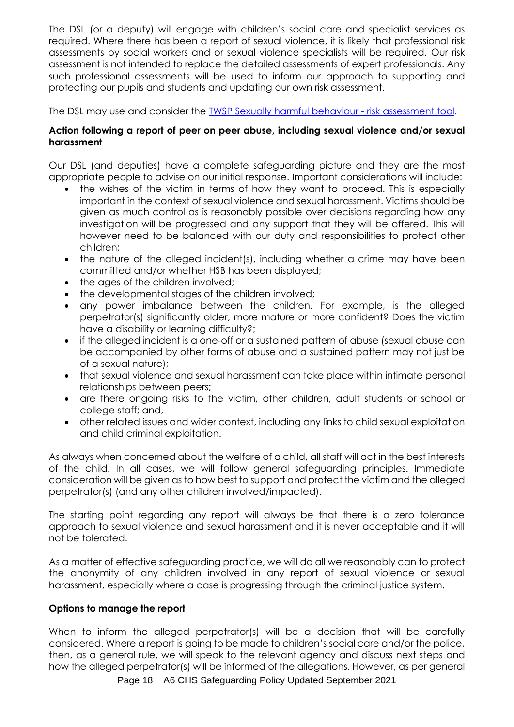The DSL (or a deputy) will engage with children's social care and specialist services as required. Where there has been a report of sexual violence, it is likely that professional risk assessments by social workers and or sexual violence specialists will be required. Our risk assessment is not intended to replace the detailed assessments of expert professionals. Any such professional assessments will be used to inform our approach to supporting and protecting our pupils and students and updating our own risk assessment.

The DSL may use and consider the [TWSP Sexually harmful behaviour -](http://www.telfordsafeguardingboard.org.uk/lscb/downloads/file/38/sexually_harmful_behaviour_-_risk_assessment_tool) risk assessment tool.

# **Action following a report of peer on peer abuse, including sexual violence and/or sexual harassment**

Our DSL (and deputies) have a complete safeguarding picture and they are the most appropriate people to advise on our initial response. Important considerations will include:

- the wishes of the victim in terms of how they want to proceed. This is especially important in the context of sexual violence and sexual harassment. Victims should be given as much control as is reasonably possible over decisions regarding how any investigation will be progressed and any support that they will be offered. This will however need to be balanced with our duty and responsibilities to protect other children;
- the nature of the alleged incident(s), including whether a crime may have been committed and/or whether HSB has been displayed;
- the ages of the children involved;
- the developmental stages of the children involved;
- any power imbalance between the children. For example, is the alleged perpetrator(s) significantly older, more mature or more confident? Does the victim have a disability or learning difficulty?;
- if the alleged incident is a one-off or a sustained pattern of abuse (sexual abuse can be accompanied by other forms of abuse and a sustained pattern may not just be of a sexual nature);
- that sexual violence and sexual harassment can take place within intimate personal relationships between peers;
- are there ongoing risks to the victim, other children, adult students or school or college staff; and,
- other related issues and wider context, including any links to child sexual exploitation and child criminal exploitation.

As always when concerned about the welfare of a child, all staff will act in the best interests of the child. In all cases, we will follow general safeguarding principles. Immediate consideration will be given as to how best to support and protect the victim and the alleged perpetrator(s) (and any other children involved/impacted).

The starting point regarding any report will always be that there is a zero tolerance approach to sexual violence and sexual harassment and it is never acceptable and it will not be tolerated.

As a matter of effective safeguarding practice, we will do all we reasonably can to protect the anonymity of any children involved in any report of sexual violence or sexual harassment, especially where a case is progressing through the criminal justice system.

# **Options to manage the report**

When to inform the alleged perpetrator(s) will be a decision that will be carefully considered. Where a report is going to be made to children's social care and/or the police, then, as a general rule, we will speak to the relevant agency and discuss next steps and how the alleged perpetrator(s) will be informed of the allegations. However, as per general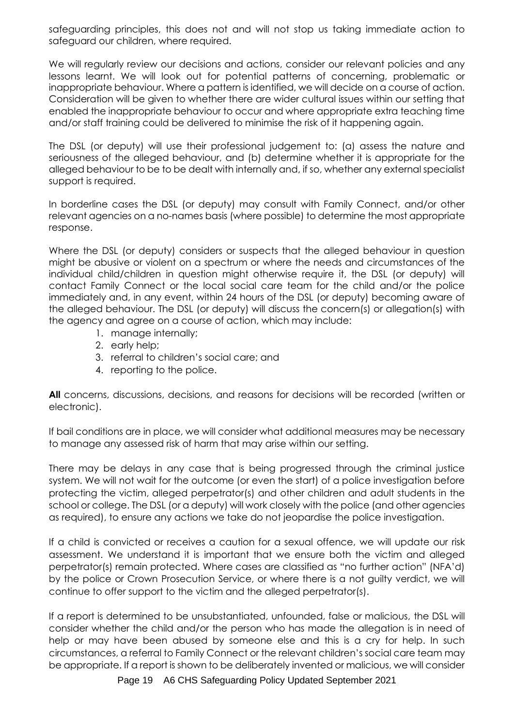safeguarding principles, this does not and will not stop us taking immediate action to safeguard our children, where required.

We will regularly review our decisions and actions, consider our relevant policies and any lessons learnt. We will look out for potential patterns of concerning, problematic or inappropriate behaviour. Where a pattern is identified, we will decide on a course of action. Consideration will be given to whether there are wider cultural issues within our setting that enabled the inappropriate behaviour to occur and where appropriate extra teaching time and/or staff training could be delivered to minimise the risk of it happening again.

The DSL (or deputy) will use their professional judgement to: (a) assess the nature and seriousness of the alleged behaviour, and (b) determine whether it is appropriate for the alleged behaviour to be to be dealt with internally and, if so, whether any external specialist support is required.

In borderline cases the DSL (or deputy) may consult with Family Connect, and/or other relevant agencies on a no-names basis (where possible) to determine the most appropriate response.

Where the DSL (or deputy) considers or suspects that the alleged behaviour in question might be abusive or violent on a spectrum or where the needs and circumstances of the individual child/children in question might otherwise require it, the DSL (or deputy) will contact Family Connect or the local social care team for the child and/or the police immediately and, in any event, within 24 hours of the DSL (or deputy) becoming aware of the alleged behaviour. The DSL (or deputy) will discuss the concern(s) or allegation(s) with the agency and agree on a course of action, which may include:

- 1. manage internally;
- 2. early help;
- 3. referral to children's social care; and
- 4. reporting to the police.

**All** concerns, discussions, decisions, and reasons for decisions will be recorded (written or electronic).

If bail conditions are in place, we will consider what additional measures may be necessary to manage any assessed risk of harm that may arise within our setting.

There may be delays in any case that is being progressed through the criminal justice system. We will not wait for the outcome (or even the start) of a police investigation before protecting the victim, alleged perpetrator(s) and other children and adult students in the school or college. The DSL (or a deputy) will work closely with the police (and other agencies as required), to ensure any actions we take do not jeopardise the police investigation.

If a child is convicted or receives a caution for a sexual offence, we will update our risk assessment. We understand it is important that we ensure both the victim and alleged perpetrator(s) remain protected. Where cases are classified as "no further action" (NFA'd) by the police or Crown Prosecution Service, or where there is a not guilty verdict, we will continue to offer support to the victim and the alleged perpetrator(s).

If a report is determined to be unsubstantiated, unfounded, false or malicious, the DSL will consider whether the child and/or the person who has made the allegation is in need of help or may have been abused by someone else and this is a cry for help. In such circumstances, a referral to Family Connect or the relevant children's social care team may be appropriate. If a report is shown to be deliberately invented or malicious, we will consider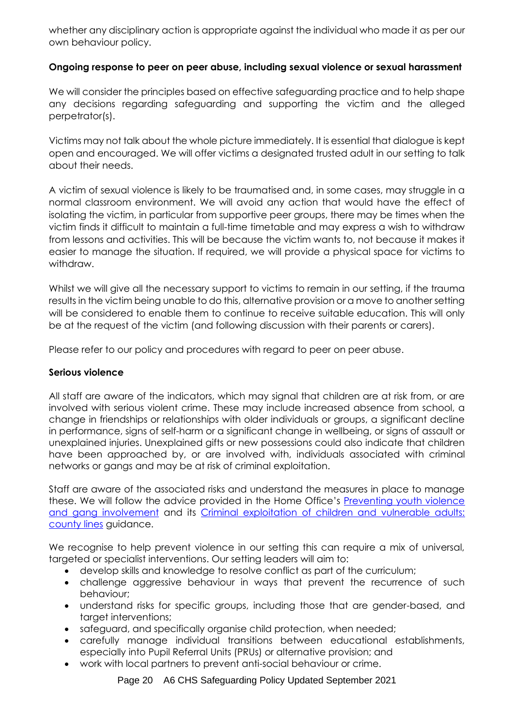whether any disciplinary action is appropriate against the individual who made it as per our own behaviour policy.

# **Ongoing response to peer on peer abuse, including sexual violence or sexual harassment**

We will consider the principles based on effective safeguarding practice and to help shape any decisions regarding safeguarding and supporting the victim and the alleged perpetrator(s).

Victims may not talk about the whole picture immediately. It is essential that dialogue is kept open and encouraged. We will offer victims a designated trusted adult in our setting to talk about their needs.

A victim of sexual violence is likely to be traumatised and, in some cases, may struggle in a normal classroom environment. We will avoid any action that would have the effect of isolating the victim, in particular from supportive peer groups, there may be times when the victim finds it difficult to maintain a full-time timetable and may express a wish to withdraw from lessons and activities. This will be because the victim wants to, not because it makes it easier to manage the situation. If required, we will provide a physical space for victims to withdraw.

Whilst we will give all the necessary support to victims to remain in our setting, if the trauma results in the victim being unable to do this, alternative provision or a move to another setting will be considered to enable them to continue to receive suitable education. This will only be at the request of the victim (and following discussion with their parents or carers).

Please refer to our policy and procedures with regard to peer on peer abuse.

# **Serious violence**

All staff are aware of the indicators, which may signal that children are at risk from, or are involved with serious violent crime. These may include increased absence from school, a change in friendships or relationships with older individuals or groups, a significant decline in performance, signs of self-harm or a significant change in wellbeing, or signs of assault or unexplained injuries. Unexplained gifts or new possessions could also indicate that children have been approached by, or are involved with, individuals associated with criminal networks or gangs and may be at risk of criminal exploitation.

Staff are aware of the associated risks and understand the measures in place to manage these. We will follow the advice provided in the Home Office's [Preventing youth violence](https://www.gov.uk/government/publications/advice-to-schools-and-colleges-on-gangs-and-youth-violence)  [and gang involvement](https://www.gov.uk/government/publications/advice-to-schools-and-colleges-on-gangs-and-youth-violence) and its [Criminal exploitation of children and vulnerable adults:](https://www.gov.uk/government/publications/criminal-exploitation-of-children-and-vulnerable-adults-county-lines)  [county lines](https://www.gov.uk/government/publications/criminal-exploitation-of-children-and-vulnerable-adults-county-lines) guidance.

We recognise to help prevent violence in our setting this can require a mix of universal, targeted or specialist interventions. Our setting leaders will aim to:

- develop skills and knowledge to resolve conflict as part of the curriculum;
- challenge aggressive behaviour in ways that prevent the recurrence of such behaviour;
- understand risks for specific groups, including those that are gender-based, and target interventions;
- safeguard, and specifically organise child protection, when needed;
- carefully manage individual transitions between educational establishments, especially into Pupil Referral Units (PRUs) or alternative provision; and
- work with local partners to prevent anti-social behaviour or crime.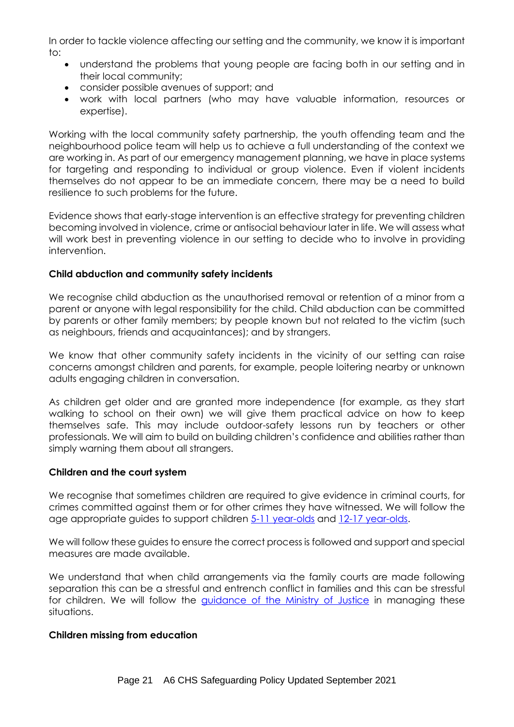In order to tackle violence affecting our setting and the community, we know it is important to:

- understand the problems that young people are facing both in our setting and in their local community;
- consider possible avenues of support; and
- work with local partners (who may have valuable information, resources or expertise).

Working with the local community safety partnership, the youth offending team and the neighbourhood police team will help us to achieve a full understanding of the context we are working in. As part of our emergency management planning, we have in place systems for targeting and responding to individual or group violence. Even if violent incidents themselves do not appear to be an immediate concern, there may be a need to build resilience to such problems for the future.

Evidence shows that early-stage intervention is an effective strategy for preventing children becoming involved in violence, crime or antisocial behaviour later in life. We will assess what will work best in preventing violence in our setting to decide who to involve in providing intervention.

# **Child abduction and community safety incidents**

We recognise child abduction as the unauthorised removal or retention of a minor from a parent or anyone with legal responsibility for the child. Child abduction can be committed by parents or other family members; by people known but not related to the victim (such as neighbours, friends and acquaintances); and by strangers.

We know that other community safety incidents in the vicinity of our setting can raise concerns amongst children and parents, for example, people loitering nearby or unknown adults engaging children in conversation.

As children get older and are granted more independence (for example, as they start walking to school on their own) we will give them practical advice on how to keep themselves safe. This may include outdoor-safety lessons run by teachers or other professionals. We will aim to build on building children's confidence and abilities rather than simply warning them about all strangers.

# **Children and the court system**

We recognise that sometimes children are required to give evidence in criminal courts, for crimes committed against them or for other crimes they have witnessed. We will follow the age appropriate guides to support children [5-11 year-olds](https://www.gov.uk/government/publications/young-witness-booklet-for-5-to-11-year-olds) and [12-17 year-olds.](https://www.gov.uk/government/publications/young-witness-booklet-for-12-to-17-year-olds)

We will follow these guides to ensure the correct process is followed and support and special measures are made available.

We understand that when child arrangements via the family courts are made following separation this can be a stressful and entrench conflict in families and this can be stressful for children. We will follow the [guidance of the Ministry of Justice](https://helpwithchildarrangements.service.justice.gov.uk/) in managing these situations.

# **Children missing from education**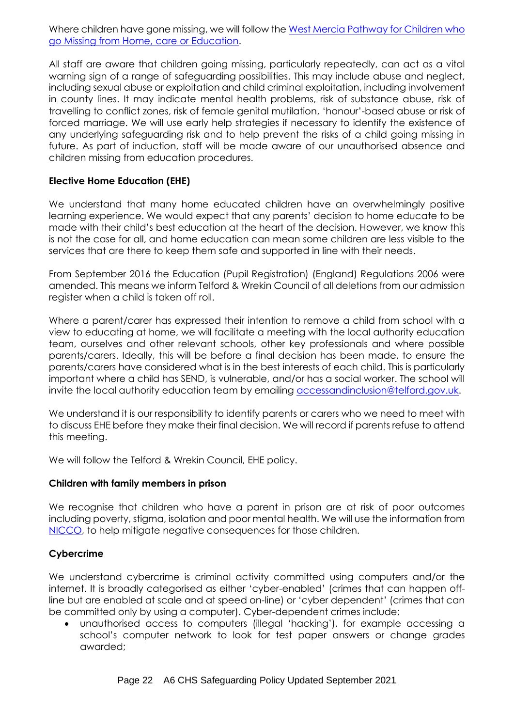Where children have gone missing, we will follow the West Mercia Pathway for Children who [go Missing from Home, care or Education.](https://westmidlands.procedures.org.uk/assets/clients/6/Telford%20and%20Wrekin%20Downloads/West%20Mercia%20Missing%20Pathway%20%20-%20FINAL.pdf)

All staff are aware that children going missing, particularly repeatedly, can act as a vital warning sign of a range of safeguarding possibilities. This may include abuse and neglect, including sexual abuse or exploitation and child criminal exploitation, including involvement in county lines. It may indicate mental health problems, risk of substance abuse, risk of travelling to conflict zones, risk of female genital mutilation, 'honour'-based abuse or risk of forced marriage. We will use early help strategies if necessary to identify the existence of any underlying safeguarding risk and to help prevent the risks of a child going missing in future. As part of induction, staff will be made aware of our unauthorised absence and children missing from education procedures.

# **Elective Home Education (EHE)**

We understand that many home educated children have an overwhelmingly positive learning experience. We would expect that any parents' decision to home educate to be made with their child's best education at the heart of the decision. However, we know this is not the case for all, and home education can mean some children are less visible to the services that are there to keep them safe and supported in line with their needs.

From September 2016 the Education (Pupil Registration) (England) Regulations 2006 were amended. This means we inform Telford & Wrekin Council of all deletions from our admission register when a child is taken off roll.

Where a parent/carer has expressed their intention to remove a child from school with a view to educating at home, we will facilitate a meeting with the local authority education team, ourselves and other relevant schools, other key professionals and where possible parents/carers. Ideally, this will be before a final decision has been made, to ensure the parents/carers have considered what is in the best interests of each child. This is particularly important where a child has SEND, is vulnerable, and/or has a social worker. The school will invite the local authority education team by emailing [accessandinclusion@telford.gov.uk.](mailto:accessandinclusion@telford.gov.uk)

We understand it is our responsibility to identify parents or carers who we need to meet with to discuss EHE before they make their final decision. We will record if parents refuse to attend this meeting.

We will follow the Telford & Wrekin Council, EHE policy.

# **Children with family members in prison**

We recognise that children who have a parent in prison are at risk of poor outcomes including poverty, stigma, isolation and poor mental health. We will use the information from [NICCO,](https://www.nicco.org.uk/) to help mitigate negative consequences for those children.

# **Cybercrime**

We understand cybercrime is criminal activity committed using computers and/or the internet. It is broadly categorised as either 'cyber-enabled' (crimes that can happen offline but are enabled at scale and at speed on-line) or 'cyber dependent' (crimes that can be committed only by using a computer). Cyber-dependent crimes include;

• unauthorised access to computers (illegal 'hacking'), for example accessing a school's computer network to look for test paper answers or change grades awarded;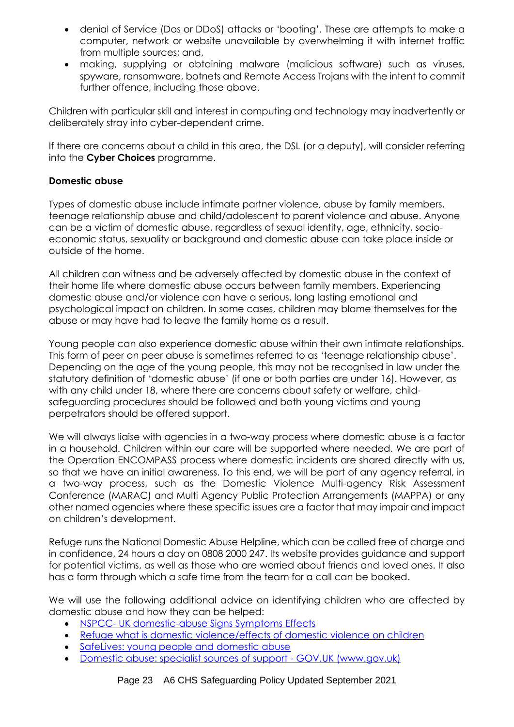- denial of Service (Dos or DDoS) attacks or 'booting'. These are attempts to make a computer, network or website unavailable by overwhelming it with internet traffic from multiple sources; and,
- making, supplying or obtaining malware (malicious software) such as viruses, spyware, ransomware, botnets and Remote Access Trojans with the intent to commit further offence, including those above.

Children with particular skill and interest in computing and technology may inadvertently or deliberately stray into cyber-dependent crime.

If there are concerns about a child in this area, the DSL (or a deputy), will consider referring into the **Cyber Choices** programme.

# **Domestic abuse**

Types of domestic abuse include intimate partner violence, abuse by family members, teenage relationship abuse and child/adolescent to parent violence and abuse. Anyone can be a victim of domestic abuse, regardless of sexual identity, age, ethnicity, socioeconomic status, sexuality or background and domestic abuse can take place inside or outside of the home.

All children can witness and be adversely affected by domestic abuse in the context of their home life where domestic abuse occurs between family members. Experiencing domestic abuse and/or violence can have a serious, long lasting emotional and psychological impact on children. In some cases, children may blame themselves for the abuse or may have had to leave the family home as a result.

Young people can also experience domestic abuse within their own intimate relationships. This form of peer on peer abuse is sometimes referred to as 'teenage relationship abuse'. Depending on the age of the young people, this may not be recognised in law under the statutory definition of 'domestic abuse' (if one or both parties are under 16). However, as with any child under 18, where there are concerns about safety or welfare, childsafeguarding procedures should be followed and both young victims and young perpetrators should be offered support.

We will always liaise with agencies in a two-way process where domestic abuse is a factor in a household. Children within our care will be supported where needed. We are part of the Operation ENCOMPASS process where domestic incidents are shared directly with us, so that we have an initial awareness. To this end, we will be part of any agency referral, in a two-way process, such as the Domestic Violence Multi-agency Risk Assessment Conference (MARAC) and Multi Agency Public Protection Arrangements (MAPPA) or any other named agencies where these specific issues are a factor that may impair and impact on children's development.

Refuge runs the National Domestic Abuse Helpline, which can be called free of charge and in confidence, 24 hours a day on 0808 2000 247. Its website provides guidance and support for potential victims, as well as those who are worried about friends and loved ones. It also has a form through which a safe time from the team for a call can be booked.

We will use the following additional advice on identifying children who are affected by domestic abuse and how they can be helped:

- NSPCC- [UK domestic-abuse Signs](https://www.nspcc.org.uk/what-is-child-abuse/types-of-abuse/domestic-abuse/) Symptoms Effects
- [Refuge what is domestic violence/effects of domestic violence on children](http://www.refuge.org.uk/get-help-now/support-for-women/what-about-my-children/)
- [SafeLives: young people and domestic abuse](https://safelives.org.uk/knowledge-hub/spotlights/spotlight-3-young-people-and-domestic-abuse)
- [Domestic abuse: specialist sources of support -](https://telfordeducation-my.sharepoint.com/personal/ian_sterling_castlehouseschool_co_uk/Documents/Attachments/Domestic%20abuse:%20specialist%20sources%20of%20support%20-%20GOV.UK%20(www.gov.uk)) GOV.UK (www.gov.uk)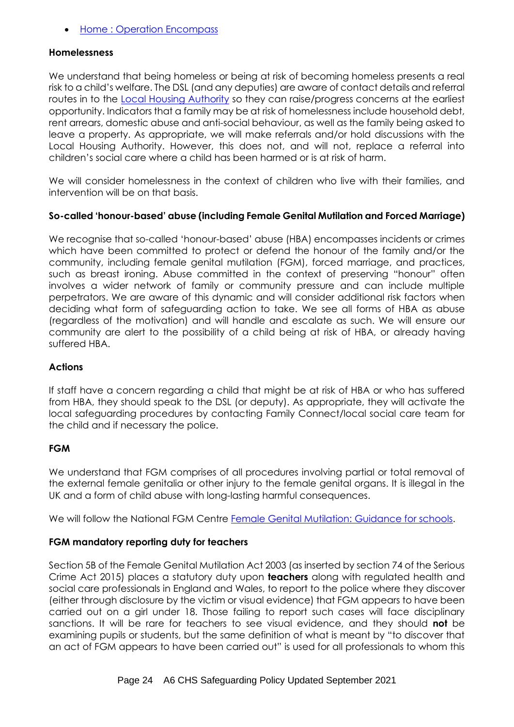• [Home : Operation Encompass](https://www.operationencompass.org/)

#### **Homelessness**

We understand that being homeless or being at risk of becoming homeless presents a real risk to a child's welfare. The DSL (and any deputies) are aware of contact details and referral routes in to the [Local Housing Authority](https://www.telford.gov.uk/info/20665/are_you_at_risk_of_becoming_homeless/22/homelessness) so they can raise/progress concerns at the earliest opportunity. Indicators that a family may be at risk of homelessness include household debt, rent arrears, domestic abuse and anti-social behaviour, as well as the family being asked to leave a property. As appropriate, we will make referrals and/or hold discussions with the Local Housing Authority. However, this does not, and will not, replace a referral into children's social care where a child has been harmed or is at risk of harm.

We will consider homelessness in the context of children who live with their families, and intervention will be on that basis.

# **So-called 'honour-based' abuse (including Female Genital Mutilation and Forced Marriage)**

We recognise that so-called 'honour-based' abuse (HBA) encompasses incidents or crimes which have been committed to protect or defend the honour of the family and/or the community, including female genital mutilation (FGM), forced marriage, and practices, such as breast ironing. Abuse committed in the context of preserving "honour" often involves a wider network of family or community pressure and can include multiple perpetrators. We are aware of this dynamic and will consider additional risk factors when deciding what form of safeguarding action to take. We see all forms of HBA as abuse (regardless of the motivation) and will handle and escalate as such. We will ensure our community are alert to the possibility of a child being at risk of HBA, or already having suffered HBA.

### **Actions**

If staff have a concern regarding a child that might be at risk of HBA or who has suffered from HBA, they should speak to the DSL (or deputy). As appropriate, they will activate the local safeguarding procedures by contacting Family Connect/local social care team for the child and if necessary the police.

#### **FGM**

We understand that FGM comprises of all procedures involving partial or total removal of the external female genitalia or other injury to the female genital organs. It is illegal in the UK and a form of child abuse with long-lasting harmful consequences.

We will follow the National FGM Centre [Female Genital Mutilation: Guidance for schools.](http://nationalfgmcentre.org.uk/wp-content/uploads/2019/06/FGM-Schools-Guidance-National-FGM-Centre.pdf)

# **FGM mandatory reporting duty for teachers**

Section 5B of the Female Genital Mutilation Act 2003 (as inserted by section 74 of the Serious Crime Act 2015) places a statutory duty upon **teachers** along with regulated health and social care professionals in England and Wales, to report to the police where they discover (either through disclosure by the victim or visual evidence) that FGM appears to have been carried out on a girl under 18. Those failing to report such cases will face disciplinary sanctions. It will be rare for teachers to see visual evidence, and they should **not** be examining pupils or students, but the same definition of what is meant by "to discover that an act of FGM appears to have been carried out" is used for all professionals to whom this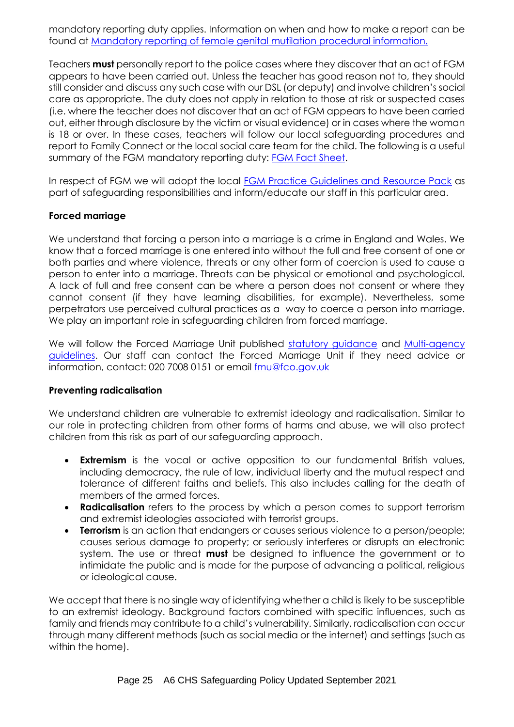mandatory reporting duty applies. Information on when and how to make a report can be found at [Mandatory reporting of female genital mutilation procedural information.](https://www.gov.uk/government/publications/mandatory-reporting-of-female-genital-mutilation-procedural-information)

Teachers **must** personally report to the police cases where they discover that an act of FGM appears to have been carried out. Unless the teacher has good reason not to, they should still consider and discuss any such case with our DSL (or deputy) and involve children's social care as appropriate. The duty does not apply in relation to those at risk or suspected cases (i.e. where the teacher does not discover that an act of FGM appears to have been carried out, either through disclosure by the victim or visual evidence) or in cases where the woman is 18 or over. In these cases, teachers will follow our local safeguarding procedures and report to Family Connect or the local social care team for the child. The following is a useful summary of the FGM mandatory reporting duty: [FGM Fact Sheet.](https://assets.publishing.service.gov.uk/government/uploads/system/uploads/attachment_data/file/496415/6_1639_HO_SP_FGM_mandatory_reporting_Fact_sheet_Web.pdf)

In respect of FGM we will adopt the local [FGM Practice Guidelines and Resource Pack](https://westmidlands.procedures.org.uk/pkplt/regional-safeguarding-guidance/female-genital-mutilation) as part of safeguarding responsibilities and inform/educate our staff in this particular area.

#### **Forced marriage**

We understand that forcing a person into a marriage is a crime in England and Wales. We know that a forced marriage is one entered into without the full and free consent of one or both parties and where violence, threats or any other form of coercion is used to cause a person to enter into a marriage. Threats can be physical or emotional and psychological. A lack of full and free consent can be where a person does not consent or where they cannot consent (if they have learning disabilities, for example). Nevertheless, some perpetrators use perceived cultural practices as a way to coerce a person into marriage. We play an important role in safeguarding children from forced marriage.

We will follow the Forced Marriage Unit published [statutory guidance](https://www.gov.uk/guidance/forced-marriage) and [Multi-agency](https://assets.publishing.service.gov.uk/government/uploads/system/uploads/attachment_data/file/322307/HMG_MULTI_AGENCY_PRACTICE_GUIDELINES_v1_180614_FINAL.pdf) [guidelines.](https://assets.publishing.service.gov.uk/government/uploads/system/uploads/attachment_data/file/322307/HMG_MULTI_AGENCY_PRACTICE_GUIDELINES_v1_180614_FINAL.pdf) Our staff can contact the Forced Marriage Unit if they need advice or information, contact: 020 7008 0151 or email [fmu@fco.gov.uk](mailto:fmu@fco.gov.uk)

#### **Preventing radicalisation**

We understand children are vulnerable to extremist ideology and radicalisation. Similar to our role in protecting children from other forms of harms and abuse, we will also protect children from this risk as part of our safeguarding approach.

- **Extremism** is the vocal or active opposition to our fundamental British values, including democracy, the rule of law, individual liberty and the mutual respect and tolerance of different faiths and beliefs. This also includes calling for the death of members of the armed forces.
- **Radicalisation** refers to the process by which a person comes to support terrorism and extremist ideologies associated with terrorist groups.
- **Terrorism** is an action that endangers or causes serious violence to a person/people; causes serious damage to property; or seriously interferes or disrupts an electronic system. The use or threat **must** be designed to influence the government or to intimidate the public and is made for the purpose of advancing a political, religious or ideological cause.

We accept that there is no single way of identifying whether a child is likely to be susceptible to an extremist ideology. Background factors combined with specific influences, such as family and friends may contribute to a child's vulnerability. Similarly, radicalisation can occur through many different methods (such as social media or the internet) and settings (such as within the home).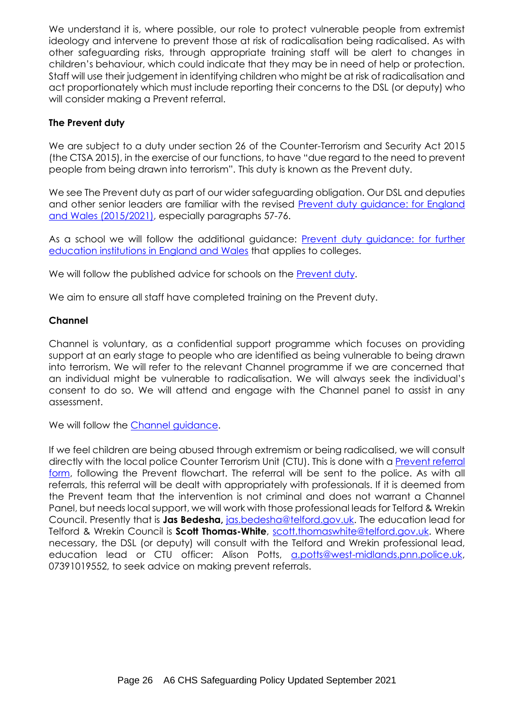We understand it is, where possible, our role to protect vulnerable people from extremist ideology and intervene to prevent those at risk of radicalisation being radicalised. As with other safeguarding risks, through appropriate training staff will be alert to changes in children's behaviour, which could indicate that they may be in need of help or protection. Staff will use their judgement in identifying children who might be at risk of radicalisation and act proportionately which must include reporting their concerns to the DSL (or deputy) who will consider making a Prevent referral.

# **The Prevent duty**

We are subject to a duty under section 26 of the Counter-Terrorism and Security Act 2015 (the CTSA 2015), in the exercise of our functions, to have "due regard to the need to prevent people from being drawn into terrorism". This duty is known as the Prevent duty.

We see The Prevent duty as part of our wider safeguarding obligation. Our DSL and deputies and other senior leaders are familiar with the revised [Prevent duty guidance: for England](https://www.gov.uk/government/publications/prevent-duty-guidance)  [and Wales](https://www.gov.uk/government/publications/prevent-duty-guidance) (2015/2021), especially paragraphs 57-76.

As a school we will follow the additional guidance: [Prevent duty guidance: for further](https://www.gov.uk/government/publications/prevent-duty-guidance/prevent-duty-guidance-for-further-education-institutions-in-england-and-wales)  [education institutions in England and Wales](https://www.gov.uk/government/publications/prevent-duty-guidance/prevent-duty-guidance-for-further-education-institutions-in-england-and-wales) that applies to colleges.

We will follow the published advice for schools on the **Prevent duty**.

We aim to ensure all staff have completed training on the Prevent duty.

# **Channel**

Channel is voluntary, as a confidential support programme which focuses on providing support at an early stage to people who are identified as being vulnerable to being drawn into terrorism. We will refer to the relevant Channel programme if we are concerned that an individual might be vulnerable to radicalisation. We will always seek the individual's consent to do so. We will attend and engage with the Channel panel to assist in any assessment.

We will follow the [Channel guidance.](https://www.gov.uk/government/publications/channel-guidance)

If we feel children are being abused through extremism or being radicalised, we will consult directly with the local police Counter Terrorism Unit (CTU). This is done with [a Prevent referral](https://www.telford.gov.uk/downloads/file/17302/referral_form)  [form,](https://www.telford.gov.uk/downloads/file/17302/referral_form) following the Prevent flowchart. The referral will be sent to the police. As with all referrals, this referral will be dealt with appropriately with professionals. If it is deemed from the Prevent team that the intervention is not criminal and does not warrant a Channel Panel, but needs local support, we will work with those professional leads for Telford & Wrekin Council. Presently that is **Jas Bedesha,** [jas.bedesha@telford.gov.uk.](mailto:jas.bedesha@telford.gov.uk) The education lead for Telford & Wrekin Council is **Scott Thomas-White**, [scott.thomaswhite@telford.gov.uk.](mailto:scott.thomaswhite@telford.gov.uk) Where necessary, the DSL (or deputy) will consult with the Telford and Wrekin professional lead, education lead or CTU officer: Alison Potts, [a.potts@west-midlands.pnn.police.uk,](mailto:a.potts@west-midlands.pnn.police.uk) 07391019552, to seek advice on making prevent referrals.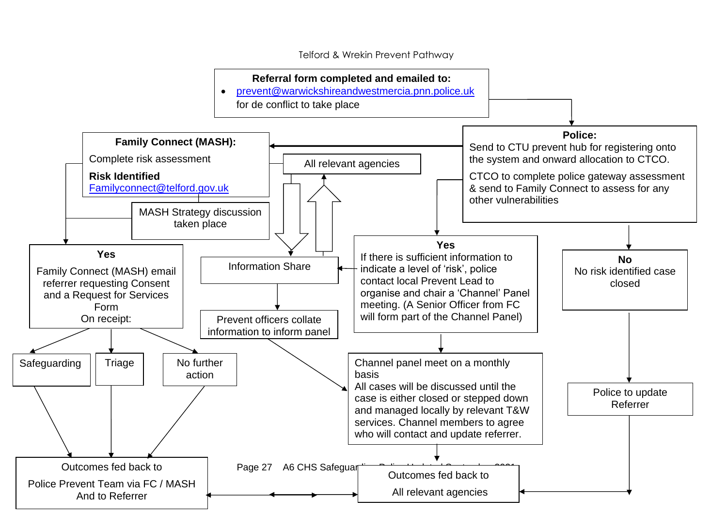Telford & Wrekin Prevent Pathway

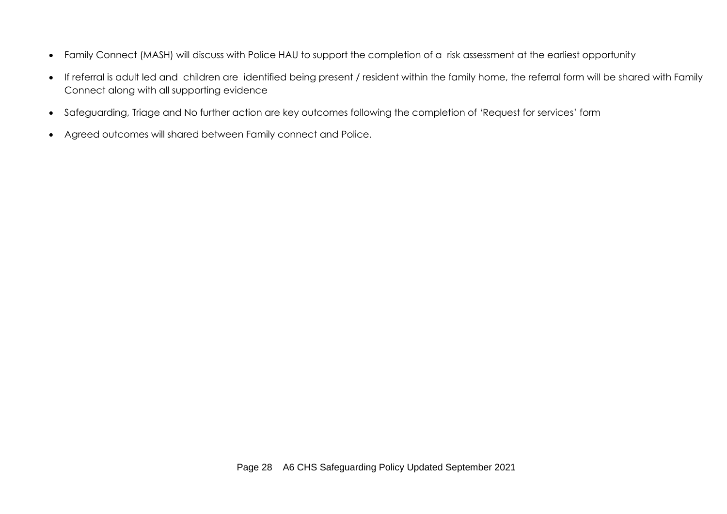- Family Connect (MASH) will discuss with Police HAU to support the completion of a risk assessment at the earliest opportunity
- If referral is adult led and children are identified being present / resident within the family home, the referral form will be shared with Family Connect along with all supporting evidence
- Safeguarding, Triage and No further action are key outcomes following the completion of 'Request for services' form
- Agreed outcomes will shared between Family connect and Police.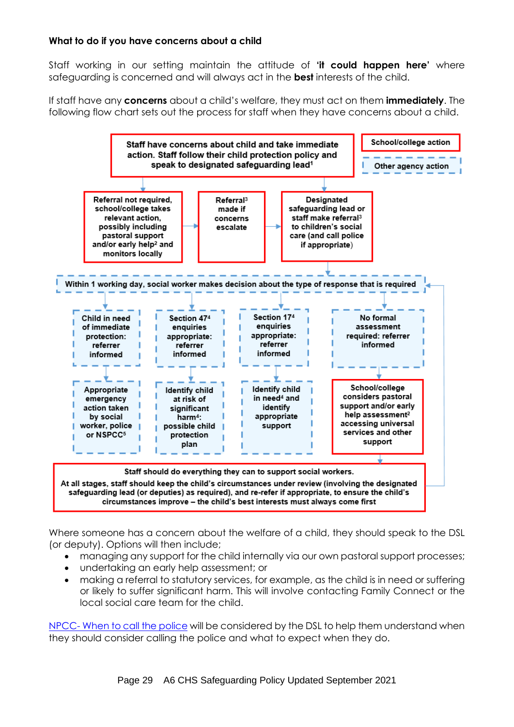# **What to do if you have concerns about a child**

Staff working in our setting maintain the attitude of **'it could happen here'** where safeguarding is concerned and will always act in the **best** interests of the child.

If staff have any **concerns** about a child's welfare, they must act on them **immediately**. The following flow chart sets out the process for staff when they have concerns about a child.



Where someone has a concern about the welfare of a child, they should speak to the DSL (or deputy). Options will then include;

- managing any support for the child internally via our own pastoral support processes;
- undertaking an early help assessment; or
- making a referral to statutory services, for example, as the child is in need or suffering or likely to suffer significant harm. This will involve contacting Family Connect or the local social care team for the child.

NPCC- [When to call the police](https://www.npcc.police.uk/documents/Children%20and%20Young%20people/When%20to%20call%20the%20police%20guidance%20for%20schools%20and%20colleges.pdf) will be considered by the DSL to help them understand when they should consider calling the police and what to expect when they do.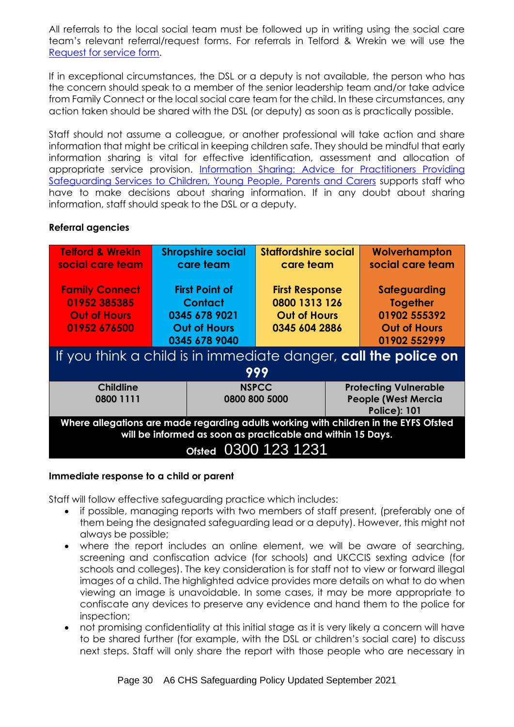All referrals to the local social team must be followed up in writing using the social care team's relevant referral/request forms. For referrals in Telford & Wrekin we will use the [Request for service form.](https://www.telfordsafeguardingboard.org.uk/downloads/file/391/family_connect_safeguarding_request_for_service_form_2019)

If in exceptional circumstances, the DSL or a deputy is not available, the person who has the concern should speak to a member of the senior leadership team and/or take advice from Family Connect or the local social care team for the child. In these circumstances, any action taken should be shared with the DSL (or deputy) as soon as is practically possible.

Staff should not assume a colleague, or another professional will take action and share information that might be critical in keeping children safe. They should be mindful that early information sharing is vital for effective identification, assessment and allocation of appropriate service provision. [Information Sharing: Advice for Practitioners Providing](https://www.gov.uk/government/publications/safeguarding-practitioners-information-sharing-advice)  [Safeguarding Services to Children, Young People, Parents and Carers](https://www.gov.uk/government/publications/safeguarding-practitioners-information-sharing-advice) supports staff who have to make decisions about sharing information. If in any doubt about sharing information, staff should speak to the DSL or a deputy.

# **Referral agencies**

| <b>Telford &amp; Wrekin</b><br>social care team                                                                                                                             | <b>Shropshire social</b><br>care team                                                            |                               | <b>Staffordshire social</b><br>care team                                       |                                                                                   | Wolverhampton<br>social care team                                                      |  |
|-----------------------------------------------------------------------------------------------------------------------------------------------------------------------------|--------------------------------------------------------------------------------------------------|-------------------------------|--------------------------------------------------------------------------------|-----------------------------------------------------------------------------------|----------------------------------------------------------------------------------------|--|
| <b>Family Connect</b><br>01952 385385<br><b>Out of Hours</b><br>01952 676500                                                                                                | <b>First Point of</b><br><b>Contact</b><br>0345 678 9021<br><b>Out of Hours</b><br>0345 678 9040 |                               | <b>First Response</b><br>0800 1313 126<br><b>Out of Hours</b><br>0345 604 2886 |                                                                                   | Safeguarding<br><b>Together</b><br>01902 555392<br><b>Out of Hours</b><br>01902 552999 |  |
| If you think a child is in immediate danger, call the police on<br>999                                                                                                      |                                                                                                  |                               |                                                                                |                                                                                   |                                                                                        |  |
| <b>Childline</b><br>0800 1111                                                                                                                                               |                                                                                                  | <b>NSPCC</b><br>0800 800 5000 |                                                                                | <b>Protecting Vulnerable</b><br><b>People (West Mercia</b><br><b>Police): 101</b> |                                                                                        |  |
| Where allegations are made regarding adults working with children in the EYFS Ofsted<br>will be informed as soon as practicable and within 15 Days.<br>Ofsted 0300 123 1231 |                                                                                                  |                               |                                                                                |                                                                                   |                                                                                        |  |

# **Immediate response to a child or parent**

Staff will follow effective safeguarding practice which includes:

- if possible, managing reports with two members of staff present, (preferably one of them being the designated safeguarding lead or a deputy). However, this might not always be possible;
- where the report includes an online element, we will be aware of searching, screening and confiscation advice (for schools) and UKCCIS sexting advice (for schools and colleges). The key consideration is for staff not to view or forward illegal images of a child. The highlighted advice provides more details on what to do when viewing an image is unavoidable. In some cases, it may be more appropriate to confiscate any devices to preserve any evidence and hand them to the police for inspection;
- not promising confidentiality at this initial stage as it is very likely a concern will have to be shared further (for example, with the DSL or children's social care) to discuss next steps. Staff will only share the report with those people who are necessary in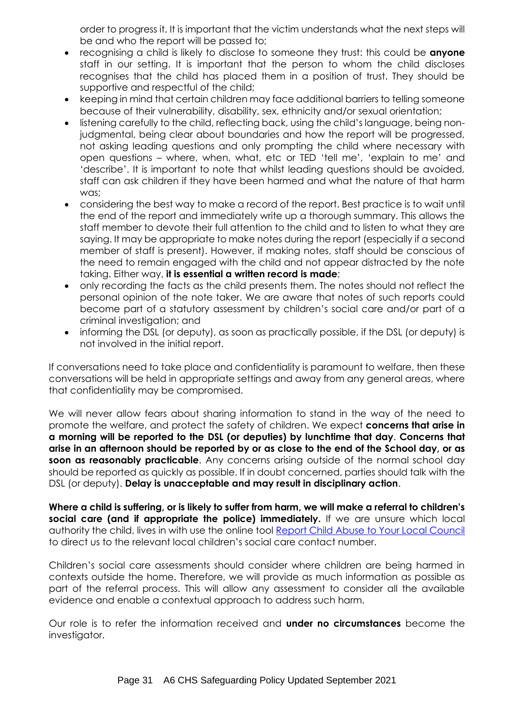order to progress it. It is important that the victim understands what the next steps will be and who the report will be passed to;

- recognising a child is likely to disclose to someone they trust: this could be **anyone** staff in our setting. It is important that the person to whom the child discloses recognises that the child has placed them in a position of trust. They should be supportive and respectful of the child;
- keeping in mind that certain children may face additional barriers to telling someone because of their vulnerability, disability, sex, ethnicity and/or sexual orientation;
- listening carefully to the child, reflecting back, using the child's language, being nonjudgmental, being clear about boundaries and how the report will be progressed, not asking leading questions and only prompting the child where necessary with open questions – where, when, what, etc or TED 'tell me', 'explain to me' and 'describe'. It is important to note that whilst leading questions should be avoided, staff can ask children if they have been harmed and what the nature of that harm was;
- considering the best way to make a record of the report. Best practice is to wait until the end of the report and immediately write up a thorough summary. This allows the staff member to devote their full attention to the child and to listen to what they are saying. It may be appropriate to make notes during the report (especially if a second member of staff is present). However, if making notes, staff should be conscious of the need to remain engaged with the child and not appear distracted by the note taking. Either way, **it is essential a written record is made**;
- only recording the facts as the child presents them. The notes should not reflect the personal opinion of the note taker. We are aware that notes of such reports could become part of a statutory assessment by children's social care and/or part of a criminal investigation; and
- informing the DSL (or deputy), as soon as practically possible, if the DSL (or deputy) is not involved in the initial report.

If conversations need to take place and confidentiality is paramount to welfare, then these conversations will be held in appropriate settings and away from any general areas, where that confidentiality may be compromised.

We will never allow fears about sharing information to stand in the way of the need to promote the welfare, and protect the safety of children. We expect **concerns that arise in a morning will be reported to the DSL (or deputies) by lunchtime that day**. **Concerns that arise in an afternoon should be reported by or as close to the end of the School day, or as soon as reasonably practicable**. Any concerns arising outside of the normal school day should be reported as quickly as possible. If in doubt concerned, parties should talk with the DSL (or deputy). **Delay is unacceptable and may result in disciplinary action**.

**Where a child is suffering, or is likely to suffer from harm, we will make a referral to children's social care (and if appropriate the police) immediately.** If we are unsure which local authority the child, lives in with use the online tool [Report Child Abuse to Your Local Council](https://www.gov.uk/report-child-abuse-to-local-council) to direct us to the relevant local children's social care contact number.

Children's social care assessments should consider where children are being harmed in contexts outside the home. Therefore, we will provide as much information as possible as part of the referral process. This will allow any assessment to consider all the available evidence and enable a contextual approach to address such harm.

Our role is to refer the information received and **under no circumstances** become the investigator.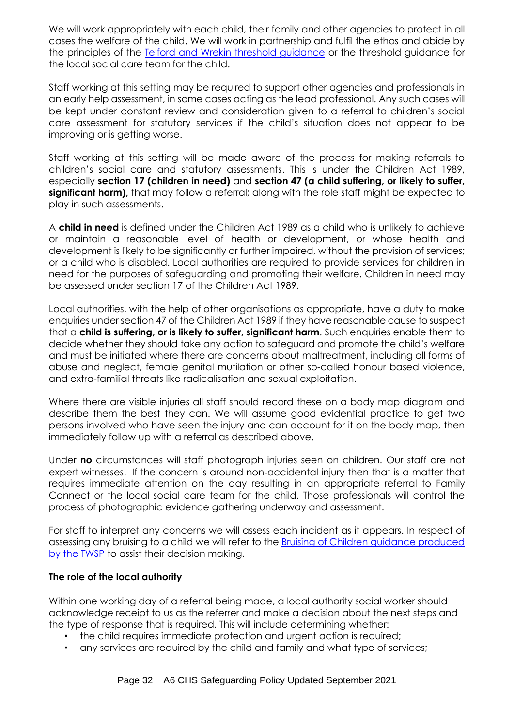We will work appropriately with each child, their family and other agencies to protect in all cases the welfare of the child. We will work in partnership and fulfil the ethos and abide by the principles of the [Telford and Wrekin threshold guidance](http://www.telfordsafeguardingboard.org.uk/lscb/info/13/i_work_with_children_young_people_and_parents/20/policies_procedures_and_guidance) or the threshold guidance for the local social care team for the child.

Staff working at this setting may be required to support other agencies and professionals in an early help assessment, in some cases acting as the lead professional. Any such cases will be kept under constant review and consideration given to a referral to children's social care assessment for statutory services if the child's situation does not appear to be improving or is getting worse.

Staff working at this setting will be made aware of the process for making referrals to children's social care and statutory assessments. This is under the Children Act 1989, especially **section 17 (children in need)** and **section 47 (a child suffering, or likely to suffer, significant harm),** that may follow a referral; along with the role staff might be expected to play in such assessments.

A **child in need** is defined under the Children Act 1989 as a child who is unlikely to achieve or maintain a reasonable level of health or development, or whose health and development is likely to be significantly or further impaired, without the provision of services; or a child who is disabled. Local authorities are required to provide services for children in need for the purposes of safeguarding and promoting their welfare. Children in need may be assessed under section 17 of the Children Act 1989.

Local authorities, with the help of other organisations as appropriate, have a duty to make enquiries under section 47 of the Children Act 1989 if they have reasonable cause to suspect that a **child is suffering, or is likely to suffer, significant harm**. Such enquiries enable them to decide whether they should take any action to safeguard and promote the child's welfare and must be initiated where there are concerns about maltreatment, including all forms of abuse and neglect, female genital mutilation or other so-called honour based violence, and extra-familial threats like radicalisation and sexual exploitation.

Where there are visible injuries all staff should record these on a body map diagram and describe them the best they can. We will assume good evidential practice to get two persons involved who have seen the injury and can account for it on the body map, then immediately follow up with a referral as described above.

Under **no** circumstances will staff photograph injuries seen on children. Our staff are not expert witnesses. If the concern is around non-accidental injury then that is a matter that requires immediate attention on the day resulting in an appropriate referral to Family Connect or the local social care team for the child. Those professionals will control the process of photographic evidence gathering underway and assessment.

For staff to interpret any concerns we will assess each incident as it appears. In respect of assessing any bruising to a child we will refer to the [Bruising of Children guidance produced](https://www.telfordsafeguardingpartnership.org.uk/downloads/file/58/bruising-in-children)  [by the TWSP](https://www.telfordsafeguardingpartnership.org.uk/downloads/file/58/bruising-in-children) to assist their decision making.

# **The role of the local authority**

Within one working day of a referral being made, a local authority social worker should acknowledge receipt to us as the referrer and make a decision about the next steps and the type of response that is required. This will include determining whether:

- the child requires immediate protection and urgent action is required;
- any services are required by the child and family and what type of services;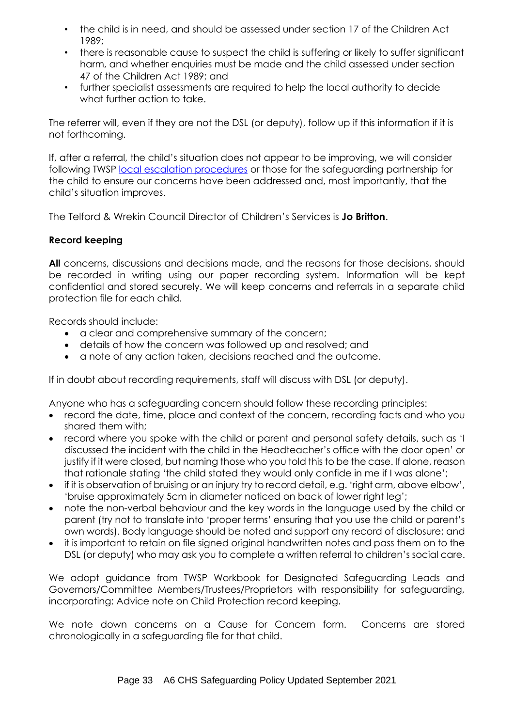- the child is in need, and should be assessed under section 17 of the Children Act 1989;
- there is reasonable cause to suspect the child is suffering or likely to suffer significant harm, and whether enquiries must be made and the child assessed under section 47 of the Children Act 1989; and
- further specialist assessments are required to help the local authority to decide what further action to take.

The referrer will, even if they are not the DSL (or deputy), follow up if this information if it is not forthcoming.

If, after a referral, the child's situation does not appear to be improving, we will consider following TWSP [local escalation procedures](http://www.telfordsafeguardingboard.org.uk/lscb/info/13/i_work_with_children_young_people_and_parents/20/policies_procedures_and_guidance) or those for the safeguarding partnership for the child to ensure our concerns have been addressed and, most importantly, that the child's situation improves.

The Telford & Wrekin Council Director of Children's Services is **Jo Britton**.

# **Record keeping**

All concerns, discussions and decisions made, and the reasons for those decisions, should be recorded in writing using our paper recording system. Information will be kept confidential and stored securely. We will keep concerns and referrals in a separate child protection file for each child.

Records should include:

- a clear and comprehensive summary of the concern;
- details of how the concern was followed up and resolved; and
- a note of any action taken, decisions reached and the outcome.

If in doubt about recording requirements, staff will discuss with DSL (or deputy).

Anyone who has a safeguarding concern should follow these recording principles:

- record the date, time, place and context of the concern, recording facts and who you shared them with;
- record where you spoke with the child or parent and personal safety details, such as 'I discussed the incident with the child in the Headteacher's office with the door open' or justify if it were closed, but naming those who you told this to be the case. If alone, reason that rationale stating 'the child stated they would only confide in me if I was alone';
- if it is observation of bruising or an injury try to record detail, e.g. 'right arm, above elbow', 'bruise approximately 5cm in diameter noticed on back of lower right leg';
- note the non-verbal behaviour and the key words in the language used by the child or parent (try not to translate into 'proper terms' ensuring that you use the child or parent's own words). Body language should be noted and support any record of disclosure; and
- it is important to retain on file signed original handwritten notes and pass them on to the DSL (or deputy) who may ask you to complete a written referral to children's social care.

We adopt guidance from TWSP Workbook for Designated Safeguarding Leads and Governors/Committee Members/Trustees/Proprietors with responsibility for safeguarding, incorporating: Advice note on Child Protection record keeping.

We note down concerns on a Cause for Concern form. Concerns are stored chronologically in a safeguarding file for that child.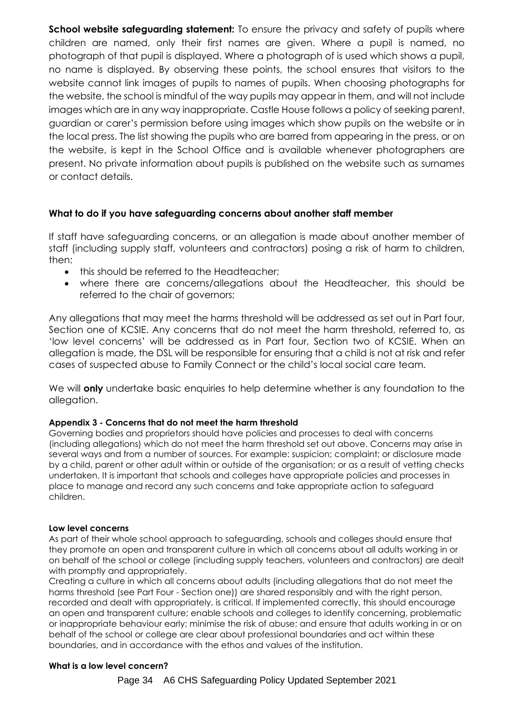**School website safeguarding statement:** To ensure the privacy and safety of pupils where children are named, only their first names are given. Where a pupil is named, no photograph of that pupil is displayed. Where a photograph of is used which shows a pupil, no name is displayed. By observing these points, the school ensures that visitors to the website cannot link images of pupils to names of pupils. When choosing photographs for the website, the school is mindful of the way pupils may appear in them, and will not include images which are in any way inappropriate. Castle House follows a policy of seeking parent, guardian or carer's permission before using images which show pupils on the website or in the local press. The list showing the pupils who are barred from appearing in the press, or on the website, is kept in the School Office and is available whenever photographers are present. No private information about pupils is published on the website such as surnames or contact details.

#### **What to do if you have safeguarding concerns about another staff member**

If staff have safeguarding concerns, or an allegation is made about another member of staff (including supply staff, volunteers and contractors) posing a risk of harm to children, then:

- this should be referred to the Headteacher:
- where there are concerns/allegations about the Headteacher, this should be referred to the chair of governors;

Any allegations that may meet the harms threshold will be addressed as set out in Part four, Section one of KCSIE. Any concerns that do not meet the harm threshold, referred to, as 'low level concerns' will be addressed as in Part four, Section two of KCSIE. When an allegation is made, the DSL will be responsible for ensuring that a child is not at risk and refer cases of suspected abuse to Family Connect or the child's local social care team.

We will **only** undertake basic enquiries to help determine whether is any foundation to the allegation.

#### **Appendix 3 - Concerns that do not meet the harm threshold**

Governing bodies and proprietors should have policies and processes to deal with concerns (including allegations) which do not meet the harm threshold set out above. Concerns may arise in several ways and from a number of sources. For example: suspicion; complaint; or disclosure made by a child, parent or other adult within or outside of the organisation; or as a result of vetting checks undertaken. It is important that schools and colleges have appropriate policies and processes in place to manage and record any such concerns and take appropriate action to safeguard children.

#### **Low level concerns**

As part of their whole school approach to safeguarding, schools and colleges should ensure that they promote an open and transparent culture in which all concerns about all adults working in or on behalf of the school or college (including supply teachers, volunteers and contractors) are dealt with promptly and appropriately.

Creating a culture in which all concerns about adults (including allegations that do not meet the harms threshold (see Part Four - Section one)) are shared responsibly and with the right person, recorded and dealt with appropriately, is critical. If implemented correctly, this should encourage an open and transparent culture; enable schools and colleges to identify concerning, problematic or inappropriate behaviour early; minimise the risk of abuse; and ensure that adults working in or on behalf of the school or college are clear about professional boundaries and act within these boundaries, and in accordance with the ethos and values of the institution.

#### **What is a low level concern?**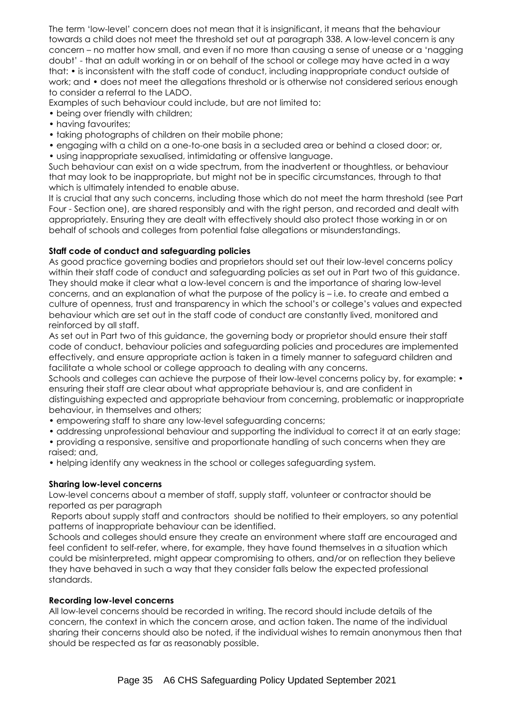The term 'low-level' concern does not mean that it is insignificant, it means that the behaviour towards a child does not meet the threshold set out at paragraph 338. A low-level concern is any concern – no matter how small, and even if no more than causing a sense of unease or a 'nagging doubt' - that an adult working in or on behalf of the school or college may have acted in a way that: • is inconsistent with the staff code of conduct, including inappropriate conduct outside of work; and • does not meet the allegations threshold or is otherwise not considered serious enough to consider a referral to the LADO.

Examples of such behaviour could include, but are not limited to:

- being over friendly with children;
- having favourites;
- taking photographs of children on their mobile phone;
- engaging with a child on a one-to-one basis in a secluded area or behind a closed door; or,
- using inappropriate sexualised, intimidating or offensive language.

Such behaviour can exist on a wide spectrum, from the inadvertent or thoughtless, or behaviour that may look to be inappropriate, but might not be in specific circumstances, through to that which is ultimately intended to enable abuse.

It is crucial that any such concerns, including those which do not meet the harm threshold (see Part Four - Section one), are shared responsibly and with the right person, and recorded and dealt with appropriately. Ensuring they are dealt with effectively should also protect those working in or on behalf of schools and colleges from potential false allegations or misunderstandings.

#### **Staff code of conduct and safeguarding policies**

As good practice governing bodies and proprietors should set out their low-level concerns policy within their staff code of conduct and safeguarding policies as set out in Part two of this guidance. They should make it clear what a low-level concern is and the importance of sharing low-level concerns, and an explanation of what the purpose of the policy is – i.e. to create and embed a culture of openness, trust and transparency in which the school's or college's values and expected behaviour which are set out in the staff code of conduct are constantly lived, monitored and reinforced by all staff.

As set out in Part two of this guidance, the governing body or proprietor should ensure their staff code of conduct, behaviour policies and safeguarding policies and procedures are implemented effectively, and ensure appropriate action is taken in a timely manner to safeguard children and facilitate a whole school or college approach to dealing with any concerns.

Schools and colleges can achieve the purpose of their low-level concerns policy by, for example: • ensuring their staff are clear about what appropriate behaviour is, and are confident in distinguishing expected and appropriate behaviour from concerning, problematic or inappropriate behaviour, in themselves and others;

- empowering staff to share any low-level safeguarding concerns;
- addressing unprofessional behaviour and supporting the individual to correct it at an early stage;
- providing a responsive, sensitive and proportionate handling of such concerns when they are raised; and,
- helping identify any weakness in the school or colleges safeguarding system.

# **Sharing low-level concerns**

Low-level concerns about a member of staff, supply staff, volunteer or contractor should be reported as per paragraph

Reports about supply staff and contractors should be notified to their employers, so any potential patterns of inappropriate behaviour can be identified.

Schools and colleges should ensure they create an environment where staff are encouraged and feel confident to self-refer, where, for example, they have found themselves in a situation which could be misinterpreted, might appear compromising to others, and/or on reflection they believe they have behaved in such a way that they consider falls below the expected professional standards.

#### **Recording low-level concerns**

All low-level concerns should be recorded in writing. The record should include details of the concern, the context in which the concern arose, and action taken. The name of the individual sharing their concerns should also be noted, if the individual wishes to remain anonymous then that should be respected as far as reasonably possible.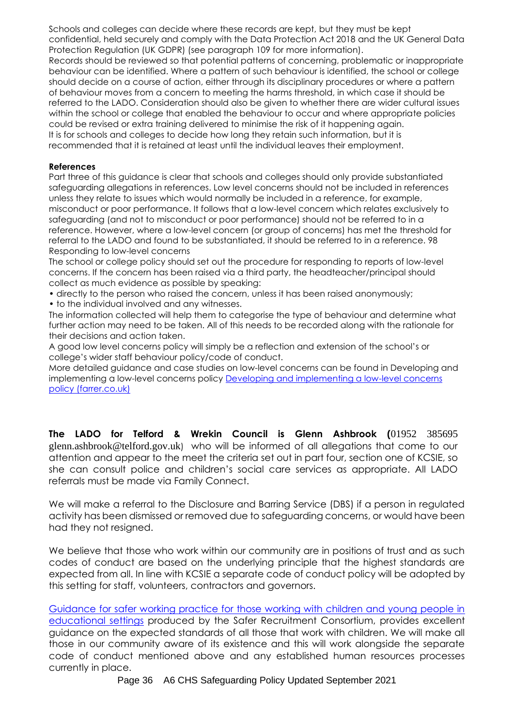Schools and colleges can decide where these records are kept, but they must be kept confidential, held securely and comply with the Data Protection Act 2018 and the UK General Data Protection Regulation (UK GDPR) (see paragraph 109 for more information).

Records should be reviewed so that potential patterns of concerning, problematic or inappropriate behaviour can be identified. Where a pattern of such behaviour is identified, the school or college should decide on a course of action, either through its disciplinary procedures or where a pattern of behaviour moves from a concern to meeting the harms threshold, in which case it should be referred to the LADO. Consideration should also be given to whether there are wider cultural issues within the school or college that enabled the behaviour to occur and where appropriate policies could be revised or extra training delivered to minimise the risk of it happening again. It is for schools and colleges to decide how long they retain such information, but it is recommended that it is retained at least until the individual leaves their employment.

#### **References**

Part three of this guidance is clear that schools and colleges should only provide substantiated safeguarding allegations in references. Low level concerns should not be included in references unless they relate to issues which would normally be included in a reference, for example, misconduct or poor performance. It follows that a low-level concern which relates exclusively to safeguarding (and not to misconduct or poor performance) should not be referred to in a reference. However, where a low-level concern (or group of concerns) has met the threshold for referral to the LADO and found to be substantiated, it should be referred to in a reference. 98 Responding to low-level concerns

The school or college policy should set out the procedure for responding to reports of low-level concerns. If the concern has been raised via a third party, the headteacher/principal should collect as much evidence as possible by speaking:

• directly to the person who raised the concern, unless it has been raised anonymously;

• to the individual involved and any witnesses.

The information collected will help them to categorise the type of behaviour and determine what further action may need to be taken. All of this needs to be recorded along with the rationale for their decisions and action taken.

A good low level concerns policy will simply be a reflection and extension of the school's or college's wider staff behaviour policy/code of conduct.

More detailed guidance and case studies on low-level concerns can be found in Developing and implementing a low-level concerns policy [Developing and implementing a low-level concerns](https://www.farrer.co.uk/news-and-insights/developing-and-implementing-a-low-level-concerns-policy-a-guide-for-organisations-which-work-with-children/)  [policy \(farrer.co.uk\)](https://www.farrer.co.uk/news-and-insights/developing-and-implementing-a-low-level-concerns-policy-a-guide-for-organisations-which-work-with-children/)

**The LADO for Telford & Wrekin Council is Glenn Ashbrook (**01952 385695 glenn.ashbrook@telford.gov.uk) who will be informed of all allegations that come to our attention and appear to the meet the criteria set out in part four, section one of KCSIE, so she can consult police and children's social care services as appropriate. All LADO referrals must be made via Family Connect.

We will make a referral to the Disclosure and Barring Service (DBS) if a person in regulated activity has been dismissed or removed due to safeguarding concerns, or would have been had they not resigned.

We believe that those who work within our community are in positions of trust and as such codes of conduct are based on the underlying principle that the highest standards are expected from all. In line with KCSIE a separate code of conduct policy will be adopted by this setting for staff, volunteers, contractors and governors.

[Guidance for safer working practice for those working with children and young people in](https://saferrecruitmentconsortium.org/)  [educational settings](https://saferrecruitmentconsortium.org/) produced by the Safer Recruitment Consortium, provides excellent guidance on the expected standards of all those that work with children. We will make all those in our community aware of its existence and this will work alongside the separate code of conduct mentioned above and any established human resources processes currently in place.

Page 36 A6 CHS Safeguarding Policy Updated September 2021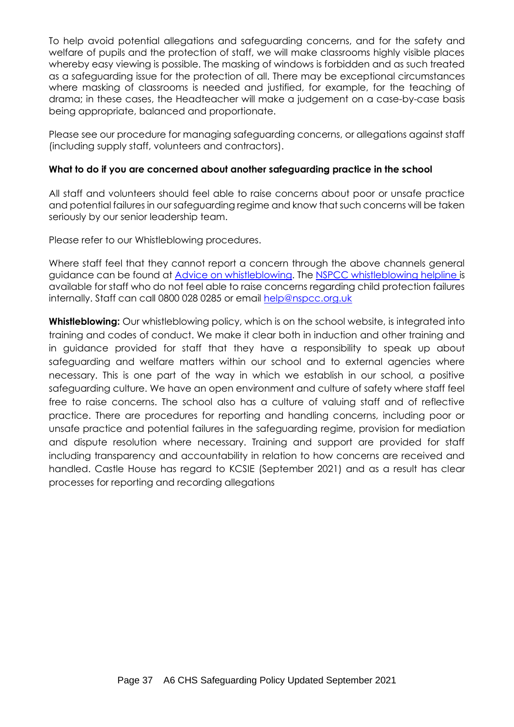To help avoid potential allegations and safeguarding concerns, and for the safety and welfare of pupils and the protection of staff, we will make classrooms highly visible places whereby easy viewing is possible. The masking of windows is forbidden and as such treated as a safeguarding issue for the protection of all. There may be exceptional circumstances where masking of classrooms is needed and justified, for example, for the teaching of drama; in these cases, the Headteacher will make a judgement on a case-by-case basis being appropriate, balanced and proportionate.

Please see our procedure for managing safeguarding concerns, or allegations against staff (including supply staff, volunteers and contractors).

# **What to do if you are concerned about another safeguarding practice in the school**

All staff and volunteers should feel able to raise concerns about poor or unsafe practice and potential failures in our safeguarding regime and know that such concerns will be taken seriously by our senior leadership team.

Please refer to our Whistleblowing procedures.

Where staff feel that they cannot report a concern through the above channels general guidance can be found at [Advice on whistleblowing.](https://www.nspcc.org.uk/what-you-can-do/report-abuse/dedicated-helplines/whistleblowing-advice-line/?_t_id=1B2M2Y8AsgTpgAmY7PhCfg%3d%3d&_t_q=whistleblowing&_t_tags=language%3aen%2csiteid%3a7f1b9313-bf5e-4415-abf6-aaf87298c667&_t_ip=10.99.66.5&_t_hit.id=Nspcc_Web_Models_Pages_StandardPage/_f987ad5d-9f65-4e61-884e-47a48b5ac146_en-GB&_t_hit.pos=1) The [NSPCC whistleblowing helpline](https://www.nspcc.org.uk/what-you-can-do/report-abuse/dedicated-helplines/whistleblowing-advice-line/?_t_id=1B2M2Y8AsgTpgAmY7PhCfg%3d%3d&_t_q=whistleblowing&_t_tags=language%3aen%2csiteid%3a7f1b9313-bf5e-4415-abf6-aaf87298c667&_t_ip=10.99.66.5&_t_hit.id=Nspcc_Web_Models_Pages_StandardPage/_f987ad5d-9f65-4e61-884e-47a48b5ac146_en-GB&_t_hit.pos=1) is available for staff who do not feel able to raise concerns regarding child protection failures internally. Staff can call 0800 028 0285 or email [help@nspcc.org.uk](mailto:help@nspcc.org.uk)

**Whistleblowing:** Our whistleblowing policy, which is on the school website, is integrated into training and codes of conduct. We make it clear both in induction and other training and in guidance provided for staff that they have a responsibility to speak up about safeguarding and welfare matters within our school and to external agencies where necessary. This is one part of the way in which we establish in our school, a positive safeguarding culture. We have an open environment and culture of safety where staff feel free to raise concerns. The school also has a culture of valuing staff and of reflective practice. There are procedures for reporting and handling concerns, including poor or unsafe practice and potential failures in the safeguarding regime, provision for mediation and dispute resolution where necessary. Training and support are provided for staff including transparency and accountability in relation to how concerns are received and handled. Castle House has regard to KCSIE (September 2021) and as a result has clear processes for reporting and recording allegations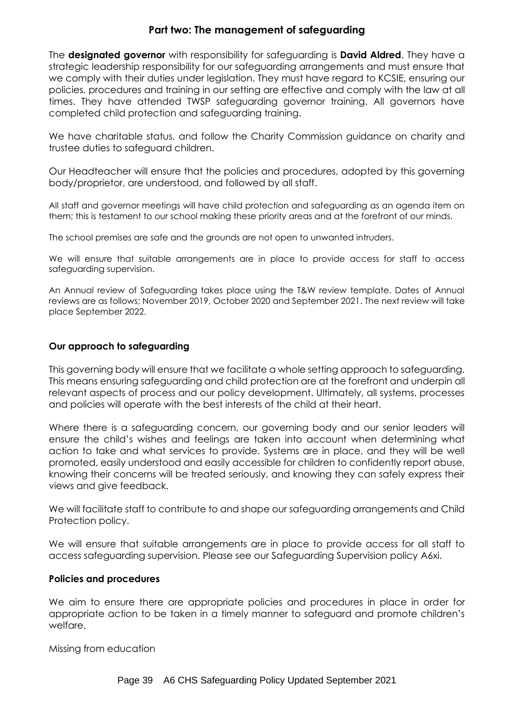# **Part two: The management of safeguarding**

The **designated governor** with responsibility for safeguarding is **David Aldred**. They have a strategic leadership responsibility for our safeguarding arrangements and must ensure that we comply with their duties under legislation. They must have regard to KCSIE, ensuring our policies, procedures and training in our setting are effective and comply with the law at all times. They have attended TWSP safeguarding governor training. All governors have completed child protection and safeguarding training.

We have charitable status, and follow the Charity Commission guidance on charity and trustee duties to safeguard children.

Our Headteacher will ensure that the policies and procedures, adopted by this governing body/proprietor, are understood, and followed by all staff.

All staff and governor meetings will have child protection and safeguarding as an agenda item on them; this is testament to our school making these priority areas and at the forefront of our minds.

The school premises are safe and the grounds are not open to unwanted intruders.

We will ensure that suitable arrangements are in place to provide access for staff to access safeguarding supervision.

An Annual review of Safeguarding takes place using the T&W review template. Dates of Annual reviews are as follows; November 2019, October 2020 and September 2021. The next review will take place September 2022.

#### **Our approach to safeguarding**

This governing body will ensure that we facilitate a whole setting approach to safeguarding. This means ensuring safeguarding and child protection are at the forefront and underpin all relevant aspects of process and our policy development. Ultimately, all systems, processes and policies will operate with the best interests of the child at their heart.

Where there is a safeguarding concern, our governing body and our senior leaders will ensure the child's wishes and feelings are taken into account when determining what action to take and what services to provide. Systems are in place, and they will be well promoted, easily understood and easily accessible for children to confidently report abuse, knowing their concerns will be treated seriously, and knowing they can safely express their views and give feedback.

We will facilitate staff to contribute to and shape our safeguarding arrangements and Child Protection policy.

We will ensure that suitable arrangements are in place to provide access for all staff to access safeguarding supervision. Please see our Safeguarding Supervision policy A6xi.

#### **Policies and procedures**

We aim to ensure there are appropriate policies and procedures in place in order for appropriate action to be taken in a timely manner to safeguard and promote children's welfare.

Missing from education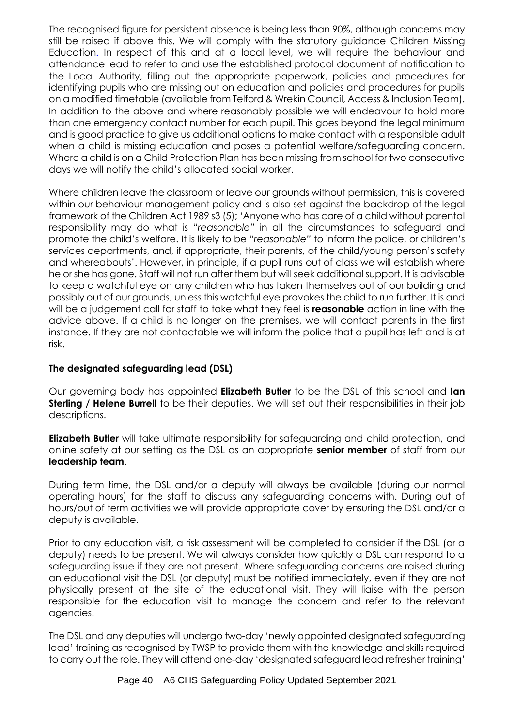The recognised figure for persistent absence is being less than 90%, although concerns may still be raised if above this. We will comply with the statutory guidance [Children Missing](https://www.gov.uk/government/publications/children-missing-education)  [Education.](https://www.gov.uk/government/publications/children-missing-education) In respect of this and at a local level, we will require the behaviour and attendance lead to refer to and use the established protocol document of notification to the Local Authority, filling out the appropriate paperwork, policies and procedures for identifying pupils who are missing out on education and policies and procedures for pupils on a modified timetable (available from Telford & Wrekin Council, Access & Inclusion Team). In addition to the above and where reasonably possible we will endeavour to hold more than one emergency contact number for each pupil. This goes beyond the legal minimum and is good practice to give us additional options to make contact with a responsible adult when a child is missing education and poses a potential welfare/safeguarding concern. Where a child is on a Child Protection Plan has been missing from school for two consecutive days we will notify the child's allocated social worker.

Where children leave the classroom or leave our grounds without permission, this is covered within our behaviour management policy and is also set against the backdrop of the legal framework of the Children Act 1989 s3 (5); 'Anyone who has care of a child without parental responsibility may do what is "*reasonable"* in all the circumstances to safeguard and promote the child's welfare. It is likely to be "*reasonable"* to inform the police, or children's services departments, and, if appropriate, their parents, of the child/young person's safety and whereabouts'. However, in principle, if a pupil runs out of class we will establish where he or she has gone. Staff will not run after them but will seek additional support. It is advisable to keep a watchful eye on any children who has taken themselves out of our building and possibly out of our grounds, unless this watchful eye provokes the child to run further. It is and will be a judgement call for staff to take what they feel is **reasonable** action in line with the advice above. If a child is no longer on the premises, we will contact parents in the first instance. If they are not contactable we will inform the police that a pupil has left and is at risk.

# **The designated safeguarding lead (DSL)**

Our governing body has appointed **Elizabeth Butler** to be the DSL of this school and **Ian Sterling / Helene Burrell** to be their deputies. We will set out their responsibilities in their job descriptions.

**Elizabeth Butler** will take ultimate responsibility for safeguarding and child protection, and online safety at our setting as the DSL as an appropriate **senior member** of staff from our **leadership team**.

During term time, the DSL and/or a deputy will always be available (during our normal operating hours) for the staff to discuss any safeguarding concerns with. During out of hours/out of term activities we will provide appropriate cover by ensuring the DSL and/or a deputy is available.

Prior to any education visit, a risk assessment will be completed to consider if the DSL (or a deputy) needs to be present. We will always consider how quickly a DSL can respond to a safeguarding issue if they are not present. Where safeguarding concerns are raised during an educational visit the DSL (or deputy) must be notified immediately, even if they are not physically present at the site of the educational visit. They will liaise with the person responsible for the education visit to manage the concern and refer to the relevant agencies.

The DSL and any deputies will undergo two-day 'newly appointed designated safeguarding lead' training as recognised by TWSP to provide them with the knowledge and skills required to carry out the role. They will attend one-day 'designated safeguard lead refresher training'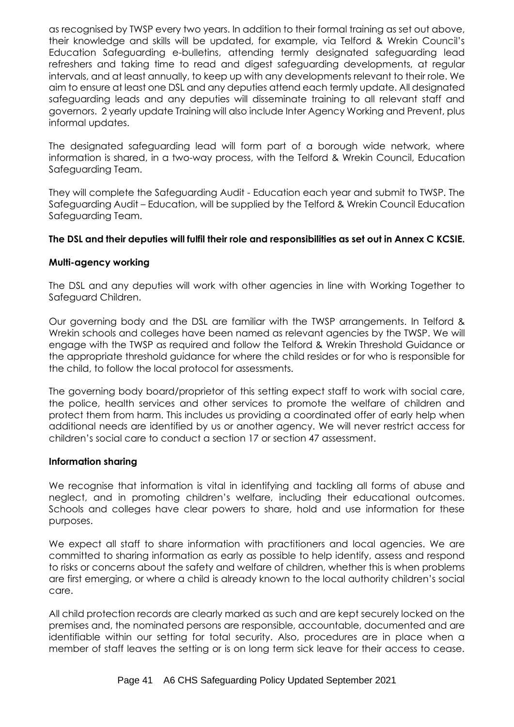as recognised by TWSP every two years. In addition to their formal training as set out above, their knowledge and skills will be updated, for example, via Telford & Wrekin Council's Education Safeguarding e-bulletins, attending termly designated safeguarding lead refreshers and taking time to read and digest safeguarding developments, at regular intervals, and at least annually, to keep up with any developments relevant to their role. We aim to ensure at least one DSL and any deputies attend each termly update. All designated safeguarding leads and any deputies will disseminate training to all relevant staff and governors. 2 yearly update Training will also include Inter Agency Working and Prevent, plus informal updates.

The designated safeguarding lead will form part of a borough wide network, where information is shared, in a two-way process, with the Telford & Wrekin Council, Education Safeguarding Team.

They will complete the Safeguarding Audit - Education each year and submit to TWSP. The Safeguarding Audit – Education, will be supplied by the Telford & Wrekin Council Education Safeguarding Team.

#### **The DSL and their deputies will fulfil their role and responsibilities as set out in Annex C KCSIE.**

#### **Multi-agency working**

The DSL and any deputies will work with other agencies in line with Working Together to Safeguard Children.

Our governing body and the DSL are familiar with the TWSP arrangements. In Telford & Wrekin schools and colleges have been named as relevant agencies by the TWSP. We will engage with the TWSP as required and follow the Telford & Wrekin Threshold Guidance or the appropriate threshold guidance for where the child resides or for who is responsible for the child, to follow the local protocol for assessments.

The governing body board/proprietor of this setting expect staff to work with social care, the police, health services and other services to promote the welfare of children and protect them from harm. This includes us providing a coordinated offer of early help when additional needs are identified by us or another agency. We will never restrict access for children's social care to conduct a section 17 or section 47 assessment.

#### **Information sharing**

We recognise that information is vital in identifying and tackling all forms of abuse and neglect, and in promoting children's welfare, including their educational outcomes. Schools and colleges have clear powers to share, hold and use information for these purposes.

We expect all staff to share information with practitioners and local agencies. We are committed to sharing information as early as possible to help identify, assess and respond to risks or concerns about the safety and welfare of children, whether this is when problems are first emerging, or where a child is already known to the local authority children's social care.

All child protection records are clearly marked as such and are kept securely locked on the premises and, the nominated persons are responsible, accountable, documented and are identifiable within our setting for total security. Also, procedures are in place when a member of staff leaves the setting or is on long term sick leave for their access to cease.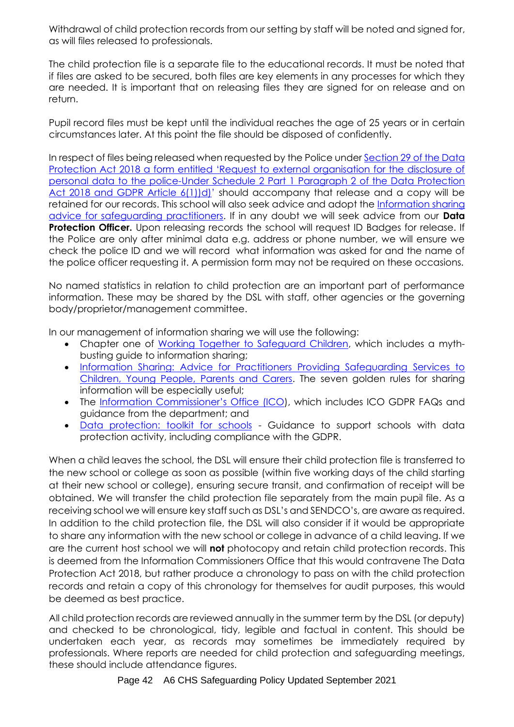Withdrawal of child protection records from our setting by staff will be noted and signed for, as will files released to professionals.

The child protection file is a separate file to the educational records. It must be noted that if files are asked to be secured, both files are key elements in any processes for which they are needed. It is important that on releasing files they are signed for on release and on return.

Pupil record files must be kept until the individual reaches the age of 25 years or in certain circumstances later. At this point the file should be disposed of confidently.

In respect of files being released when requested by the Police under [Section 29 of the Data](http://www.telfordsafeguardingboard.org.uk/lscb/downloads/file/257/releasing_records_-_t_and_w_guidance_-_section_29_form)  [Protection Act 2018 a form entitled 'Request to external organisation for the disclosure of](http://www.telfordsafeguardingboard.org.uk/lscb/downloads/file/257/releasing_records_-_t_and_w_guidance_-_section_29_form)  [personal data to the police-Under Schedule 2 Part 1 Paragraph 2 of the Data Protection](http://www.telfordsafeguardingboard.org.uk/lscb/downloads/file/257/releasing_records_-_t_and_w_guidance_-_section_29_form)  [Act 2018 and GDPR Article 6\(1\)\)d\)](http://www.telfordsafeguardingboard.org.uk/lscb/downloads/file/257/releasing_records_-_t_and_w_guidance_-_section_29_form)' should accompany that release and a copy will be retained for our records. This school will also seek advice and adopt the [Information sharing](https://www.gov.uk/government/publications/safeguarding-practitioners-information-sharing-advice)  [advice for safeguarding practitioners.](https://www.gov.uk/government/publications/safeguarding-practitioners-information-sharing-advice) If in any doubt we will seek advice from our **Data Protection Officer.** Upon releasing records the school will request ID Badges for release. If the Police are only after minimal data e.g. address or phone number, we will ensure we check the police ID and we will record what information was asked for and the name of the police officer requesting it. A permission form may not be required on these occasions.

No named statistics in relation to child protection are an important part of performance information. These may be shared by the DSL with staff, other agencies or the governing body/proprietor/management committee.

In our management of information sharing we will use the following:

- Chapter one of [Working Together to Safeguard Children,](https://www.gov.uk/government/publications/working-together-to-safeguard-children--2) which includes a mythbusting guide to information sharing;
- [Information Sharing: Advice for Practitioners Providing Safeguarding Services to](https://www.gov.uk/government/publications/safeguarding-practitioners-information-sharing-advice)  [Children, Young People, Parents and Carers.](https://www.gov.uk/government/publications/safeguarding-practitioners-information-sharing-advice) The seven golden rules for sharing information will be especially useful;
- The [Information Commissioner's Office \(ICO](https://ico.org.uk/for-organisations/business/)), which includes ICO GDPR FAQs and guidance from the department; and
- [Data protection: toolkit for schools](https://www.gov.uk/government/publications/data-protection-toolkit-for-schools) Guidance to support schools with data protection activity, including compliance with the GDPR.

When a child leaves the school, the DSL will ensure their child protection file is transferred to the new school or college as soon as possible (within five working days of the child starting at their new school or college), ensuring secure transit, and confirmation of receipt will be obtained. We will transfer the child protection file separately from the main pupil file. As a receiving school we will ensure key staff such as DSL's and SENDCO's, are aware as required. In addition to the child protection file, the DSL will also consider if it would be appropriate to share any information with the new school or college in advance of a child leaving. If we are the current host school we will **not** photocopy and retain child protection records. This is deemed from the Information Commissioners Office that this would contravene The Data Protection Act 2018, but rather produce a chronology to pass on with the child protection records and retain a copy of this chronology for themselves for audit purposes, this would be deemed as best practice.

All child protection records are reviewed annually in the summer term by the DSL (or deputy) and checked to be chronological, tidy, legible and factual in content. This should be undertaken each year, as records may sometimes be immediately required by professionals. Where reports are needed for child protection and safeguarding meetings, these should include attendance figures.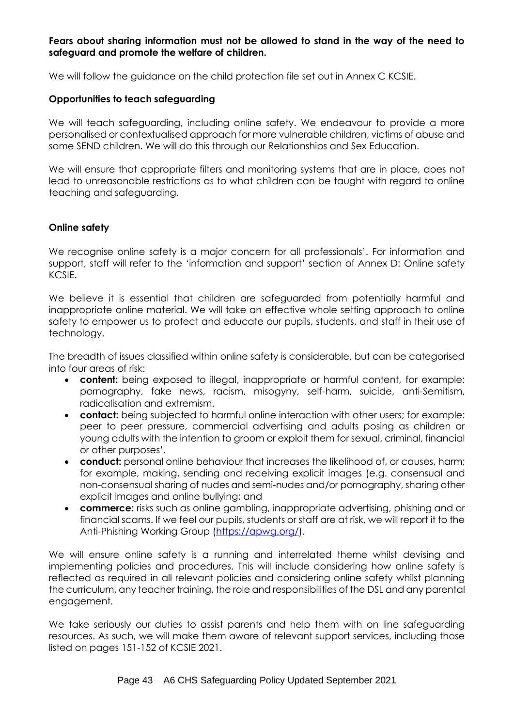#### **Fears about sharing information must not be allowed to stand in the way of the need to safeguard and promote the welfare of children.**

We will follow the guidance on the child protection file set out in Annex C KCSIE.

#### **Opportunities to teach safeguarding**

We will teach safeguarding, including online safety. We endeavour to provide a more personalised or contextualised approach for more vulnerable children, victims of abuse and some SEND children. We will do this through our Relationships and Sex Education.

We will ensure that appropriate filters and monitoring systems that are in place, does not lead to unreasonable restrictions as to what children can be taught with regard to online teaching and safeguarding.

#### **Online safety**

We recognise online safety is a major concern for all professionals'. For information and support, staff will refer to the 'information and support' section of Annex D: Online safety KCSIE.

We believe it is essential that children are safeguarded from potentially harmful and inappropriate online material. We will take an effective whole setting approach to online safety to empower us to protect and educate our pupils, students, and staff in their use of technology.

The breadth of issues classified within online safety is considerable, but can be categorised into four areas of risk:

- **content:** being exposed to illegal, inappropriate or harmful content, for example: pornography, fake news, racism, misogyny, self-harm, suicide, anti-Semitism, radicalisation and extremism.
- **contact:** being subjected to harmful online interaction with other users; for example: peer to peer pressure, commercial advertising and adults posing as children or young adults with the intention to groom or exploit them for sexual, criminal, financial or other purposes'.
- **conduct:** personal online behaviour that increases the likelihood of, or causes, harm; for example, making, sending and receiving explicit images (e.g. consensual and non-consensual sharing of nudes and semi-nudes and/or pornography, sharing other explicit images and online bullying; and
- **commerce:** risks such as online gambling, inappropriate advertising, phishing and or financial scams. If we feel our pupils, students or staff are at risk, we will report it to the Anti-Phishing Working Group [\(https://apwg.org/\)](https://apwg.org/).

We will ensure online safety is a running and interrelated theme whilst devising and implementing policies and procedures. This will include considering how online safety is reflected as required in all relevant policies and considering online safety whilst planning the curriculum, any teacher training, the role and responsibilities of the DSL and any parental engagement.

We take seriously our duties to assist parents and help them with on line safeguarding resources. As such, we will make them aware of relevant support services, including those listed on pages 151-152 of KCSIE 2021.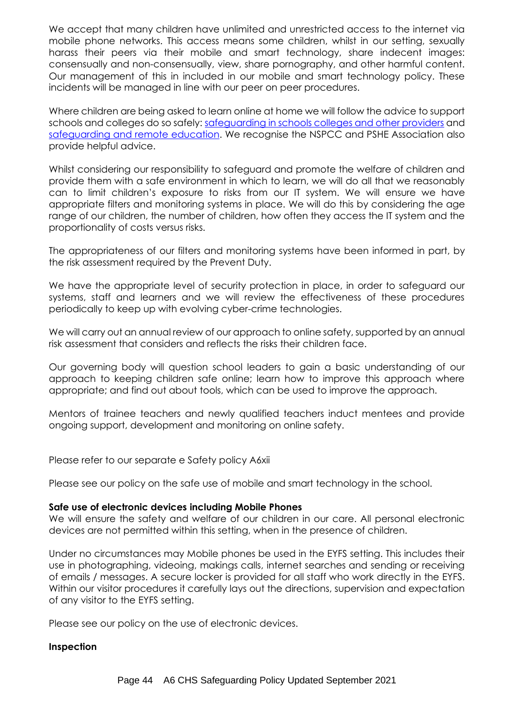We accept that many children have unlimited and unrestricted access to the internet via mobile phone networks. This access means some children, whilst in our setting, sexually harass their peers via their mobile and smart technology, share indecent images: consensually and non-consensually, view, share pornography, and other harmful content. Our management of this in included in our mobile and smart technology policy. These incidents will be managed in line with our peer on peer procedures.

Where children are being asked to learn online at home we will follow the advice to support schools and colleges do so safely: [safeguarding in schools colleges and other providers](https://protocol.telford.gov.uk/web/view.htm?id=46cf3847ca283305136730&cls=com.ics.DBPerson) and [safeguarding and remote education.](https://www.gov.uk/guidance/safeguarding-and-remote-education-during-coronavirus-covid-19) We recognise the NSPCC and PSHE Association also provide helpful advice.

Whilst considering our responsibility to safeguard and promote the welfare of children and provide them with a safe environment in which to learn, we will do all that we reasonably can to limit children's exposure to risks from our IT system. We will ensure we have appropriate filters and monitoring systems in place. We will do this by considering the age range of our children, the number of children, how often they access the IT system and the proportionality of costs versus risks.

The appropriateness of our filters and monitoring systems have been informed in part, by the risk assessment required by the Prevent Duty.

We have the appropriate level of security protection in place, in order to safeguard our systems, staff and learners and we will review the effectiveness of these procedures periodically to keep up with evolving cyber-crime technologies.

We will carry out an annual review of our approach to online safety, supported by an annual risk assessment that considers and reflects the risks their children face.

Our governing body will question school leaders to gain a basic understanding of our approach to keeping children safe online; learn how to improve this approach where appropriate; and find out about tools, which can be used to improve the approach.

Mentors of trainee teachers and newly qualified teachers induct mentees and provide ongoing support, development and monitoring on online safety.

Please refer to our separate e Safety policy A6xii

Please see our policy on the safe use of mobile and smart technology in the school.

#### **Safe use of electronic devices including Mobile Phones**

We will ensure the safety and welfare of our children in our care. All personal electronic devices are not permitted within this setting, when in the presence of children.

Under no circumstances may Mobile phones be used in the EYFS setting. This includes their use in photographing, videoing, makings calls, internet searches and sending or receiving of emails / messages. A secure locker is provided for all staff who work directly in the EYFS. Within our visitor procedures it carefully lays out the directions, supervision and expectation of any visitor to the EYFS setting.

Please see our policy on the use of electronic devices.

#### **Inspection**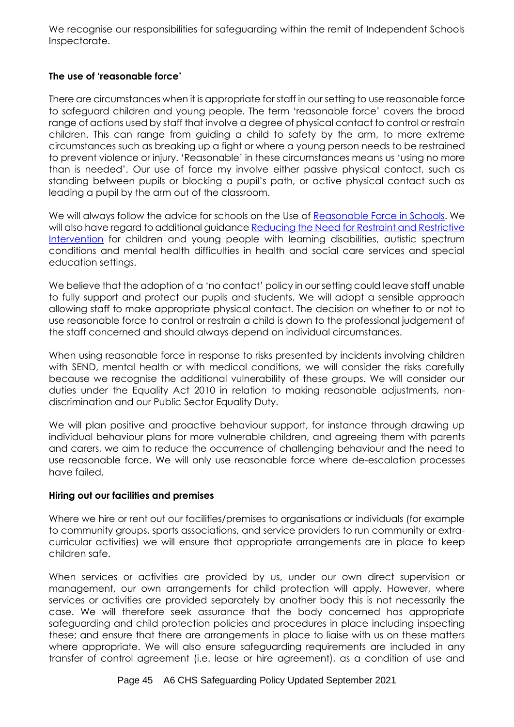We recognise our responsibilities for safeguarding within the remit of Independent Schools Inspectorate.

# **The use of 'reasonable force'**

There are circumstances when it is appropriate for staff in our setting to use reasonable force to safeguard children and young people. The term 'reasonable force' covers the broad range of actions used by staff that involve a degree of physical contact to control or restrain children. This can range from guiding a child to safety by the arm, to more extreme circumstances such as breaking up a fight or where a young person needs to be restrained to prevent violence or injury. 'Reasonable' in these circumstances means us 'using no more than is needed'. Our use of force my involve either passive physical contact, such as standing between pupils or blocking a pupil's path, or active physical contact such as leading a pupil by the arm out of the classroom.

We will always follow the advice for schools on the Use of [Reasonable Force in Schools.](https://www.gov.uk/government/publications/use-of-reasonable-force-in-schools) We will also have regard to additional guidance [Reducing the Need for Restraint and Restrictive](https://www.gov.uk/government/publications/reducing-the-need-for-restraint-and-restrictive-intervention)  [Intervention](https://www.gov.uk/government/publications/reducing-the-need-for-restraint-and-restrictive-intervention) for children and young people with learning disabilities, autistic spectrum conditions and mental health difficulties in health and social care services and special education settings.

We believe that the adoption of a 'no contact' policy in our setting could leave staff unable to fully support and protect our pupils and students. We will adopt a sensible approach allowing staff to make appropriate physical contact. The decision on whether to or not to use reasonable force to control or restrain a child is down to the professional judgement of the staff concerned and should always depend on individual circumstances.

When using reasonable force in response to risks presented by incidents involving children with SEND, mental health or with medical conditions, we will consider the risks carefully because we recognise the additional vulnerability of these groups. We will consider our duties under the Equality Act 2010 in relation to making reasonable adjustments, nondiscrimination and our Public Sector Equality Duty.

We will plan positive and proactive behaviour support, for instance through drawing up individual behaviour plans for more vulnerable children, and agreeing them with parents and carers, we aim to reduce the occurrence of challenging behaviour and the need to use reasonable force. We will only use reasonable force where de-escalation processes have failed.

#### **Hiring out our facilities and premises**

Where we hire or rent out our facilities/premises to organisations or individuals (for example to community groups, sports associations, and service providers to run community or extracurricular activities) we will ensure that appropriate arrangements are in place to keep children safe.

When services or activities are provided by us, under our own direct supervision or management, our own arrangements for child protection will apply. However, where services or activities are provided separately by another body this is not necessarily the case. We will therefore seek assurance that the body concerned has appropriate safeguarding and child protection policies and procedures in place including inspecting these; and ensure that there are arrangements in place to liaise with us on these matters where appropriate. We will also ensure safeguarding requirements are included in any transfer of control agreement (i.e. lease or hire agreement), as a condition of use and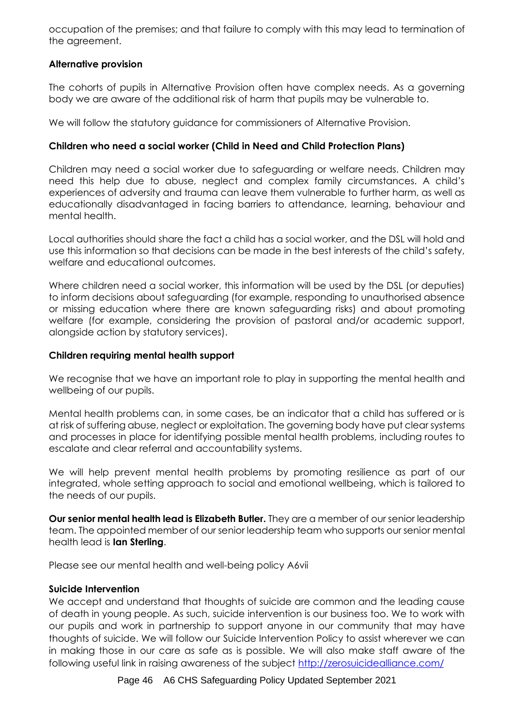occupation of the premises; and that failure to comply with this may lead to termination of the agreement.

# **Alternative provision**

The cohorts of pupils in Alternative Provision often have complex needs. As a governing body we are aware of the additional risk of harm that pupils may be vulnerable to.

We will follow the statutory guidance for commissioners of Alternative Provision.

# **Children who need a social worker (Child in Need and Child Protection Plans)**

Children may need a social worker due to safeguarding or welfare needs. Children may need this help due to abuse, neglect and complex family circumstances. A child's experiences of adversity and trauma can leave them vulnerable to further harm, as well as educationally disadvantaged in facing barriers to attendance, learning, behaviour and mental health.

Local authorities should share the fact a child has a social worker, and the DSL will hold and use this information so that decisions can be made in the best interests of the child's safety, welfare and educational outcomes.

Where children need a social worker, this information will be used by the DSL (or deputies) to inform decisions about safeguarding (for example, responding to unauthorised absence or missing education where there are known safeguarding risks) and about promoting welfare (for example, considering the provision of pastoral and/or academic support, alongside action by statutory services).

# **Children requiring mental health support**

We recognise that we have an important role to play in supporting the mental health and wellbeing of our pupils.

Mental health problems can, in some cases, be an indicator that a child has suffered or is at risk of suffering abuse, neglect or exploitation. The governing body have put clear systems and processes in place for identifying possible mental health problems, including routes to escalate and clear referral and accountability systems.

We will help prevent mental health problems by promoting resilience as part of our integrated, whole setting approach to social and emotional wellbeing, which is tailored to the needs of our pupils.

**Our senior mental health lead is Elizabeth Butler.** They are a member of our senior leadership team. The appointed member of our senior leadership team who supports our senior mental health lead is **Ian Sterling**.

Please see our mental health and well-being policy A6vii

# **Suicide Intervention**

We accept and understand that thoughts of suicide are common and the leading cause of death in young people. As such, suicide intervention is our business too. We to work with our pupils and work in partnership to support anyone in our community that may have thoughts of suicide. We will follow our [Suicide Intervention Policy](http://www.telfordsafeguardingboard.org.uk/lscb/downloads/file/343/suicide_intervention_policy) to assist wherever we can in making those in our care as safe as is possible. We will also make staff aware of the following useful link in raising awareness of the subject <http://zerosuicidealliance.com/>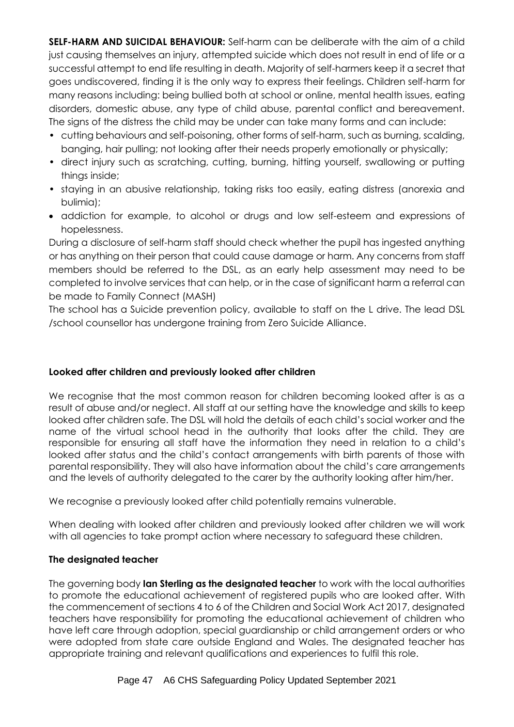**SELF-HARM AND SUICIDAL BEHAVIOUR:** Self-harm can be deliberate with the aim of a child just causing themselves an injury, attempted suicide which does not result in end of life or a successful attempt to end life resulting in death. Majority of self-harmers keep it a secret that goes undiscovered, finding it is the only way to express their feelings. Children self-harm for many reasons including: being bullied both at school or online, mental health issues, eating disorders, domestic abuse, any type of child abuse, parental conflict and bereavement. The signs of the distress the child may be under can take many forms and can include:

- cutting behaviours and self-poisoning, other forms of self-harm, such as burning, scalding, banging, hair pulling; not looking after their needs properly emotionally or physically;
- direct injury such as scratching, cutting, burning, hitting yourself, swallowing or putting things inside;
- staying in an abusive relationship, taking risks too easily, eating distress (anorexia and bulimia);
- addiction for example, to alcohol or drugs and low self-esteem and expressions of hopelessness.

During a disclosure of self-harm staff should check whether the pupil has ingested anything or has anything on their person that could cause damage or harm. Any concerns from staff members should be referred to the DSL, as an early help assessment may need to be completed to involve services that can help, or in the case of significant harm a referral can be made to Family Connect (MASH)

The school has a Suicide prevention policy, available to staff on the L drive. The lead DSL /school counsellor has undergone training from Zero Suicide Alliance.

# **Looked after children and previously looked after children**

We recognise that the most common reason for children becoming looked after is as a result of abuse and/or neglect. All staff at our setting have the knowledge and skills to keep looked after children safe. The DSL will hold the details of each child's social worker and the name of the virtual school head in the authority that looks after the child. They are responsible for ensuring all staff have the information they need in relation to a child's looked after status and the child's contact arrangements with birth parents of those with parental responsibility. They will also have information about the child's care arrangements and the levels of authority delegated to the carer by the authority looking after him/her.

We recognise a previously looked after child potentially remains vulnerable.

When dealing with looked after children and previously looked after children we will work with all agencies to take prompt action where necessary to safeguard these children.

# **The designated teacher**

The governing body **Ian Sterling as the designated teacher** to work with the local authorities to promote the educational achievement of registered pupils who are looked after. With the commencement of sections 4 to 6 of the Children and Social Work Act 2017, designated teachers have responsibility for promoting the educational achievement of children who have left care through adoption, special guardianship or child arrangement orders or who were adopted from state care outside England and Wales. The designated teacher has appropriate training and relevant qualifications and experiences to fulfil this role.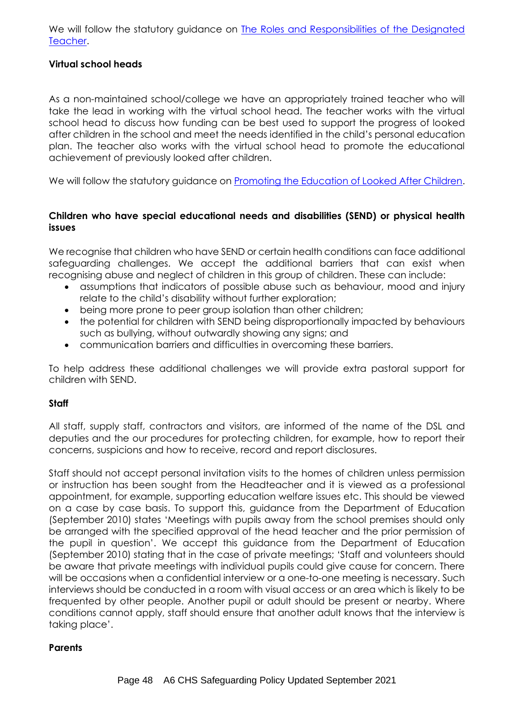We will follow the statutory guidance on The Roles and Responsibilities of the Designated [Teacher.](https://www.gov.uk/government/publications/designated-teacher-for-looked-after-children)

### **Virtual school heads**

As a non-maintained school/college we have an appropriately trained teacher who will take the lead in working with the virtual school head. The teacher works with the virtual school head to discuss how funding can be best used to support the progress of looked after children in the school and meet the needs identified in the child's personal education plan. The teacher also works with the virtual school head to promote the educational achievement of previously looked after children.

We will follow the statutory guidance on [Promoting the Education of Looked After Children.](https://www.gov.uk/government/publications/promoting-the-education-of-looked-after-children)

#### **Children who have special educational needs and disabilities (SEND) or physical health issues**

We recognise that children who have SEND or certain health conditions can face additional safeguarding challenges. We accept the additional barriers that can exist when recognising abuse and neglect of children in this group of children. These can include:

- assumptions that indicators of possible abuse such as behaviour, mood and injury relate to the child's disability without further exploration;
- being more prone to peer group isolation than other children;
- the potential for children with SEND being disproportionally impacted by behaviours such as bullying, without outwardly showing any signs; and
- communication barriers and difficulties in overcoming these barriers.

To help address these additional challenges we will provide extra pastoral support for children with SEND.

#### **Staff**

All staff, supply staff, contractors and visitors, are informed of the name of the DSL and deputies and the our procedures for protecting children, for example, how to report their concerns, suspicions and how to receive, record and report disclosures.

Staff should not accept personal invitation visits to the homes of children unless permission or instruction has been sought from the Headteacher and it is viewed as a professional appointment, for example, supporting education welfare issues etc. This should be viewed on a case by case basis. To support this, guidance from the Department of Education (September 2010) states 'Meetings with pupils away from the school premises should only be arranged with the specified approval of the head teacher and the prior permission of the pupil in question'. We accept this guidance from the Department of Education (September 2010) stating that in the case of private meetings; 'Staff and volunteers should be aware that private meetings with individual pupils could give cause for concern. There will be occasions when a confidential interview or a one-to-one meeting is necessary. Such interviews should be conducted in a room with visual access or an area which is likely to be frequented by other people. Another pupil or adult should be present or nearby. Where conditions cannot apply, staff should ensure that another adult knows that the interview is taking place'.

#### **Parents**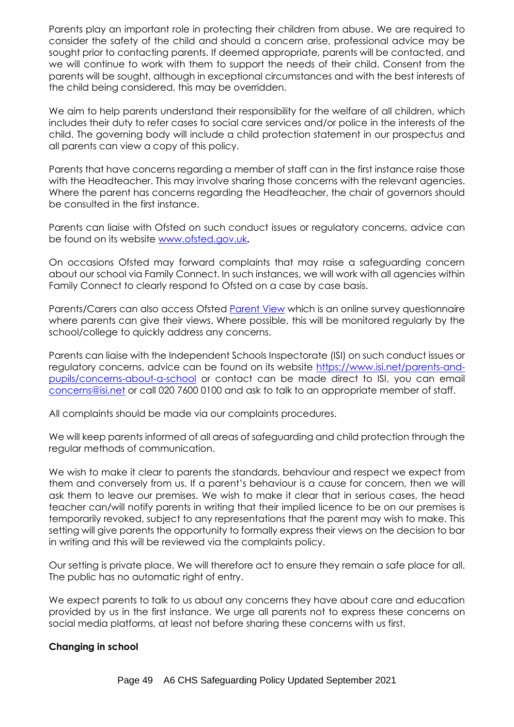Parents play an important role in protecting their children from abuse. We are required to consider the safety of the child and should a concern arise, professional advice may be sought prior to contacting parents. If deemed appropriate, parents will be contacted, and we will continue to work with them to support the needs of their child. Consent from the parents will be sought, although in exceptional circumstances and with the best interests of the child being considered, this may be overridden.

We aim to help parents understand their responsibility for the welfare of all children, which includes their duty to refer cases to social care services and/or police in the interests of the child. The governing body will include a child protection statement in our prospectus and all parents can view a copy of this policy.

Parents that have concerns regarding a member of staff can in the first instance raise those with the Headteacher. This may involve sharing those concerns with the relevant agencies. Where the parent has concerns regarding the Headteacher, the chair of governors should be consulted in the first instance.

Parents can liaise with Ofsted on such conduct issues or regulatory concerns, advice can be found on its website [www.ofsted.gov.uk](http://www.ofsted.gov.uk/)**.**

On occasions Ofsted may forward complaints that may raise a safeguarding concern about our school via Family Connect. In such instances, we will work with all agencies within Family Connect to clearly respond to Ofsted on a case by case basis.

Parents/Carers can also access Ofsted [Parent View](https://parentview.ofsted.gov.uk/) which is an online survey questionnaire where parents can give their views. Where possible, this will be monitored regularly by the school/college to quickly address any concerns.

Parents can liaise with the Independent Schools Inspectorate (ISI) on such conduct issues or regulatory concerns, advice can be found on its website [https://www.isi.net/parents-and](https://www.isi.net/parents-and-pupils/concerns-about-a-school)[pupils/concerns-about-a-school](https://www.isi.net/parents-and-pupils/concerns-about-a-school) or contact can be made direct to ISI, you can email [concerns@isi.net](mailto:concerns@isi.net) or call 020 7600 0100 and ask to talk to an appropriate member of staff.

All complaints should be made via our complaints procedures.

We will keep parents informed of all areas of safeguarding and child protection through the regular methods of communication.

We wish to make it clear to parents the standards, behaviour and respect we expect from them and conversely from us. If a parent's behaviour is a cause for concern, then we will ask them to leave our premises. We wish to make it clear that in serious cases, the head teacher can/will notify parents in writing that their implied licence to be on our premises is temporarily revoked, subject to any representations that the parent may wish to make. This setting will give parents the opportunity to formally express their views on the decision to bar in writing and this will be reviewed via the complaints policy.

Our setting is private place. We will therefore act to ensure they remain a safe place for all. The public has no automatic right of entry.

We expect parents to talk to us about any concerns they have about care and education provided by us in the first instance. We urge all parents not to express these concerns on social media platforms, at least not before sharing these concerns with us first.

# **Changing in school**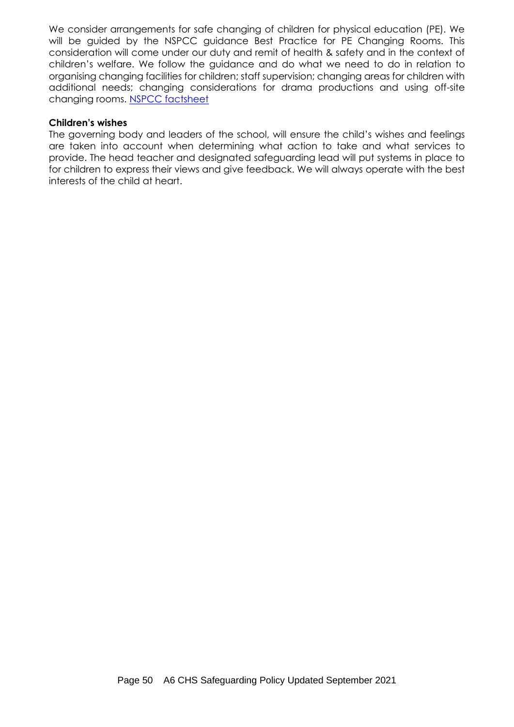We consider arrangements for safe changing of children for physical education (PE). We will be guided by the NSPCC guidance Best Practice for PE Changing Rooms. This consideration will come under our duty and remit of health & safety and in the context of children's welfare. We follow the guidance and do what we need to do in relation to organising changing facilities for children; staff supervision; changing areas for children with additional needs; changing considerations for drama productions and using off-site changing rooms. [NSPCC factsheet](https://www.nspcc.org.uk/globalassets/documents/information-service/schools-factsheet-best-practice-for-pe-changing-rooms.pdf)

#### **Children's wishes**

The governing body and leaders of the school, will ensure the child's wishes and feelings are taken into account when determining what action to take and what services to provide. The head teacher and designated safeguarding lead will put systems in place to for children to express their views and give feedback. We will always operate with the best interests of the child at heart.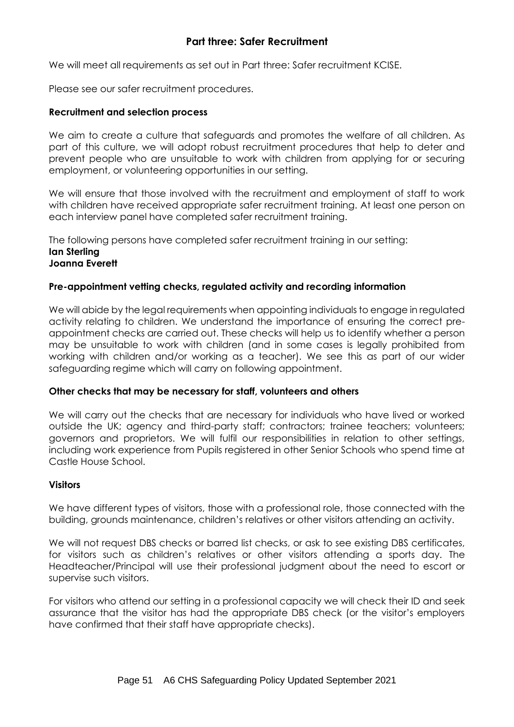# **Part three: Safer Recruitment**

We will meet all requirements as set out in Part three: Safer recruitment KCISE.

Please see our safer recruitment procedures.

#### **Recruitment and selection process**

We aim to create a culture that safeguards and promotes the welfare of all children. As part of this culture, we will adopt robust recruitment procedures that help to deter and prevent people who are unsuitable to work with children from applying for or securing employment, or volunteering opportunities in our setting.

We will ensure that those involved with the recruitment and employment of staff to work with children have received appropriate safer recruitment training. At least one person on each interview panel have completed safer recruitment training.

The following persons have completed safer recruitment training in our setting: **Ian Sterling Joanna Everett**

#### **Pre-appointment vetting checks, regulated activity and recording information**

We will abide by the legal requirements when appointing individuals to engage in regulated activity relating to children. We understand the importance of ensuring the correct preappointment checks are carried out. These checks will help us to identify whether a person may be unsuitable to work with children (and in some cases is legally prohibited from working with children and/or working as a teacher). We see this as part of our wider safeguarding regime which will carry on following appointment.

#### **Other checks that may be necessary for staff, volunteers and others**

We will carry out the checks that are necessary for individuals who have lived or worked outside the UK; agency and third-party staff; contractors; trainee teachers; volunteers; governors and proprietors. We will fulfil our responsibilities in relation to other settings, including work experience from Pupils registered in other Senior Schools who spend time at Castle House School.

#### **Visitors**

We have different types of visitors, those with a professional role, those connected with the building, grounds maintenance, children's relatives or other visitors attending an activity.

We will not request DBS checks or barred list checks, or ask to see existing DBS certificates, for visitors such as children's relatives or other visitors attending a sports day. The Headteacher/Principal will use their professional judgment about the need to escort or supervise such visitors.

For visitors who attend our setting in a professional capacity we will check their ID and seek assurance that the visitor has had the appropriate DBS check (or the visitor's employers have confirmed that their staff have appropriate checks).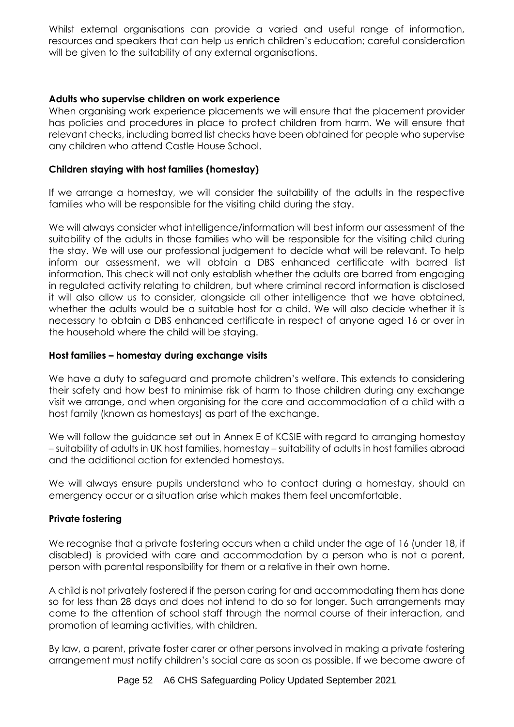Whilst external organisations can provide a varied and useful range of information, resources and speakers that can help us enrich children's education; careful consideration will be given to the suitability of any external organisations.

### **Adults who supervise children on work experience**

When organising work experience placements we will ensure that the placement provider has policies and procedures in place to protect children from harm. We will ensure that relevant checks, including barred list checks have been obtained for people who supervise any children who attend Castle House School.

#### **Children staying with host families (homestay)**

If we arrange a homestay, we will consider the suitability of the adults in the respective families who will be responsible for the visiting child during the stay.

We will always consider what intelligence/information will best inform our assessment of the suitability of the adults in those families who will be responsible for the visiting child during the stay. We will use our professional judgement to decide what will be relevant. To help inform our assessment, we will obtain a DBS enhanced certificate with barred list information. This check will not only establish whether the adults are barred from engaging in regulated activity relating to children, but where criminal record information is disclosed it will also allow us to consider, alongside all other intelligence that we have obtained, whether the adults would be a suitable host for a child. We will also decide whether it is necessary to obtain a DBS enhanced certificate in respect of anyone aged 16 or over in the household where the child will be staying.

#### **Host families – homestay during exchange visits**

We have a duty to safeguard and promote children's welfare. This extends to considering their safety and how best to minimise risk of harm to those children during any exchange visit we arrange, and when organising for the care and accommodation of a child with a host family (known as homestays) as part of the exchange.

We will follow the guidance set out in Annex E of KCSIE with regard to arranging homestay – suitability of adults in UK host families, homestay – suitability of adults in host families abroad and the additional action for extended homestays.

We will always ensure pupils understand who to contact during a homestay, should an emergency occur or a situation arise which makes them feel uncomfortable.

#### **Private fostering**

We recognise that a private fostering occurs when a child under the age of 16 (under 18, if disabled) is provided with care and accommodation by a person who is not a parent, person with parental responsibility for them or a relative in their own home.

A child is not privately fostered if the person caring for and accommodating them has done so for less than 28 days and does not intend to do so for longer. Such arrangements may come to the attention of school staff through the normal course of their interaction, and promotion of learning activities, with children.

By law, a parent, private foster carer or other persons involved in making a private fostering arrangement must notify children's social care as soon as possible. If we become aware of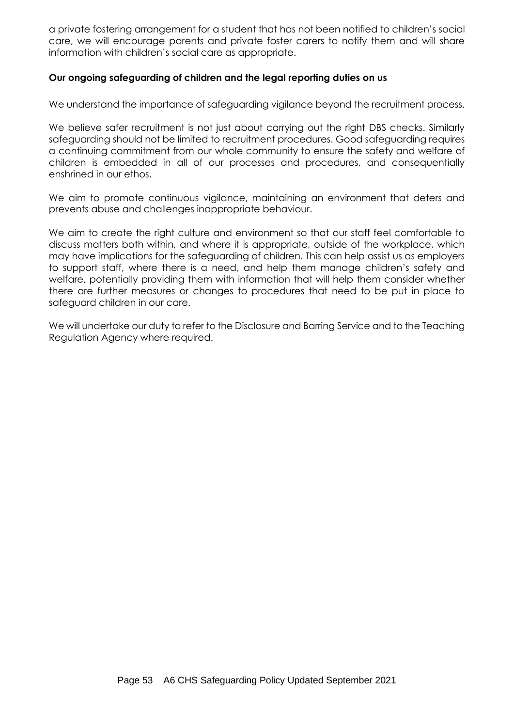a private fostering arrangement for a student that has not been notified to children's social care, we will encourage parents and private foster carers to notify them and will share information with children's social care as appropriate.

#### **Our ongoing safeguarding of children and the legal reporting duties on us**

We understand the importance of safeguarding vigilance beyond the recruitment process.

We believe safer recruitment is not just about carrying out the right DBS checks. Similarly safeguarding should not be limited to recruitment procedures. Good safeguarding requires a continuing commitment from our whole community to ensure the safety and welfare of children is embedded in all of our processes and procedures, and consequentially enshrined in our ethos.

We aim to promote continuous vigilance, maintaining an environment that deters and prevents abuse and challenges inappropriate behaviour.

We aim to create the right culture and environment so that our staff feel comfortable to discuss matters both within, and where it is appropriate, outside of the workplace, which may have implications for the safeguarding of children. This can help assist us as employers to support staff, where there is a need, and help them manage children's safety and welfare, potentially providing them with information that will help them consider whether there are further measures or changes to procedures that need to be put in place to safeguard children in our care.

We will undertake our duty to refer to the Disclosure and Barring Service and to the Teaching Regulation Agency where required.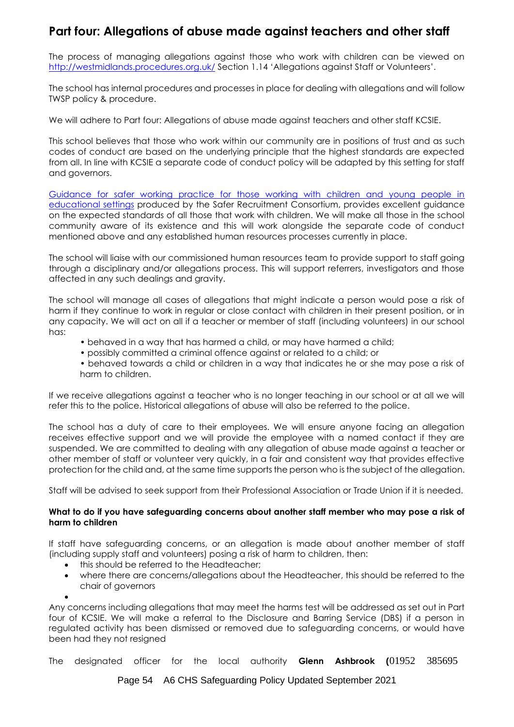# **Part four: Allegations of abuse made against teachers and other staff**

The process of managing allegations against those who work with children can be viewed on <http://westmidlands.procedures.org.uk/> Section 1.14 'Allegations against Staff or Volunteers'.

The school has internal procedures and processes in place for dealing with allegations and will follow TWSP policy & procedure.

We will adhere to Part four: Allegations of abuse made against teachers and other staff KCSIE.

This school believes that those who work within our community are in positions of trust and as such codes of conduct are based on the underlying principle that the highest standards are expected from all. In line with KCSIE a separate code of conduct policy will be adapted by this setting for staff and governors.

[Guidance for safer working practice for those working with children and young people in](https://www.saferrecruitmentconsortium.org/GSWP%20Sept%202019.pdf)  [educational settings](https://www.saferrecruitmentconsortium.org/GSWP%20Sept%202019.pdf) produced by the Safer Recruitment Consortium, provides excellent guidance on the expected standards of all those that work with children. We will make all those in the school community aware of its existence and this will work alongside the separate code of conduct mentioned above and any established human resources processes currently in place.

The school will liaise with our commissioned human resources team to provide support to staff going through a disciplinary and/or allegations process. This will support referrers, investigators and those affected in any such dealings and gravity.

The school will manage all cases of allegations that might indicate a person would pose a risk of harm if they continue to work in regular or close contact with children in their present position, or in any capacity. We will act on all if a teacher or member of staff (including volunteers) in our school has:

- behaved in a way that has harmed a child, or may have harmed a child;
- possibly committed a criminal offence against or related to a child; or
- behaved towards a child or children in a way that indicates he or she may pose a risk of harm to children.

If we receive allegations against a teacher who is no longer teaching in our school or at all we will refer this to the police. Historical allegations of abuse will also be referred to the police.

The school has a duty of care to their employees. We will ensure anyone facing an allegation receives effective support and we will provide the employee with a named contact if they are suspended. We are committed to dealing with any allegation of abuse made against a teacher or other member of staff or volunteer very quickly, in a fair and consistent way that provides effective protection for the child and, at the same time supports the person who is the subject of the allegation.

Staff will be advised to seek support from their Professional Association or Trade Union if it is needed.

#### **What to do if you have safeguarding concerns about another staff member who may pose a risk of harm to children**

If staff have safeguarding concerns, or an allegation is made about another member of staff (including supply staff and volunteers) posing a risk of harm to children, then:

- this should be referred to the Headteacher:
- where there are concerns/allegations about the Headteacher, this should be referred to the chair of governors

•

Any concerns including allegations that may meet the harms test will be addressed as set out in Part four of KCSIE. We will make a referral to the Disclosure and Barring Service (DBS) if a person in regulated activity has been dismissed or removed due to safeguarding concerns, or would have been had they not resigned

The designated officer for the local authority **Glenn Ashbrook (**01952 385695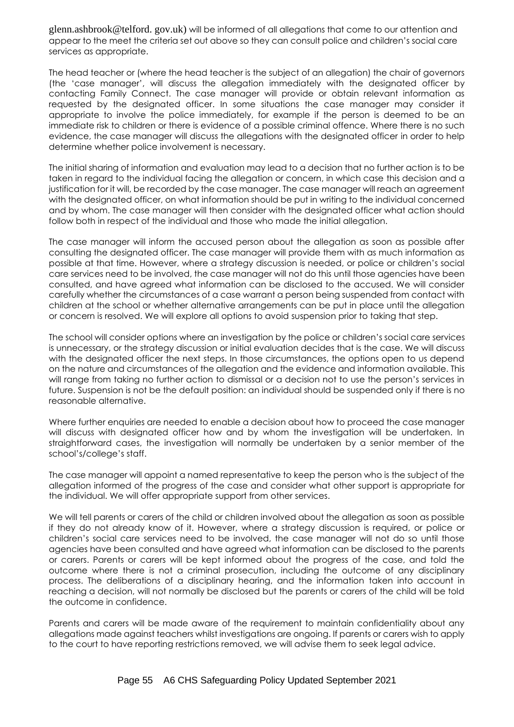glenn.ashbrook@telford. gov.uk) will be informed of all allegations that come to our attention and appear to the meet the criteria set out above so they can consult police and children's social care services as appropriate.

The head teacher or (where the head teacher is the subject of an allegation) the chair of aovernors (the 'case manager', will discuss the allegation immediately with the designated officer by contacting Family Connect. The case manager will provide or obtain relevant information as requested by the designated officer. In some situations the case manager may consider it appropriate to involve the police immediately, for example if the person is deemed to be an immediate risk to children or there is evidence of a possible criminal offence. Where there is no such evidence, the case manager will discuss the allegations with the designated officer in order to help determine whether police involvement is necessary.

The initial sharing of information and evaluation may lead to a decision that no further action is to be taken in regard to the individual facing the allegation or concern, in which case this decision and a justification for it will, be recorded by the case manager. The case manager will reach an agreement with the designated officer, on what information should be put in writing to the individual concerned and by whom. The case manager will then consider with the designated officer what action should follow both in respect of the individual and those who made the initial allegation.

The case manager will inform the accused person about the allegation as soon as possible after consulting the designated officer. The case manager will provide them with as much information as possible at that time. However, where a strategy discussion is needed, or police or children's social care services need to be involved, the case manager will not do this until those agencies have been consulted, and have agreed what information can be disclosed to the accused. We will consider carefully whether the circumstances of a case warrant a person being suspended from contact with children at the school or whether alternative arrangements can be put in place until the allegation or concern is resolved. We will explore all options to avoid suspension prior to taking that step.

The school will consider options where an investigation by the police or children's social care services is unnecessary, or the strategy discussion or initial evaluation decides that is the case. We will discuss with the designated officer the next steps. In those circumstances, the options open to us depend on the nature and circumstances of the allegation and the evidence and information available. This will range from taking no further action to dismissal or a decision not to use the person's services in future. Suspension is not be the default position: an individual should be suspended only if there is no reasonable alternative.

Where further enquiries are needed to enable a decision about how to proceed the case manager will discuss with designated officer how and by whom the investigation will be undertaken. In straightforward cases, the investigation will normally be undertaken by a senior member of the school's/college's staff.

The case manager will appoint a named representative to keep the person who is the subject of the allegation informed of the progress of the case and consider what other support is appropriate for the individual. We will offer appropriate support from other services.

We will tell parents or carers of the child or children involved about the allegation as soon as possible if they do not already know of it. However, where a strategy discussion is required, or police or children's social care services need to be involved, the case manager will not do so until those agencies have been consulted and have agreed what information can be disclosed to the parents or carers. Parents or carers will be kept informed about the progress of the case, and told the outcome where there is not a criminal prosecution, including the outcome of any disciplinary process. The deliberations of a disciplinary hearing, and the information taken into account in reaching a decision, will not normally be disclosed but the parents or carers of the child will be told the outcome in confidence.

Parents and carers will be made aware of the requirement to maintain confidentiality about any allegations made against teachers whilst investigations are ongoing. If parents or carers wish to apply to the court to have reporting restrictions removed, we will advise them to seek legal advice.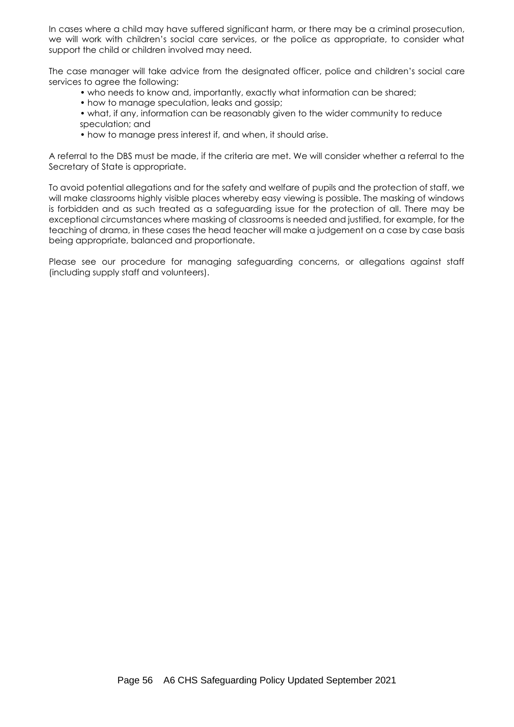In cases where a child may have suffered significant harm, or there may be a criminal prosecution, we will work with children's social care services, or the police as appropriate, to consider what support the child or children involved may need.

The case manager will take advice from the designated officer, police and children's social care services to agree the following:

- who needs to know and, importantly, exactly what information can be shared;
- how to manage speculation, leaks and gossip;
- what, if any, information can be reasonably given to the wider community to reduce speculation; and
- how to manage press interest if, and when, it should arise.

A referral to the DBS must be made, if the criteria are met. We will consider whether a referral to the Secretary of State is appropriate.

To avoid potential allegations and for the safety and welfare of pupils and the protection of staff, we will make classrooms highly visible places whereby easy viewing is possible. The masking of windows is forbidden and as such treated as a safeguarding issue for the protection of all. There may be exceptional circumstances where masking of classrooms is needed and justified, for example, for the teaching of drama, in these cases the head teacher will make a judgement on a case by case basis being appropriate, balanced and proportionate.

Please see our procedure for managing safeguarding concerns, or allegations against staff (including supply staff and volunteers).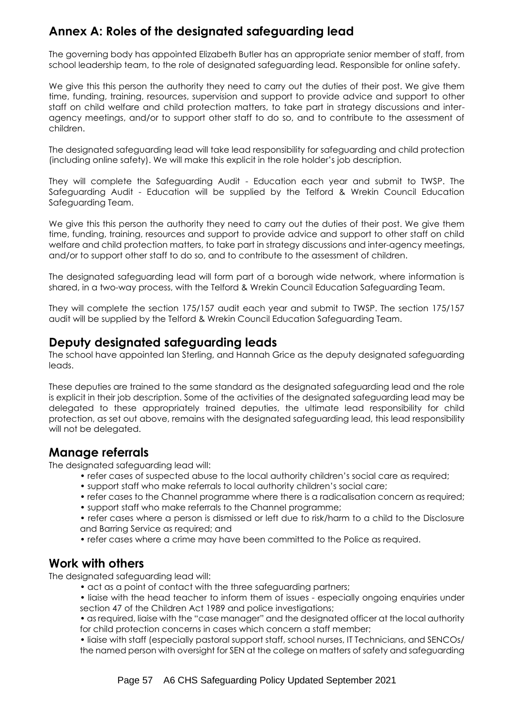# **Annex A: Roles of the designated safeguarding lead**

The governing body has appointed Elizabeth Butler has an appropriate senior member of staff, from school leadership team, to the role of designated safeguarding lead. Responsible for online safety.

We give this this person the authority they need to carry out the duties of their post. We give them time, funding, training, resources, supervision and support to provide advice and support to other staff on child welfare and child protection matters, to take part in strategy discussions and interagency meetings, and/or to support other staff to do so, and to contribute to the assessment of children.

The designated safeguarding lead will take lead responsibility for safeguarding and child protection (including online safety). We will make this explicit in the role holder's job description.

They will complete the Safeguarding Audit - Education each year and submit to TWSP. The Safeguarding Audit - Education will be supplied by the Telford & Wrekin Council Education Safeguarding Team.

We give this this person the authority they need to carry out the duties of their post. We give them time, funding, training, resources and support to provide advice and support to other staff on child welfare and child protection matters, to take part in strategy discussions and inter-agency meetings, and/or to support other staff to do so, and to contribute to the assessment of children.

The designated safeguarding lead will form part of a borough wide network, where information is shared, in a two-way process, with the Telford & Wrekin Council Education Safeguarding Team.

They will complete the section 175/157 audit each year and submit to TWSP. The section 175/157 audit will be supplied by the Telford & Wrekin Council Education Safeguarding Team.

# **Deputy designated safeguarding leads**

The school have appointed Ian Sterling, and Hannah Grice as the deputy designated safeguarding leads.

These deputies are trained to the same standard as the designated safeguarding lead and the role is explicit in their job description. Some of the activities of the designated safeguarding lead may be delegated to these appropriately trained deputies, the ultimate lead responsibility for child protection, as set out above, remains with the designated safeguarding lead, this lead responsibility will not be delegated.

# **Manage referrals**

The designated safeguarding lead will:

- refer cases of suspected abuse to the local authority children's social care as required;
- support staff who make referrals to local authority children's social care;
- refer cases to the Channel programme where there is a radicalisation concern as required;
- support staff who make referrals to the Channel programme;
- refer cases where a person is dismissed or left due to risk/harm to a child to the Disclosure and Barring Service as required; and
- refer cases where a crime may have been committed to the Police as required.

# **Work with others**

The designated safeguarding lead will:

- act as a point of contact with the three safeguarding partners;
- liaise with the head teacher to inform them of issues especially ongoing enquiries under section 47 of the Children Act 1989 and police investigations;
- as required, liaise with the "case manager" and the designated officer at the local authority for child protection concerns in cases which concern a staff member;

• liaise with staff (especially pastoral support staff, school nurses, IT Technicians, and SENCOs/ the named person with oversight for SEN at the college on matters of safety and safeguarding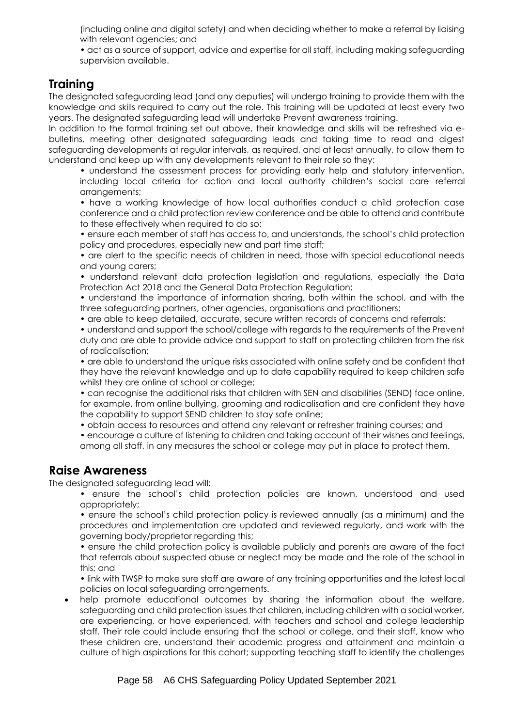(including online and digital safety) and when deciding whether to make a referral by liaising with relevant agencies; and

• act as a source of support, advice and expertise for all staff, including making safeguarding supervision available.

# **Training**

The designated safeguarding lead (and any deputies) will undergo training to provide them with the knowledge and skills required to carry out the role. This training will be updated at least every two years. The designated safeguarding lead will undertake Prevent awareness training.

In addition to the formal training set out above, their knowledge and skills will be refreshed via ebulletins, meeting other designated safeguarding leads and taking time to read and digest safeguarding developments at regular intervals, as required, and at least annually, to allow them to understand and keep up with any developments relevant to their role so they:

• understand the assessment process for providing early help and statutory intervention, including local criteria for action and local authority children's social care referral arrangements;

• have a working knowledge of how local authorities conduct a child protection case conference and a child protection review conference and be able to attend and contribute to these effectively when required to do so;

• ensure each member of staff has access to, and understands, the school's child protection policy and procedures, especially new and part time staff;

• are alert to the specific needs of children in need, those with special educational needs and young carers;

• understand relevant data protection legislation and regulations, especially the Data Protection Act 2018 and the General Data Protection Regulation;

• understand the importance of information sharing, both within the school, and with the three safeguarding partners, other agencies, organisations and practitioners;

• are able to keep detailed, accurate, secure written records of concerns and referrals;

• understand and support the school/college with regards to the requirements of the Prevent duty and are able to provide advice and support to staff on protecting children from the risk of radicalisation;

• are able to understand the unique risks associated with online safety and be confident that they have the relevant knowledge and up to date capability required to keep children safe whilst they are online at school or college;

• can recognise the additional risks that children with SEN and disabilities (SEND) face online, for example, from online bullying, grooming and radicalisation and are confident they have the capability to support SEND children to stay safe online;

• obtain access to resources and attend any relevant or refresher training courses; and

• encourage a culture of listening to children and taking account of their wishes and feelings, among all staff, in any measures the school or college may put in place to protect them.

# **Raise Awareness**

The designated safeguarding lead will:

• ensure the school's child protection policies are known, understood and used appropriately;

• ensure the school's child protection policy is reviewed annually (as a minimum) and the procedures and implementation are updated and reviewed regularly, and work with the governing body/proprietor regarding this;

• ensure the child protection policy is available publicly and parents are aware of the fact that referrals about suspected abuse or neglect may be made and the role of the school in this; and

• link with TWSP to make sure staff are aware of any training opportunities and the latest local policies on local safeguarding arrangements.

help promote educational outcomes by sharing the information about the welfare, safeguarding and child protection issues that children, including children with a social worker, are experiencing, or have experienced, with teachers and school and college leadership staff. Their role could include ensuring that the school or college, and their staff, know who these children are, understand their academic progress and attainment and maintain a culture of high aspirations for this cohort; supporting teaching staff to identify the challenges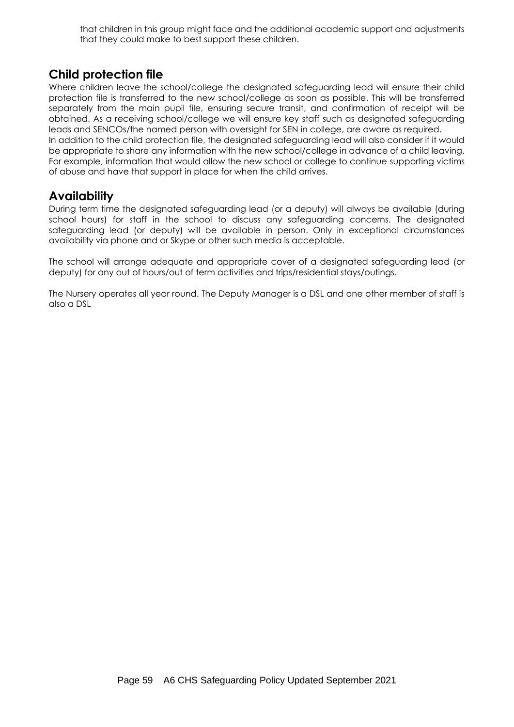that children in this group might face and the additional academic support and adjustments that they could make to best support these children.

# **Child protection file**

Where children leave the school/college the designated safeguarding lead will ensure their child protection file is transferred to the new school/college as soon as possible. This will be transferred separately from the main pupil file, ensuring secure transit, and confirmation of receipt will be obtained. As a receiving school/college we will ensure key staff such as designated safeguarding leads and SENCOs/the named person with oversight for SEN in college, are aware as required.

In addition to the child protection file, the designated safeguarding lead will also consider if it would be appropriate to share any information with the new school/college in advance of a child leaving. For example, information that would allow the new school or college to continue supporting victims of abuse and have that support in place for when the child arrives.

# **Availability**

During term time the designated safeguarding lead (or a deputy) will always be available (during school hours) for staff in the school to discuss any safeguarding concerns. The designated safeguarding lead (or deputy) will be available in person. Only in exceptional circumstances availability via phone and or Skype or other such media is acceptable.

The school will arrange adequate and appropriate cover of a designated safeguarding lead (or deputy) for any out of hours/out of term activities and trips/residential stays/outings.

The Nursery operates all year round. The Deputy Manager is a DSL and one other member of staff is also a DSL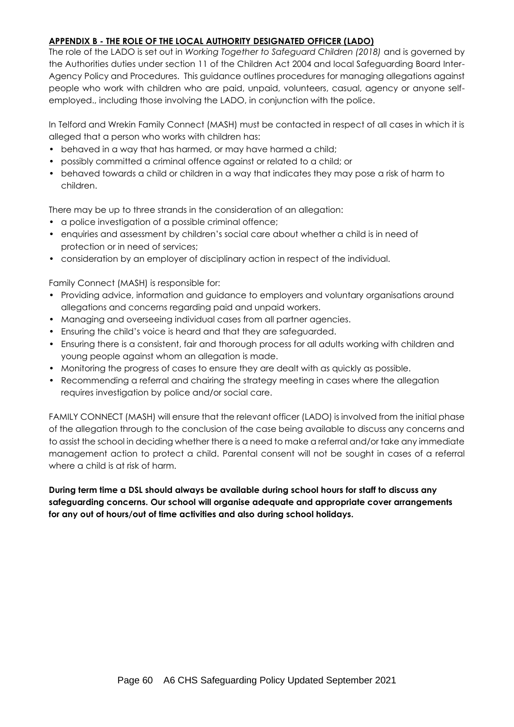#### **APPENDIX B - THE ROLE OF THE LOCAL AUTHORITY DESIGNATED OFFICER (LADO)**

The role of the LADO is set out in *Working Together to Safeguard Children (2018)* and is governed by the Authorities duties under section 11 of the Children Act 2004 and local Safeguarding Board Inter-Agency Policy and Procedures. This guidance outlines procedures for managing allegations against people who work with children who are paid, unpaid, volunteers, casual, agency or anyone selfemployed., including those involving the LADO, in conjunction with the police.

In Telford and Wrekin Family Connect (MASH) must be contacted in respect of all cases in which it is alleged that a person who works with children has:

- behaved in a way that has harmed, or may have harmed a child;
- possibly committed a criminal offence against or related to a child; or
- behaved towards a child or children in a way that indicates they may pose a risk of harm to children.

There may be up to three strands in the consideration of an allegation:

- a police investigation of a possible criminal offence;
- enquiries and assessment by children's social care about whether a child is in need of protection or in need of services;
- consideration by an employer of disciplinary action in respect of the individual.

Family Connect (MASH) is responsible for:

- Providing advice, information and guidance to employers and voluntary organisations around allegations and concerns regarding paid and unpaid workers.
- Managing and overseeing individual cases from all partner agencies.
- Ensuring the child's voice is heard and that they are safeguarded.
- Ensuring there is a consistent, fair and thorough process for all adults working with children and young people against whom an allegation is made.
- Monitoring the progress of cases to ensure they are dealt with as quickly as possible.
- Recommending a referral and chairing the strategy meeting in cases where the allegation requires investigation by police and/or social care.

FAMILY CONNECT (MASH) will ensure that the relevant officer (LADO) is involved from the initial phase of the allegation through to the conclusion of the case being available to discuss any concerns and to assist the school in deciding whether there is a need to make a referral and/or take any immediate management action to protect a child. Parental consent will not be sought in cases of a referral where a child is at risk of harm.

**During term time a DSL should always be available during school hours for staff to discuss any safeguarding concerns. Our school will organise adequate and appropriate cover arrangements for any out of hours/out of time activities and also during school holidays.**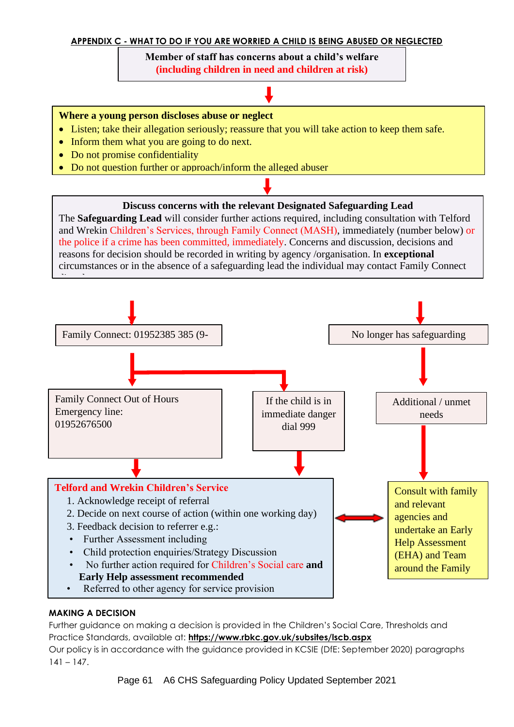#### **APPENDIX C - WHAT TO DO IF YOU ARE WORRIED A CHILD IS BEING ABUSED OR NEGLECTED**

**Member of staff has concerns about a child's welfare (including children in need and children at risk)**

 $\overline{\phantom{a}}$  because and  $\overline{\phantom{a}}$  and  $\overline{\phantom{a}}$  abuse and  $\overline{\phantom{a}}$ 

#### **Where a young person discloses abuse or neglect**

- Listen; take their allegation seriously; reassure that you will take action to keep them safe.
- Inform them what you are going to do next.
- Do not promise confidentiality
- Do not question further or approach/inform the alleged abuser

#### **Discuss concerns with the relevant Designated Safeguarding Lead**

The **Safeguarding Lead** will consider further actions required, including consultation with Telford and Wrekin Children's Services, through Family Connect (MASH), immediately (number below) or the police if a crime has been committed, immediately. Concerns and discussion, decisions and reasons for decision should be recorded in writing by agency /organisation. In **exceptional** circumstances or in the absence of a safeguarding lead the individual may contact Family Connect



#### **MAKING A DECISION**

Further guidance on making a decision is provided in the Children's Social Care, Thresholds and Practice Standards, available at: **<https://www.rbkc.gov.uk/subsites/lscb.aspx>** Our policy is in accordance with the guidance provided in KCSIE (DfE: September 2020) paragraphs

 $141 - 147.$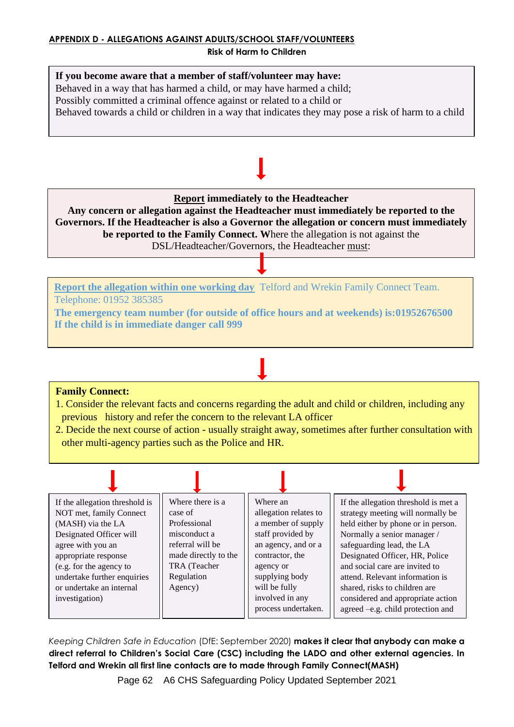# **If you become aware that a member of staff/volunteer may have:** Behaved in a way that has harmed a child, or may have harmed a child; Possibly committed a criminal offence against or related to a child or Behaved towards a child or children in a way that indicates they may pose a risk of harm to a child

**Report immediately to the Headteacher**

**Any concern or allegation against the Headteacher must immediately be reported to the Governors. If the Headteacher is also a Governor the allegation or concern must immediately be reported to the Family Connect. W**here the allegation is not against the DSL/Headteacher/Governors, the Headteacher must:

**Report the allegation within one working day** Telford and Wrekin Family Connect Team. Telephone: 01952 385385

**The emergency team number (for outside of office hours and at weekends) is:01952676500 If the child is in immediate danger call 999**

# **Family Connect:**

1. Consider the relevant facts and concerns regarding the adult and child or children, including any previous history and refer the concern to the relevant LA officer

2. Decide the next course of action - usually straight away, sometimes after further consultation with other multi-agency parties such as the Police and HR.



Keeping Children Safe in Education (DfE: September 2020) **makes it clear that anybody can make a** direct referral to Children's Social Care (CSC) including the LADO and other external agencies. In Telford and Wrekin all first line contacts are to made through Family Connect(MASH)

Page 62 A6 CHS Safeguarding Policy Updated September 2021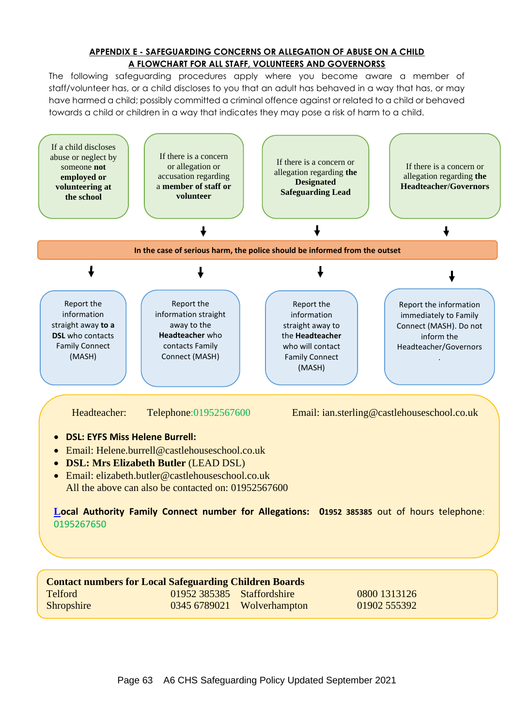#### **APPENDIX E - SAFEGUARDING CONCERNS OR ALLEGATION OF ABUSE ON A CHILD A FLOWCHART FOR ALL STAFF, VOLUNTEERS AND GOVERNORSS**

The following safeguarding procedures apply where you become aware a member of staff/volunteer has, or a child discloses to you that an adult has behaved in a way that has, or may have harmed a child; possibly committed a criminal offence against or related to a child or behaved towards a child or children in a way that indicates they may pose a risk of harm to a child.



Shropshire 0345 6789021 Wolverhampton 01902 555392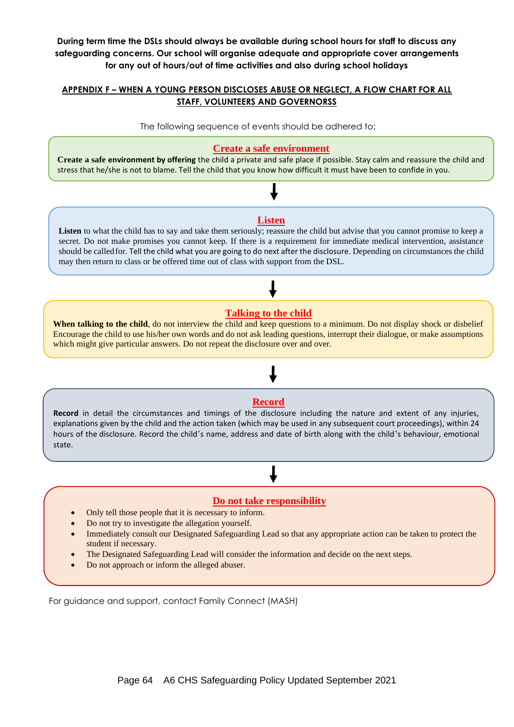**During term time the DSLs should always be available during school hours for staff to discuss any safeguarding concerns. Our school will organise adequate and appropriate cover arrangements for any out of hours/out of time activities and also during school holidays**

#### **APPENDIX F – WHEN A YOUNG PERSON DISCLOSES ABUSE OR NEGLECT, A FLOW CHART FOR ALL STAFF, VOLUNTEERS AND GOVERNORSS**

The following sequence of events should be adhered to:

#### **Create a safe environment**

**Create a safe environment by offering** the child a private and safe place if possible. Stay calm and reassure the child and stress that he/she is not to blame. Tell the child that you know how difficult it must have been to confide in you.

#### **Listen**

Listen to what the child has to say and take them seriously; reassure the child but advise that you cannot promise to keep a secret. Do not make promises you cannot keep. If there is a requirement for immediate medical intervention, assistance should be calledfor. Tell the child what you are going to do next after the disclosure. Depending on circumstances the child may then return to class or be offered time out of class with support from the DSL.

#### **Talking to the child**

**When talking to the child**, do not interview the child and keep questions to a minimum. Do not display shock or disbelief Encourage the child to use his/her own words and do not ask leading questions, interrupt their dialogue, or make assumptions which might give particular answers. Do not repeat the disclosure over and over.

#### **Record**

**Record** in detail the circumstances and timings of the disclosure including the nature and extent of any injuries, explanations given by the child and the action taken (which may be used in any subsequent court proceedings), within 24 hours of the disclosure. Record the child's name, address and date of birth along with the child's behaviour, emotional state.

#### **Do not take responsibility**

- Only tell those people that it is necessary to inform.
- Do not try to investigate the allegation yourself.
- Immediately consult our Designated Safeguarding Lead so that any appropriate action can be taken to protect the student if necessary.
- The Designated Safeguarding Lead will consider the information and decide on the next steps.
- Do not approach or inform the alleged abuser.

For guidance and support, contact Family Connect (MASH)